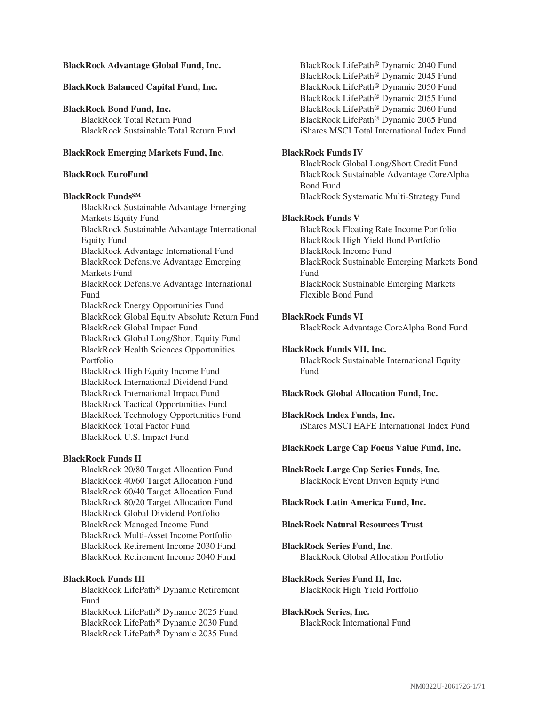#### **BlackRock Advantage Global Fund, Inc.**

#### **BlackRock Balanced Capital Fund, Inc.**

#### **BlackRock Bond Fund, Inc.**

BlackRock Total Return Fund BlackRock Sustainable Total Return Fund

#### **BlackRock Emerging Markets Fund, Inc.**

#### **BlackRock EuroFund**

#### **BlackRock FundsSM**

BlackRock Sustainable Advantage Emerging Markets Equity Fund BlackRock Sustainable Advantage International Equity Fund BlackRock Advantage International Fund BlackRock Defensive Advantage Emerging Markets Fund BlackRock Defensive Advantage International Fund BlackRock Energy Opportunities Fund BlackRock Global Equity Absolute Return Fund BlackRock Global Impact Fund BlackRock Global Long/Short Equity Fund BlackRock Health Sciences Opportunities Portfolio BlackRock High Equity Income Fund BlackRock International Dividend Fund BlackRock International Impact Fund BlackRock Tactical Opportunities Fund BlackRock Technology Opportunities Fund BlackRock Total Factor Fund BlackRock U.S. Impact Fund

#### **BlackRock Funds II**

BlackRock 20/80 Target Allocation Fund BlackRock 40/60 Target Allocation Fund BlackRock 60/40 Target Allocation Fund BlackRock 80/20 Target Allocation Fund BlackRock Global Dividend Portfolio BlackRock Managed Income Fund BlackRock Multi-Asset Income Portfolio BlackRock Retirement Income 2030 Fund BlackRock Retirement Income 2040 Fund

#### **BlackRock Funds III**

BlackRock LifePath® Dynamic Retirement Fund

BlackRock LifePath® Dynamic 2025 Fund BlackRock LifePath® Dynamic 2030 Fund BlackRock LifePath® Dynamic 2035 Fund

BlackRock LifePath® Dynamic 2040 Fund BlackRock LifePath® Dynamic 2045 Fund BlackRock LifePath® Dynamic 2050 Fund BlackRock LifePath® Dynamic 2055 Fund BlackRock LifePath® Dynamic 2060 Fund BlackRock LifePath® Dynamic 2065 Fund iShares MSCI Total International Index Fund

#### **BlackRock Funds IV**

BlackRock Global Long/Short Credit Fund BlackRock Sustainable Advantage CoreAlpha Bond Fund BlackRock Systematic Multi-Strategy Fund

#### **BlackRock Funds V**

BlackRock Floating Rate Income Portfolio BlackRock High Yield Bond Portfolio BlackRock Income Fund BlackRock Sustainable Emerging Markets Bond Fund BlackRock Sustainable Emerging Markets Flexible Bond Fund

#### **BlackRock Funds VI**

BlackRock Advantage CoreAlpha Bond Fund

#### **BlackRock Funds VII, Inc.**

BlackRock Sustainable International Equity Fund

#### **BlackRock Global Allocation Fund, Inc.**

**BlackRock Index Funds, Inc.** iShares MSCI EAFE International Index Fund

#### **BlackRock Large Cap Focus Value Fund, Inc.**

**BlackRock Large Cap Series Funds, Inc.** BlackRock Event Driven Equity Fund

**BlackRock Latin America Fund, Inc.**

**BlackRock Natural Resources Trust**

**BlackRock Series Fund, Inc.** BlackRock Global Allocation Portfolio

#### **BlackRock Series Fund II, Inc.** BlackRock High Yield Portfolio

**BlackRock Series, Inc.** BlackRock International Fund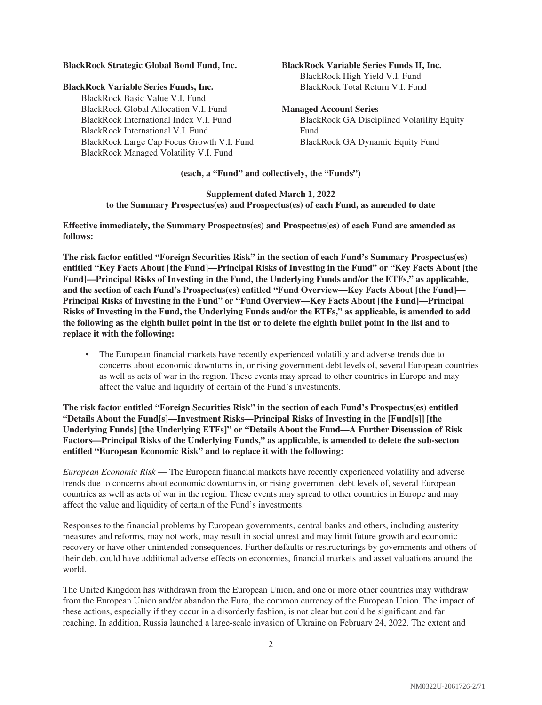#### **BlackRock Strategic Global Bond Fund, Inc.**

**BlackRock Variable Series Funds, Inc.** BlackRock Basic Value V.I. Fund BlackRock Global Allocation V.I. Fund BlackRock International Index V.I. Fund BlackRock International V.I. Fund BlackRock Large Cap Focus Growth V.I. Fund

BlackRock Managed Volatility V.I. Fund

# **BlackRock Variable Series Funds II, Inc.**

BlackRock High Yield V.I. Fund BlackRock Total Return V.I. Fund

#### **Managed Account Series**

BlackRock GA Disciplined Volatility Equity Fund BlackRock GA Dynamic Equity Fund

**(each, a "Fund" and collectively, the "Funds")**

**Supplement dated March 1, 2022 to the Summary Prospectus(es) and Prospectus(es) of each Fund, as amended to date**

**Effective immediately, the Summary Prospectus(es) and Prospectus(es) of each Fund are amended as follows:**

**The risk factor entitled "Foreign Securities Risk" in the section of each Fund's Summary Prospectus(es) entitled "Key Facts About [the Fund]—Principal Risks of Investing in the Fund" or "Key Facts About [the Fund]—Principal Risks of Investing in the Fund, the Underlying Funds and/or the ETFs," as applicable, and the section of each Fund's Prospectus(es) entitled "Fund Overview—Key Facts About [the Fund]— Principal Risks of Investing in the Fund" or "Fund Overview—Key Facts About [the Fund]—Principal Risks of Investing in the Fund, the Underlying Funds and/or the ETFs," as applicable, is amended to add the following as the eighth bullet point in the list or to delete the eighth bullet point in the list and to replace it with the following:**

• The European financial markets have recently experienced volatility and adverse trends due to concerns about economic downturns in, or rising government debt levels of, several European countries as well as acts of war in the region. These events may spread to other countries in Europe and may affect the value and liquidity of certain of the Fund's investments.

**The risk factor entitled "Foreign Securities Risk" in the section of each Fund's Prospectus(es) entitled "Details About the Fund[s]—Investment Risks—Principal Risks of Investing in the [Fund[s]] [the Underlying Funds] [the Underlying ETFs]" or "Details About the Fund—A Further Discussion of Risk Factors—Principal Risks of the Underlying Funds," as applicable, is amended to delete the sub-secton entitled "European Economic Risk" and to replace it with the following:**

*European Economic Risk* — The European financial markets have recently experienced volatility and adverse trends due to concerns about economic downturns in, or rising government debt levels of, several European countries as well as acts of war in the region. These events may spread to other countries in Europe and may affect the value and liquidity of certain of the Fund's investments.

Responses to the financial problems by European governments, central banks and others, including austerity measures and reforms, may not work, may result in social unrest and may limit future growth and economic recovery or have other unintended consequences. Further defaults or restructurings by governments and others of their debt could have additional adverse effects on economies, financial markets and asset valuations around the world.

The United Kingdom has withdrawn from the European Union, and one or more other countries may withdraw from the European Union and/or abandon the Euro, the common currency of the European Union. The impact of these actions, especially if they occur in a disorderly fashion, is not clear but could be significant and far reaching. In addition, Russia launched a large-scale invasion of Ukraine on February 24, 2022. The extent and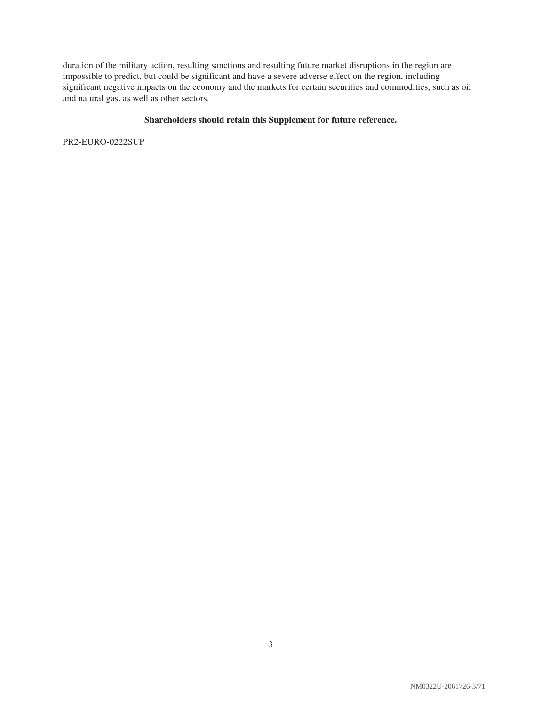duration of the military action, resulting sanctions and resulting future market disruptions in the region are impossible to predict, but could be significant and have a severe adverse effect on the region, including significant negative impacts on the economy and the markets for certain securities and commodities, such as oil and natural gas, as well as other sectors.

#### **Shareholders should retain this Supplement for future reference.**

PR2-EURO-0222SUP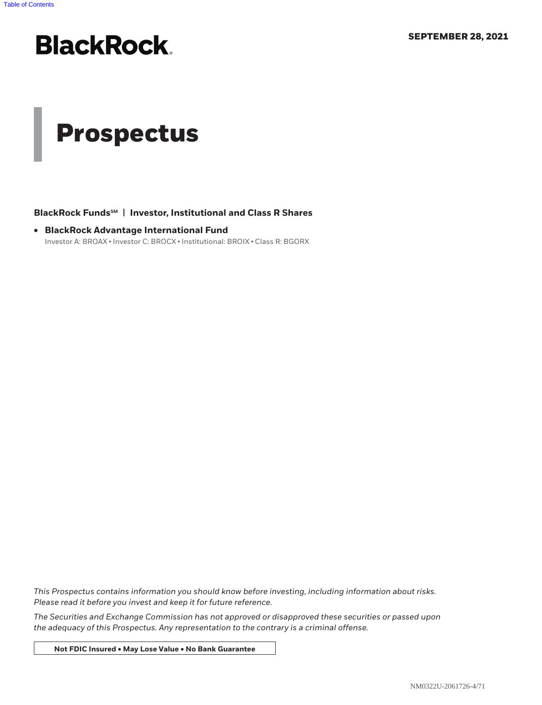# **BlackRock.**

# **Prospectus**

**BlackRock FundsSM | Investor, Institutional and Class R Shares**

• **BlackRock Advantage International Fund** Investor A: BROAX • Investor C: BROCX • Institutional: BROIX • Class R: BGORX

*This Prospectus contains information you should know before investing, including information about risks. Please read it before you invest and keep it for future reference.*

*The Securities and Exchange Commission has not approved or disapproved these securities or passed upon the adequacy of this Prospectus. Any representation to the contrary is a criminal offense.*

**Not FDIC Insured** • **May Lose Value** • **No Bank Guarantee**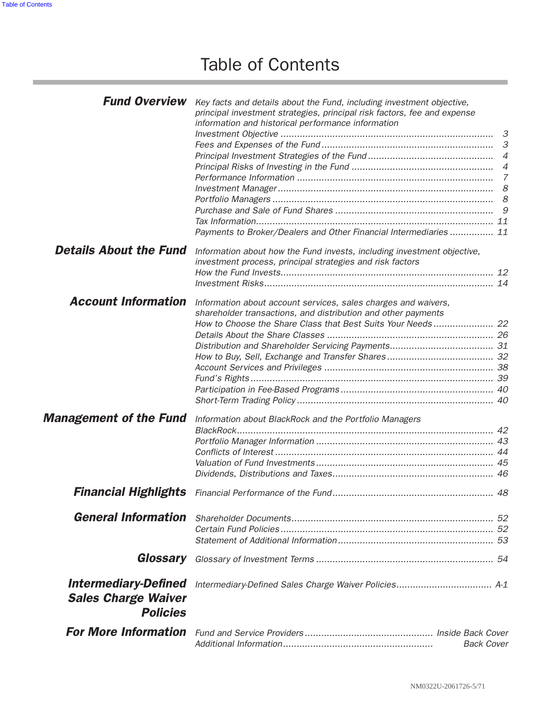| <b>Fund Overview</b>                                                         | Key facts and details about the Fund, including investment objective,<br>principal investment strategies, principal risk factors, fee and expense<br>information and historical performance information |     |
|------------------------------------------------------------------------------|---------------------------------------------------------------------------------------------------------------------------------------------------------------------------------------------------------|-----|
|                                                                              |                                                                                                                                                                                                         | - 3 |
|                                                                              |                                                                                                                                                                                                         |     |
|                                                                              |                                                                                                                                                                                                         |     |
|                                                                              |                                                                                                                                                                                                         |     |
|                                                                              |                                                                                                                                                                                                         |     |
|                                                                              |                                                                                                                                                                                                         |     |
|                                                                              |                                                                                                                                                                                                         |     |
|                                                                              |                                                                                                                                                                                                         |     |
|                                                                              |                                                                                                                                                                                                         |     |
|                                                                              | Payments to Broker/Dealers and Other Financial Intermediaries  11                                                                                                                                       |     |
| <b>Details About the Fund</b>                                                | Information about how the Fund invests, including investment objective,<br>investment process, principal strategies and risk factors                                                                    |     |
|                                                                              |                                                                                                                                                                                                         |     |
|                                                                              |                                                                                                                                                                                                         |     |
| <b>Account Information</b>                                                   | Information about account services, sales charges and waivers,                                                                                                                                          |     |
|                                                                              | shareholder transactions, and distribution and other payments                                                                                                                                           |     |
|                                                                              |                                                                                                                                                                                                         |     |
|                                                                              |                                                                                                                                                                                                         |     |
|                                                                              |                                                                                                                                                                                                         |     |
|                                                                              |                                                                                                                                                                                                         |     |
|                                                                              |                                                                                                                                                                                                         |     |
|                                                                              |                                                                                                                                                                                                         |     |
|                                                                              |                                                                                                                                                                                                         |     |
|                                                                              |                                                                                                                                                                                                         |     |
| <b>Management of the Fund</b>                                                | Information about BlackRock and the Portfolio Managers                                                                                                                                                  |     |
|                                                                              |                                                                                                                                                                                                         |     |
|                                                                              |                                                                                                                                                                                                         |     |
|                                                                              |                                                                                                                                                                                                         |     |
|                                                                              |                                                                                                                                                                                                         |     |
|                                                                              |                                                                                                                                                                                                         |     |
| <b>Financial Highlights</b>                                                  |                                                                                                                                                                                                         |     |
| <b>General Information</b>                                                   |                                                                                                                                                                                                         |     |
|                                                                              |                                                                                                                                                                                                         |     |
|                                                                              |                                                                                                                                                                                                         |     |
|                                                                              |                                                                                                                                                                                                         |     |
| <b>Intermediary-Defined</b><br><b>Sales Charge Waiver</b><br><b>Policies</b> |                                                                                                                                                                                                         |     |
| <b>For More Information</b>                                                  | <b>Back Cover</b>                                                                                                                                                                                       |     |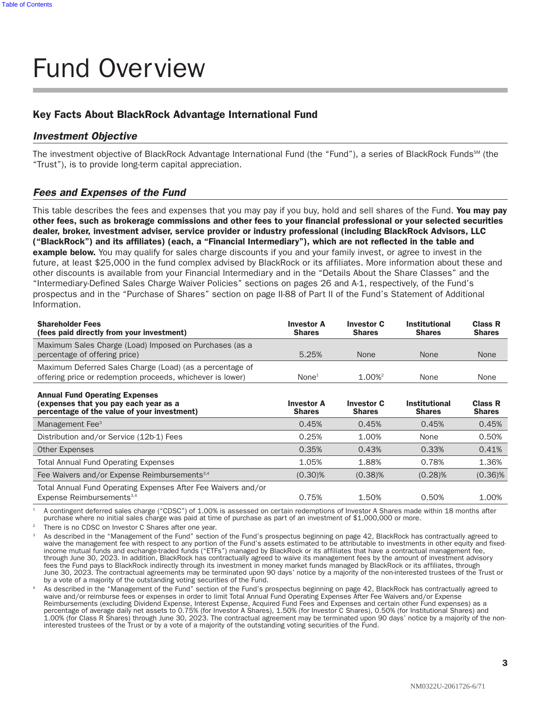# <span id="page-5-0"></span>Fund Overview

# Key Facts About BlackRock Advantage International Fund

## *Investment Objective*

The investment objective of BlackRock Advantage International Fund (the "Fund"), a series of BlackRock Funds<sup>6M</sup> (the "Trust"), is to provide long-term capital appreciation.

# *Fees and Expenses of the Fund*

This table describes the fees and expenses that you may pay if you buy, hold and sell shares of the Fund. You may pay other fees, such as brokerage commissions and other fees to your financial professional or your selected securities dealer, broker, investment adviser, service provider or industry professional (including BlackRock Advisors, LLC ("BlackRock") and its affiliates) (each, a "Financial Intermediary"), which are not reflected in the table and example below. You may qualify for sales charge discounts if you and your family invest, or agree to invest in the future, at least \$25,000 in the fund complex advised by BlackRock or its affiliates. More information about these and other discounts is available from your Financial Intermediary and in the "Details About the Share Classes" and the "Intermediary-Defined Sales Charge Waiver Policies" sections on pages 26 and A-1, respectively, of the Fund's prospectus and in the "Purchase of Shares" section on page II-88 of Part II of the Fund's Statement of Additional Information.

| <b>Shareholder Fees</b><br>(fees paid directly from your investment)                                                          | <b>Investor A</b><br><b>Shares</b> | <b>Investor C</b><br><b>Shares</b> | <b>Institutional</b><br><b>Shares</b> | <b>Class R</b><br><b>Shares</b> |
|-------------------------------------------------------------------------------------------------------------------------------|------------------------------------|------------------------------------|---------------------------------------|---------------------------------|
| Maximum Sales Charge (Load) Imposed on Purchases (as a<br>percentage of offering price)                                       | 5.25%                              | <b>None</b>                        | None                                  | <b>None</b>                     |
| Maximum Deferred Sales Charge (Load) (as a percentage of<br>offering price or redemption proceeds, whichever is lower)        | None <sup>1</sup>                  | $1.00\%$ <sup>2</sup>              | None                                  | None                            |
| <b>Annual Fund Operating Expenses</b><br>(expenses that you pay each year as a<br>percentage of the value of your investment) | <b>Investor A</b><br><b>Shares</b> | <b>Investor C</b><br><b>Shares</b> | <b>Institutional</b><br><b>Shares</b> | <b>Class R</b><br><b>Shares</b> |
| Management Fee <sup>3</sup>                                                                                                   | 0.45%                              | 0.45%                              | 0.45%                                 | 0.45%                           |
| Distribution and/or Service (12b-1) Fees                                                                                      | 0.25%                              | 1.00%                              | None                                  | 0.50%                           |
| <b>Other Expenses</b>                                                                                                         | 0.35%                              | 0.43%                              | 0.33%                                 | 0.41%                           |
| <b>Total Annual Fund Operating Expenses</b>                                                                                   | 1.05%                              | 1.88%                              | 0.78%                                 | 1.36%                           |
| Fee Waivers and/or Expense Reimbursements <sup>3,4</sup>                                                                      | $(0.30)\%$                         | $(0.38)\%$                         | $(0.28)\%$                            | $(0.36)\%$                      |
| Total Annual Fund Operating Expenses After Fee Waivers and/or<br>Expense Reimbursements <sup>3,4</sup>                        | 0.75%                              | 1.50%                              | 0.50%                                 | 1.00%                           |

<sup>1</sup> A contingent deferred sales charge ("CDSC") of 1.00% is assessed on certain redemptions of Investor A Shares made within 18 months after purchase where no initial sales charge was paid at time of purchase as part of an investment of \$1,000,000 or more.

There is no CDSC on Investor C Shares after one year.

As described in the "Management of the Fund" section of the Fund's prospectus beginning on page 42, BlackRock has contractually agreed to<br>waive the management fee with respect to any portion of the Fund's assets estimated income mutual funds and exchange-traded funds ("ETFs") managed by BlackRock or its affiliates that have a contractual management fee, through June 30, 2023. In addition, BlackRock has contractually agreed to waive its management fees by the amount of investment advisory fees the Fund pays to BlackRock indirectly through its investment in money market funds managed by BlackRock or its affiliates, through June 30, 2023. The contractual agreements may be terminated upon 90 days' notice by a majority of the non-interested trustees of the Trust or by a vote of a majority of the outstanding voting securities of the Fund.

As described in the "Management of the Fund" section of the Fund's prospectus beginning on page 42, BlackRock has contractually agreed to waive and/or reimburse fees or expenses in order to limit Total Annual Fund Operating Expenses After Fee Waivers and/or Expense Reimbursements (excluding Dividend Expense, Interest Expense, Acquired Fund Fees and Expenses and certain other Fund expenses) as a percentage of average daily net assets to 0.75% (for Investor A Shares), 1.50% (for Investor C Shares), 0.50% (for Institutional Shares) and 1.00% (for Class R Shares) through June 30, 2023. The contractual agreement may be terminated upon 90 days' notice by a majority of the noninterested trustees of the Trust or by a vote of a majority of the outstanding voting securities of the Fund.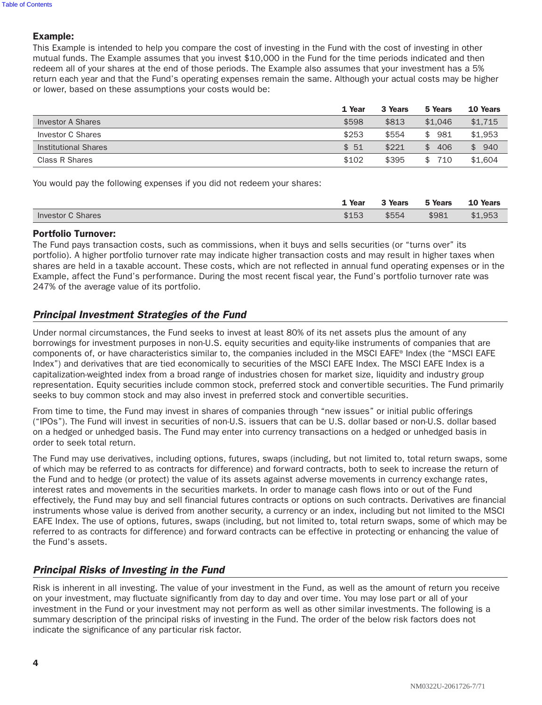## <span id="page-6-0"></span>Example:

This Example is intended to help you compare the cost of investing in the Fund with the cost of investing in other mutual funds. The Example assumes that you invest \$10,000 in the Fund for the time periods indicated and then redeem all of your shares at the end of those periods. The Example also assumes that your investment has a 5% return each year and that the Fund's operating expenses remain the same. Although your actual costs may be higher or lower, based on these assumptions your costs would be:

|                      | 1 Year | 3 Years | 5 Years               | 10 Years  |
|----------------------|--------|---------|-----------------------|-----------|
| Investor A Shares    | \$598  | \$813   | \$1.046               | \$1,715   |
| Investor C Shares    | \$253  | \$554   | 981                   | \$1,953   |
| Institutional Shares | \$51   | \$221   | 406<br>\$             | 940<br>\$ |
| Class R Shares       | \$102  | \$395   | 710<br>$\mathbb{S}^-$ | \$1.604   |

You would pay the following expenses if you did not redeem your shares:

|                   | Year  | <sup>2</sup> Years | 5 Years | 10 Years |
|-------------------|-------|--------------------|---------|----------|
| Investor C Shares | \$153 | \$554              | \$981   | \$1,953  |

#### Portfolio Turnover:

The Fund pays transaction costs, such as commissions, when it buys and sells securities (or "turns over" its portfolio). A higher portfolio turnover rate may indicate higher transaction costs and may result in higher taxes when shares are held in a taxable account. These costs, which are not reflected in annual fund operating expenses or in the Example, affect the Fund's performance. During the most recent fiscal year, the Fund's portfolio turnover rate was 247% of the average value of its portfolio.

# *Principal Investment Strategies of the Fund*

Under normal circumstances, the Fund seeks to invest at least 80% of its net assets plus the amount of any borrowings for investment purposes in non-U.S. equity securities and equity-like instruments of companies that are components of, or have characteristics similar to, the companies included in the MSCI EAFE® Index (the "MSCI EAFE Index") and derivatives that are tied economically to securities of the MSCI EAFE Index. The MSCI EAFE Index is a capitalization-weighted index from a broad range of industries chosen for market size, liquidity and industry group representation. Equity securities include common stock, preferred stock and convertible securities. The Fund primarily seeks to buy common stock and may also invest in preferred stock and convertible securities.

From time to time, the Fund may invest in shares of companies through "new issues" or initial public offerings ("IPOs"). The Fund will invest in securities of non-U.S. issuers that can be U.S. dollar based or non-U.S. dollar based on a hedged or unhedged basis. The Fund may enter into currency transactions on a hedged or unhedged basis in order to seek total return.

The Fund may use derivatives, including options, futures, swaps (including, but not limited to, total return swaps, some of which may be referred to as contracts for difference) and forward contracts, both to seek to increase the return of the Fund and to hedge (or protect) the value of its assets against adverse movements in currency exchange rates, interest rates and movements in the securities markets. In order to manage cash flows into or out of the Fund effectively, the Fund may buy and sell financial futures contracts or options on such contracts. Derivatives are financial instruments whose value is derived from another security, a currency or an index, including but not limited to the MSCI EAFE Index. The use of options, futures, swaps (including, but not limited to, total return swaps, some of which may be referred to as contracts for difference) and forward contracts can be effective in protecting or enhancing the value of the Fund's assets.

# *Principal Risks of Investing in the Fund*

Risk is inherent in all investing. The value of your investment in the Fund, as well as the amount of return you receive on your investment, may fluctuate significantly from day to day and over time. You may lose part or all of your investment in the Fund or your investment may not perform as well as other similar investments. The following is a summary description of the principal risks of investing in the Fund. The order of the below risk factors does not indicate the significance of any particular risk factor.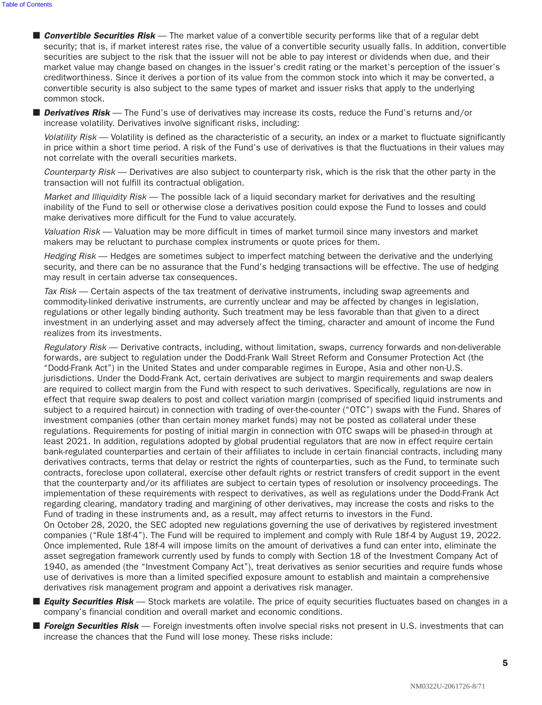■ **Convertible Securities Risk** — The market value of a convertible security performs like that of a regular debt security; that is, if market interest rates rise, the value of a convertible security usually falls. In addition, convertible securities are subject to the risk that the issuer will not be able to pay interest or dividends when due, and their market value may change based on changes in the issuer's credit rating or the market's perception of the issuer's creditworthiness. Since it derives a portion of its value from the common stock into which it may be converted, a convertible security is also subject to the same types of market and issuer risks that apply to the underlying common stock.

■ **Derivatives Risk** — The Fund's use of derivatives may increase its costs, reduce the Fund's returns and/or increase volatility. Derivatives involve significant risks, including:

*Volatility Risk* — Volatility is defined as the characteristic of a security, an index or a market to fluctuate significantly in price within a short time period. A risk of the Fund's use of derivatives is that the fluctuations in their values may not correlate with the overall securities markets.

*Counterpar ty Risk* — Derivatives are also subject to counterparty risk, which is the risk that the other party in the transaction will not fulfill its contractual obligation.

*Market and Illiquidity Risk* — The possible lack of a liquid secondary market for derivatives and the resulting inability of the Fund to sell or otherwise close a derivatives position could expose the Fund to losses and could make derivatives more difficult for the Fund to value accurately.

*Valuation Risk* — Valuation may be more difficult in times of market turmoil since many investors and market makers may be reluctant to purchase complex instruments or quote prices for them.

*Hedging Risk* — Hedges are sometimes subject to imperfect matching between the derivative and the underlying security, and there can be no assurance that the Fund's hedging transactions will be effective. The use of hedging may result in certain adverse tax consequences.

*Tax Risk* — Certain aspects of the tax treatment of derivative instruments, including swap agreements and commodity-linked derivative instruments, are currently unclear and may be affected by changes in legislation, regulations or other legally binding authority. Such treatment may be less favorable than that given to a direct investment in an underlying asset and may adversely affect the timing, character and amount of income the Fund realizes from its investments.

*Regulatory Risk* — Derivative contracts, including, without limitation, swaps, currency forwards and non-deliverable forwards, are subject to regulation under the Dodd-Frank Wall Street Reform and Consumer Protection Act (the "Dodd-Frank Act") in the United States and under comparable regimes in Europe, Asia and other non-U.S. jurisdictions. Under the Dodd-Frank Act, certain derivatives are subject to margin requirements and swap dealers are required to collect margin from the Fund with respect to such derivatives. Specifically, regulations are now in effect that require swap dealers to post and collect variation margin (comprised of specified liquid instruments and subject to a required haircut) in connection with trading of over-the-counter ("OTC") swaps with the Fund. Shares of investment companies (other than certain money market funds) may not be posted as collateral under these regulations. Requirements for posting of initial margin in connection with OTC swaps will be phased-in through at least 2021. In addition, regulations adopted by global prudential regulators that are now in effect require certain bank-regulated counterparties and certain of their affiliates to include in certain financial contracts, including many derivatives contracts, terms that delay or restrict the rights of counterparties, such as the Fund, to terminate such contracts, foreclose upon collateral, exercise other default rights or restrict transfers of credit support in the event that the counterparty and/or its affiliates are subject to certain types of resolution or insolvency proceedings. The implementation of these requirements with respect to derivatives, as well as regulations under the Dodd-Frank Act regarding clearing, mandatory trading and margining of other derivatives, may increase the costs and risks to the Fund of trading in these instruments and, as a result, may affect returns to investors in the Fund. On October 28, 2020, the SEC adopted new regulations governing the use of derivatives by registered investment

companies ("Rule 18f-4"). The Fund will be required to implement and comply with Rule 18f-4 by August 19, 2022. Once implemented, Rule 18f-4 will impose limits on the amount of derivatives a fund can enter into, eliminate the asset segregation framework currently used by funds to comply with Section 18 of the Investment Company Act of 1940, as amended (the "Investment Company Act"), treat derivatives as senior securities and require funds whose use of derivatives is more than a limited specified exposure amount to establish and maintain a comprehensive derivatives risk management program and appoint a derivatives risk manager.

- **Equity Securities Risk** Stock markets are volatile. The price of equity securities fluctuates based on changes in a company's financial condition and overall market and economic conditions.
- *Foreign Securities Risk* Foreign investments often involve special risks not present in U.S. investments that can increase the chances that the Fund will lose money. These risks include: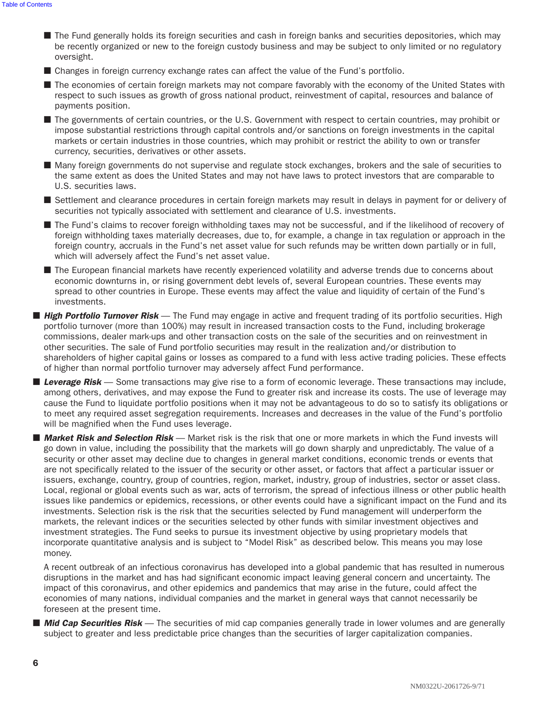- The Fund generally holds its foreign securities and cash in foreign banks and securities depositories, which may be recently organized or new to the foreign custody business and may be subject to only limited or no regulatory oversight.
- Changes in foreign currency exchange rates can affect the value of the Fund's portfolio.
- The economies of certain foreign markets may not compare favorably with the economy of the United States with respect to such issues as growth of gross national product, reinvestment of capital, resources and balance of payments position.
- The governments of certain countries, or the U.S. Government with respect to certain countries, may prohibit or impose substantial restrictions through capital controls and/or sanctions on foreign investments in the capital markets or certain industries in those countries, which may prohibit or restrict the ability to own or transfer currency, securities, derivatives or other assets.
- Many foreign governments do not supervise and regulate stock exchanges, brokers and the sale of securities to the same extent as does the United States and may not have laws to protect investors that are comparable to U.S. securities laws.
- Settlement and clearance procedures in certain foreign markets may result in delays in payment for or delivery of securities not typically associated with settlement and clearance of U.S. investments.
- The Fund's claims to recover foreign withholding taxes may not be successful, and if the likelihood of recovery of foreign withholding taxes materially decreases, due to, for example, a change in tax regulation or approach in the foreign country, accruals in the Fund's net asset value for such refunds may be written down partially or in full, which will adversely affect the Fund's net asset value.
- The European financial markets have recently experienced volatility and adverse trends due to concerns about economic downturns in, or rising government debt levels of, several European countries. These events may spread to other countries in Europe. These events may affect the value and liquidity of certain of the Fund's investments.
- High Portfolio Turnover Risk The Fund may engage in active and frequent trading of its portfolio securities. High portfolio turnover (more than 100%) may result in increased transaction costs to the Fund, including brokerage commissions, dealer mark-ups and other transaction costs on the sale of the securities and on reinvestment in other securities. The sale of Fund portfolio securities may result in the realization and/or distribution to shareholders of higher capital gains or losses as compared to a fund with less active trading policies. These effects of higher than normal portfolio turnover may adversely affect Fund performance.
- **Leverage Risk** Some transactions may give rise to a form of economic leverage. These transactions may include, among others, derivatives, and may expose the Fund to greater risk and increase its costs. The use of leverage may cause the Fund to liquidate portfolio positions when it may not be advantageous to do so to satisfy its obligations or to meet any required asset segregation requirements. Increases and decreases in the value of the Fund's portfolio will be magnified when the Fund uses leverage.
- *Market Risk and Selection Risk* Market risk is the risk that one or more markets in which the Fund invests will go down in value, including the possibility that the markets will go down sharply and unpredictably. The value of a security or other asset may decline due to changes in general market conditions, economic trends or events that are not specifically related to the issuer of the security or other asset, or factors that affect a particular issuer or issuers, exchange, country, group of countries, region, market, industry, group of industries, sector or asset class. Local, regional or global events such as war, acts of terrorism, the spread of infectious illness or other public health issues like pandemics or epidemics, recessions, or other events could have a significant impact on the Fund and its investments. Selection risk is the risk that the securities selected by Fund management will underperform the markets, the relevant indices or the securities selected by other funds with similar investment objectives and investment strategies. The Fund seeks to pursue its investment objective by using proprietary models that incorporate quantitative analysis and is subject to "Model Risk" as described below. This means you may lose money.

A recent outbreak of an infectious coronavirus has developed into a global pandemic that has resulted in numerous disruptions in the market and has had significant economic impact leaving general concern and uncertainty. The impact of this coronavirus, and other epidemics and pandemics that may arise in the future, could affect the economies of many nations, individual companies and the market in general ways that cannot necessarily be foreseen at the present time.

■ *Mid Cap Securities Risk* — The securities of mid cap companies generally trade in lower volumes and are generally subject to greater and less predictable price changes than the securities of larger capitalization companies.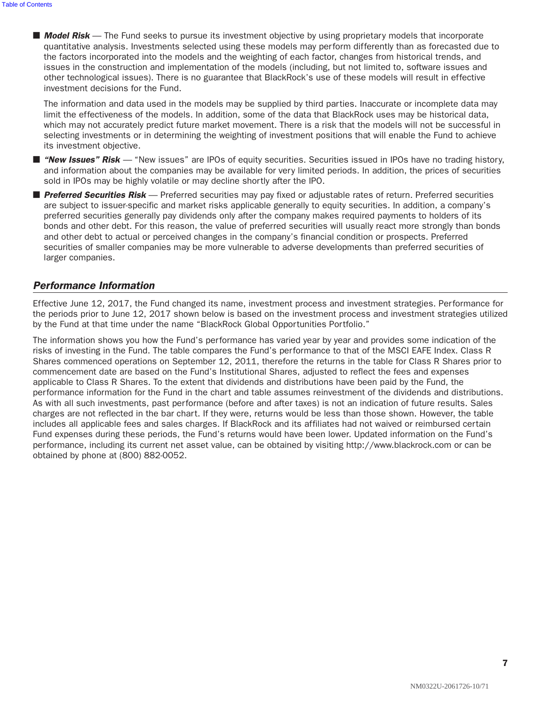<span id="page-9-0"></span>■ *Model Risk* — The Fund seeks to pursue its investment objective by using proprietary models that incorporate quantitative analysis. Investments selected using these models may perform differently than as forecasted due to the factors incorporated into the models and the weighting of each factor, changes from historical trends, and issues in the construction and implementation of the models (including, but not limited to, software issues and other technological issues). There is no guarantee that BlackRock's use of these models will result in effective investment decisions for the Fund.

The information and data used in the models may be supplied by third parties. Inaccurate or incomplete data may limit the effectiveness of the models. In addition, some of the data that BlackRock uses may be historical data, which may not accurately predict future market movement. There is a risk that the models will not be successful in selecting investments or in determining the weighting of investment positions that will enable the Fund to achieve its investment objective.

- *"New Issues" Risk* "New issues" are IPOs of equity securities. Securities issued in IPOs have no trading history, and information about the companies may be available for very limited periods. In addition, the prices of securities sold in IPOs may be highly volatile or may decline shortly after the IPO.
- Preferred Securities Risk Preferred securities may pay fixed or adjustable rates of return. Preferred securities are subject to issuer-specific and market risks applicable generally to equity securities. In addition, a company's preferred securities generally pay dividends only after the company makes required payments to holders of its bonds and other debt. For this reason, the value of preferred securities will usually react more strongly than bonds and other debt to actual or perceived changes in the company's financial condition or prospects. Preferred securities of smaller companies may be more vulnerable to adverse developments than preferred securities of larger companies.

## *Performance Information*

Effective June 12, 2017, the Fund changed its name, investment process and investment strategies. Performance for the periods prior to June 12, 2017 shown below is based on the investment process and investment strategies utilized by the Fund at that time under the name "BlackRock Global Opportunities Portfolio."

The information shows you how the Fund's performance has varied year by year and provides some indication of the risks of investing in the Fund. The table compares the Fund's performance to that of the MSCI EAFE Index. Class R Shares commenced operations on September 12, 2011, therefore the returns in the table for Class R Shares prior to commencement date are based on the Fund's Institutional Shares, adjusted to reflect the fees and expenses applicable to Class R Shares. To the extent that dividends and distributions have been paid by the Fund, the performance information for the Fund in the chart and table assumes reinvestment of the dividends and distributions. As with all such investments, past performance (before and after taxes) is not an indication of future results. Sales charges are not reflected in the bar chart. If they were, returns would be less than those shown. However, the table includes all applicable fees and sales charges. If BlackRock and its affiliates had not waived or reimbursed certain Fund expenses during these periods, the Fund's returns would have been lower. Updated information on the Fund's performance, including its current net asset value, can be obtained by visiting http://www.blackrock.com or can be obtained by phone at (800) 882-0052.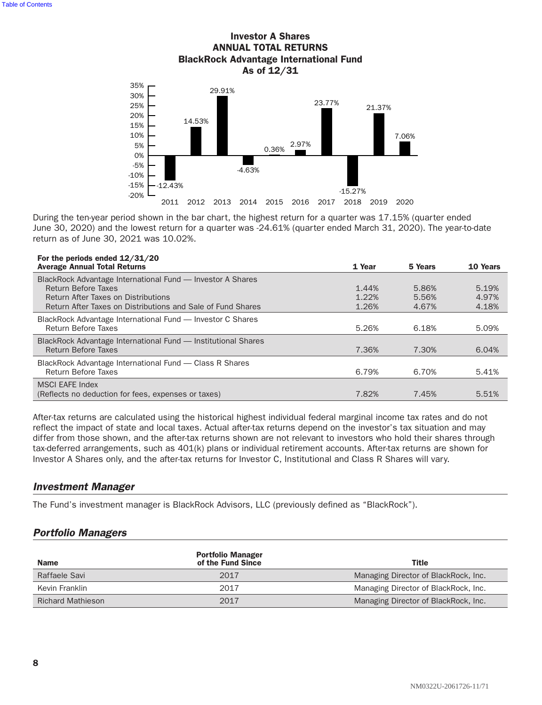## Investor A Shares ANNUAL TOTAL RETURNS BlackRock Advantage International Fund As of 12/31

<span id="page-10-0"></span>

During the ten-year period shown in the bar chart, the highest return for a quarter was 17.15% (quarter ended June 30, 2020) and the lowest return for a quarter was -24.61% (quarter ended March 31, 2020). The year-to-date return as of June 30, 2021 was 10.02%.

| For the periods ended 12/31/20                                |        |         |          |
|---------------------------------------------------------------|--------|---------|----------|
| <b>Average Annual Total Returns</b>                           | 1 Year | 5 Years | 10 Years |
| BlackRock Advantage International Fund — Investor A Shares    |        |         |          |
| Return Before Taxes                                           | 1.44%  | 5.86%   | 5.19%    |
| Return After Taxes on Distributions                           | 1.22%  | 5.56%   | 4.97%    |
| Return After Taxes on Distributions and Sale of Fund Shares   | 1.26%  | 4.67%   | 4.18%    |
| BlackRock Advantage International Fund — Investor C Shares    |        |         |          |
| Return Before Taxes                                           | 5.26%  | 6.18%   | 5.09%    |
| BlackRock Advantage International Fund - Institutional Shares |        |         |          |
| Return Before Taxes                                           | 7.36%  | 7.30%   | 6.04%    |
| BlackRock Advantage International Fund - Class R Shares       |        |         |          |
| Return Before Taxes                                           | 6.79%  | 6.70%   | 5.41%    |
| <b>MSCI EAFE Index</b>                                        |        |         |          |
| (Reflects no deduction for fees, expenses or taxes)           | 7.82%  | 7.45%   | 5.51%    |

After-tax returns are calculated using the historical highest individual federal marginal income tax rates and do not reflect the impact of state and local taxes. Actual after-tax returns depend on the investor's tax situation and may differ from those shown, and the after-tax returns shown are not relevant to investors who hold their shares through tax-deferred arrangements, such as 401(k) plans or individual retirement accounts. After-tax returns are shown for Investor A Shares only, and the after-tax returns for Investor C, Institutional and Class R Shares will vary.

#### *Investment Manager*

The Fund's investment manager is BlackRock Advisors, LLC (previously defined as "BlackRock").

# *Portfolio Managers*

|                   | <b>Portfolio Manager</b> |                                      |
|-------------------|--------------------------|--------------------------------------|
| <b>Name</b>       | of the Fund Since        | <b>Title</b>                         |
| Raffaele Savi     | 2017                     | Managing Director of BlackRock, Inc. |
| Kevin Franklin    | 2017                     | Managing Director of BlackRock, Inc. |
| Richard Mathieson | 2017                     | Managing Director of BlackRock, Inc. |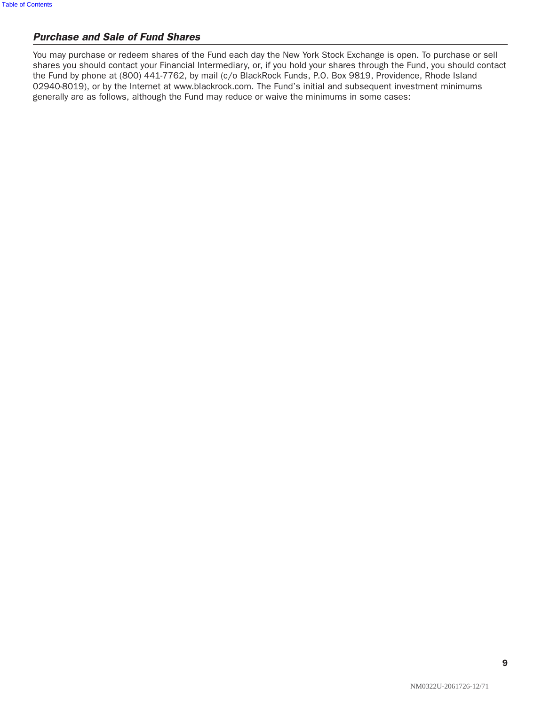# <span id="page-11-0"></span>*Purchase and Sale of Fund Shares*

You may purchase or redeem shares of the Fund each day the New York Stock Exchange is open. To purchase or sell shares you should contact your Financial Intermediary, or, if you hold your shares through the Fund, you should contact the Fund by phone at (800) 441-7762, by mail (c/o BlackRock Funds, P.O. Box 9819, Providence, Rhode Island 02940-8019), or by the Internet at www.blackrock.com. The Fund's initial and subsequent investment minimums generally are as follows, although the Fund may reduce or waive the minimums in some cases: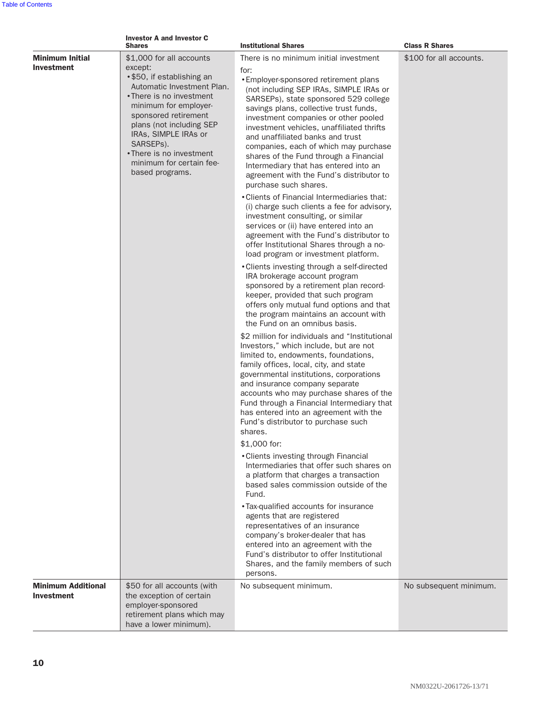|                                                | <b>Investor A and Investor C</b><br><b>Shares</b>                                                                                                                                                                                                                                                                        | <b>Institutional Shares</b>                                                                                                                                                                                                                                                                                                                                                                                                                                                                                                                                   | <b>Class R Shares</b>   |
|------------------------------------------------|--------------------------------------------------------------------------------------------------------------------------------------------------------------------------------------------------------------------------------------------------------------------------------------------------------------------------|---------------------------------------------------------------------------------------------------------------------------------------------------------------------------------------------------------------------------------------------------------------------------------------------------------------------------------------------------------------------------------------------------------------------------------------------------------------------------------------------------------------------------------------------------------------|-------------------------|
| <b>Minimum Initial</b><br><b>Investment</b>    | \$1,000 for all accounts<br>except:<br>• \$50, if establishing an<br>Automatic Investment Plan.<br>• There is no investment<br>minimum for employer-<br>sponsored retirement<br>plans (not including SEP<br>IRAs, SIMPLE IRAs or<br>SARSEPS).<br>• There is no investment<br>minimum for certain fee-<br>based programs. | There is no minimum initial investment<br>for:<br>• Employer-sponsored retirement plans<br>(not including SEP IRAs, SIMPLE IRAs or<br>SARSEPs), state sponsored 529 college<br>savings plans, collective trust funds,<br>investment companies or other pooled<br>investment vehicles, unaffiliated thrifts<br>and unaffiliated banks and trust<br>companies, each of which may purchase<br>shares of the Fund through a Financial<br>Intermediary that has entered into an<br>agreement with the Fund's distributor to<br>purchase such shares.               | \$100 for all accounts. |
|                                                |                                                                                                                                                                                                                                                                                                                          | . Clients of Financial Intermediaries that:<br>(i) charge such clients a fee for advisory,<br>investment consulting, or similar<br>services or (ii) have entered into an<br>agreement with the Fund's distributor to<br>offer Institutional Shares through a no-<br>load program or investment platform.<br>• Clients investing through a self-directed<br>IRA brokerage account program<br>sponsored by a retirement plan record-<br>keeper, provided that such program<br>offers only mutual fund options and that<br>the program maintains an account with |                         |
|                                                |                                                                                                                                                                                                                                                                                                                          | the Fund on an omnibus basis.<br>\$2 million for individuals and "Institutional<br>Investors," which include, but are not<br>limited to, endowments, foundations,<br>family offices, local, city, and state<br>governmental institutions, corporations<br>and insurance company separate<br>accounts who may purchase shares of the<br>Fund through a Financial Intermediary that<br>has entered into an agreement with the<br>Fund's distributor to purchase such<br>shares.<br>\$1,000 for:                                                                 |                         |
|                                                |                                                                                                                                                                                                                                                                                                                          | • Clients investing through Financial<br>Intermediaries that offer such shares on<br>a platform that charges a transaction<br>based sales commission outside of the<br>Fund.                                                                                                                                                                                                                                                                                                                                                                                  |                         |
|                                                |                                                                                                                                                                                                                                                                                                                          | • Tax-qualified accounts for insurance<br>agents that are registered<br>representatives of an insurance<br>company's broker-dealer that has<br>entered into an agreement with the<br>Fund's distributor to offer Institutional<br>Shares, and the family members of such<br>persons.                                                                                                                                                                                                                                                                          |                         |
| <b>Minimum Additional</b><br><b>Investment</b> | \$50 for all accounts (with<br>the exception of certain<br>employer-sponsored<br>retirement plans which may<br>have a lower minimum).                                                                                                                                                                                    | No subsequent minimum.                                                                                                                                                                                                                                                                                                                                                                                                                                                                                                                                        | No subsequent minimum.  |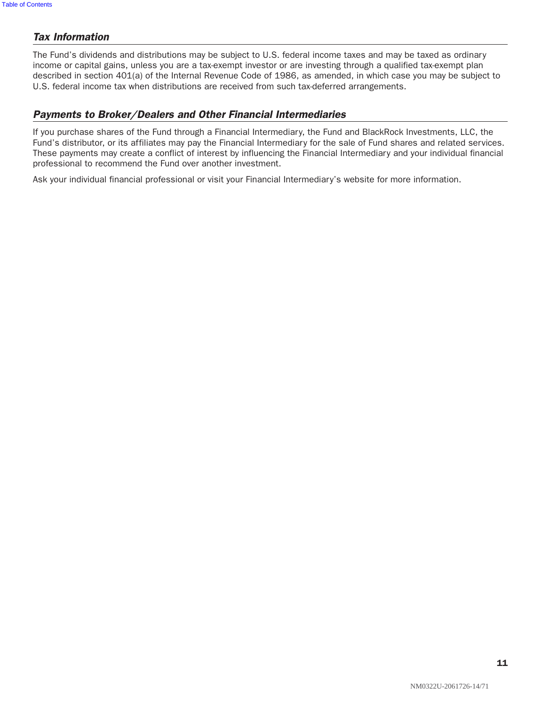# <span id="page-13-0"></span>*Tax Information*

The Fund's dividends and distributions may be subject to U.S. federal income taxes and may be taxed as ordinary income or capital gains, unless you are a tax-exempt investor or are investing through a qualified tax-exempt plan described in section 401(a) of the Internal Revenue Code of 1986, as amended, in which case you may be subject to U.S. federal income tax when distributions are received from such tax-deferred arrangements.

# *Payments to Broker/Dealers and Other Financial Intermediaries*

If you purchase shares of the Fund through a Financial Intermediary, the Fund and BlackRock Investments, LLC, the Fund's distributor, or its affiliates may pay the Financial Intermediary for the sale of Fund shares and related services. These payments may create a conflict of interest by influencing the Financial Intermediary and your individual financial professional to recommend the Fund over another investment.

Ask your individual financial professional or visit your Financial Intermediary's website for more information.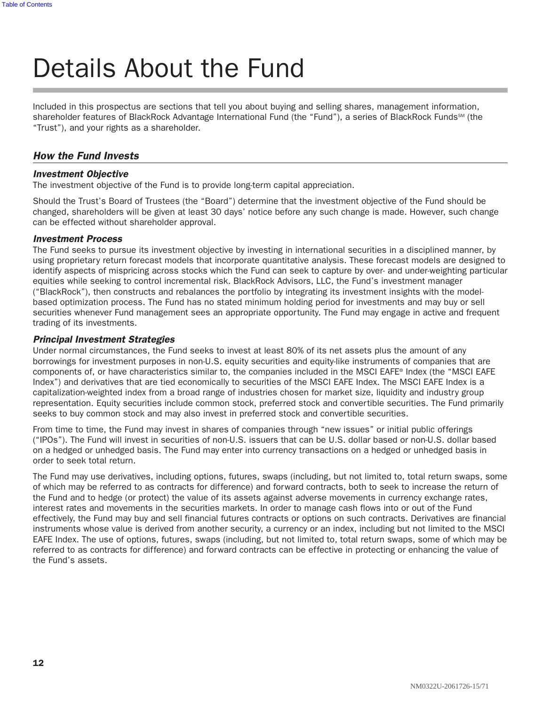# <span id="page-14-0"></span>Details About the Fund

Included in this prospectus are sections that tell you about buying and selling shares, management information, shareholder features of BlackRock Advantage International Fund (the "Fund"), a series of BlackRock Funds<sup>®M</sup> (the "Trust"), and your rights as a shareholder.

# *How the Fund Invests*

## *Investment Objective*

The investment objective of the Fund is to provide long-term capital appreciation.

Should the Trust's Board of Trustees (the "Board") determine that the investment objective of the Fund should be changed, shareholders will be given at least 30 days' notice before any such change is made. However, such change can be effected without shareholder approval.

## *Investment Process*

The Fund seeks to pursue its investment objective by investing in international securities in a disciplined manner, by using proprietary return forecast models that incorporate quantitative analysis. These forecast models are designed to identify aspects of mispricing across stocks which the Fund can seek to capture by over- and under-weighting particular equities while seeking to control incremental risk. BlackRock Advisors, LLC, the Fund's investment manager ("BlackRock"), then constructs and rebalances the portfolio by integrating its investment insights with the modelbased optimization process. The Fund has no stated minimum holding period for investments and may buy or sell securities whenever Fund management sees an appropriate opportunity. The Fund may engage in active and frequent trading of its investments.

## *Principal Investment Strategies*

Under normal circumstances, the Fund seeks to invest at least 80% of its net assets plus the amount of any borrowings for investment purposes in non-U.S. equity securities and equity-like instruments of companies that are components of, or have characteristics similar to, the companies included in the MSCI EAFE® Index (the "MSCI EAFE Index") and derivatives that are tied economically to securities of the MSCI EAFE Index. The MSCI EAFE Index is a capitalization-weighted index from a broad range of industries chosen for market size, liquidity and industry group representation. Equity securities include common stock, preferred stock and convertible securities. The Fund primarily seeks to buy common stock and may also invest in preferred stock and convertible securities.

From time to time, the Fund may invest in shares of companies through "new issues" or initial public offerings ("IPOs"). The Fund will invest in securities of non-U.S. issuers that can be U.S. dollar based or non-U.S. dollar based on a hedged or unhedged basis. The Fund may enter into currency transactions on a hedged or unhedged basis in order to seek total return.

The Fund may use derivatives, including options, futures, swaps (including, but not limited to, total return swaps, some of which may be referred to as contracts for difference) and forward contracts, both to seek to increase the return of the Fund and to hedge (or protect) the value of its assets against adverse movements in currency exchange rates, interest rates and movements in the securities markets. In order to manage cash flows into or out of the Fund effectively, the Fund may buy and sell financial futures contracts or options on such contracts. Derivatives are financial instruments whose value is derived from another security, a currency or an index, including but not limited to the MSCI EAFE Index. The use of options, futures, swaps (including, but not limited to, total return swaps, some of which may be referred to as contracts for difference) and forward contracts can be effective in protecting or enhancing the value of the Fund's assets.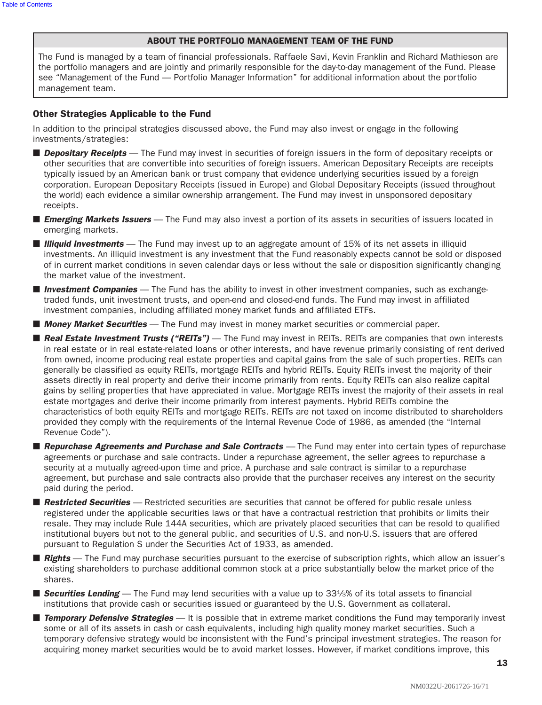#### ABOUT THE PORTFOLIO MANAGEMENT TEAM OF THE FUND

The Fund is managed by a team of financial professionals. Raffaele Savi, Kevin Franklin and Richard Mathieson are the portfolio managers and are jointly and primarily responsible for the day-to-day management of the Fund. Please see "Management of the Fund — Portfolio Manager Information" for additional information about the portfolio management team.

#### Other Strategies Applicable to the Fund

In addition to the principal strategies discussed above, the Fund may also invest or engage in the following investments/strategies:

- **Depositary Receipts** The Fund may invest in securities of foreign issuers in the form of depositary receipts or other securities that are convertible into securities of foreign issuers. American Depositary Receipts are receipts typically issued by an American bank or trust company that evidence underlying securities issued by a foreign corporation. European Depositary Receipts (issued in Europe) and Global Depositary Receipts (issued throughout the world) each evidence a similar ownership arrangement. The Fund may invest in unsponsored depositary receipts.
- **E** *Emerging Markets Issuers* The Fund may also invest a portion of its assets in securities of issuers located in emerging markets.
- **Illiquid Investments** The Fund may invest up to an aggregate amount of 15% of its net assets in illiquid investments. An illiquid investment is any investment that the Fund reasonably expects cannot be sold or disposed of in current market conditions in seven calendar days or less without the sale or disposition significantly changing the market value of the investment.
- **Investment Companies** The Fund has the ability to invest in other investment companies, such as exchangetraded funds, unit investment trusts, and open-end and closed-end funds. The Fund may invest in affiliated investment companies, including affiliated money market funds and affiliated ETFs.
- **Money Market Securities** The Fund may invest in money market securities or commercial paper.
- *Real Estate Investment Trusts ("REITs")* The Fund may invest in REITs. REITs are companies that own interests in real estate or in real estate-related loans or other interests, and have revenue primarily consisting of rent derived from owned, income producing real estate properties and capital gains from the sale of such properties. REITs can generally be classified as equity REITs, mortgage REITs and hybrid REITs. Equity REITs invest the majority of their assets directly in real property and derive their income primarily from rents. Equity REITs can also realize capital gains by selling properties that have appreciated in value. Mortgage REITs invest the majority of their assets in real estate mortgages and derive their income primarily from interest payments. Hybrid REITs combine the characteristics of both equity REITs and mortgage REITs. REITs are not taxed on income distributed to shareholders provided they comply with the requirements of the Internal Revenue Code of 1986, as amended (the "Internal Revenue Code").
- **Repurchase Agreements and Purchase and Sale Contracts** The Fund may enter into certain types of repurchase agreements or purchase and sale contracts. Under a repurchase agreement, the seller agrees to repurchase a security at a mutually agreed-upon time and price. A purchase and sale contract is similar to a repurchase agreement, but purchase and sale contracts also provide that the purchaser receives any interest on the security paid during the period.
- **Restricted Securities** Restricted securities are securities that cannot be offered for public resale unless registered under the applicable securities laws or that have a contractual restriction that prohibits or limits their resale. They may include Rule 144A securities, which are privately placed securities that can be resold to qualified institutional buyers but not to the general public, and securities of U.S. and non-U.S. issuers that are offered pursuant to Regulation S under the Securities Act of 1933, as amended.
- **Rights** The Fund may purchase securities pursuant to the exercise of subscription rights, which allow an issuer's existing shareholders to purchase additional common stock at a price substantially below the market price of the shares.
- **Securities Lending** The Fund may lend securities with a value up to 331⁄3% of its total assets to financial institutions that provide cash or securities issued or guaranteed by the U.S. Government as collateral.
- **Temporary Defensive Strategies** It is possible that in extreme market conditions the Fund may temporarily invest some or all of its assets in cash or cash equivalents, including high quality money market securities. Such a temporary defensive strategy would be inconsistent with the Fund's principal investment strategies. The reason for acquiring money market securities would be to avoid market losses. However, if market conditions improve, this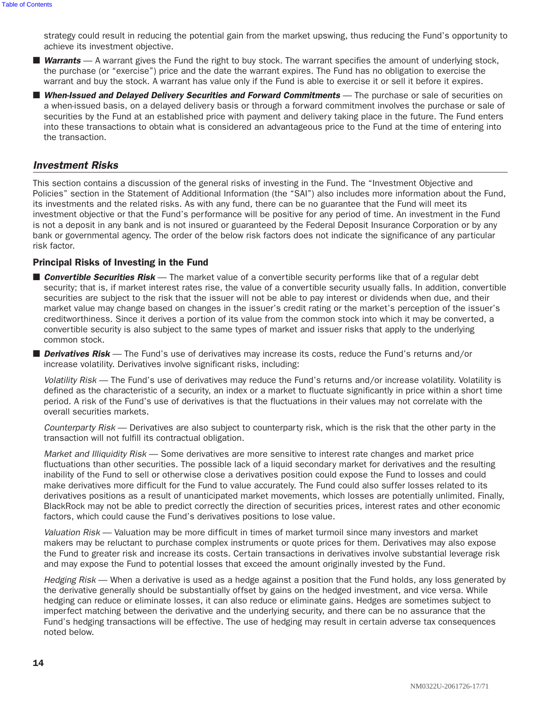<span id="page-16-0"></span>strategy could result in reducing the potential gain from the market upswing, thus reducing the Fund's opportunity to achieve its investment objective.

- **Warrants** A warrant gives the Fund the right to buy stock. The warrant specifies the amount of underlying stock, the purchase (or "exercise") price and the date the warrant expires. The Fund has no obligation to exercise the warrant and buy the stock. A warrant has value only if the Fund is able to exercise it or sell it before it expires.
- *When-Issued and Delayed Delivery Securities and Forward Commitments* The purchase or sale of securities on a when-issued basis, on a delayed delivery basis or through a forward commitment involves the purchase or sale of securities by the Fund at an established price with payment and delivery taking place in the future. The Fund enters into these transactions to obtain what is considered an advantageous price to the Fund at the time of entering into the transaction.

## *Investment Risks*

This section contains a discussion of the general risks of investing in the Fund. The "Investment Objective and Policies" section in the Statement of Additional Information (the "SAI") also includes more information about the Fund, its investments and the related risks. As with any fund, there can be no guarantee that the Fund will meet its investment objective or that the Fund's performance will be positive for any period of time. An investment in the Fund is not a deposit in any bank and is not insured or guaranteed by the Federal Deposit Insurance Corporation or by any bank or governmental agency. The order of the below risk factors does not indicate the significance of any particular risk factor.

#### Principal Risks of Investing in the Fund

- *Convertible Securities Risk* The market value of a convertible security performs like that of a regular debt security; that is, if market interest rates rise, the value of a convertible security usually falls. In addition, convertible securities are subject to the risk that the issuer will not be able to pay interest or dividends when due, and their market value may change based on changes in the issuer's credit rating or the market's perception of the issuer's creditworthiness. Since it derives a portion of its value from the common stock into which it may be converted, a convertible security is also subject to the same types of market and issuer risks that apply to the underlying common stock.
- **Derivatives Risk** The Fund's use of derivatives may increase its costs, reduce the Fund's returns and/or increase volatility. Derivatives involve significant risks, including:

*Volatility Risk* — The Fund's use of derivatives may reduce the Fund's returns and/or increase volatility. Volatility is defined as the characteristic of a security, an index or a market to fluctuate significantly in price within a short time period. A risk of the Fund's use of derivatives is that the fluctuations in their values may not correlate with the overall securities markets.

*Counterpar ty Risk* — Derivatives are also subject to counterparty risk, which is the risk that the other party in the transaction will not fulfill its contractual obligation.

*Market and Illiquidity Risk* — Some derivatives are more sensitive to interest rate changes and market price fluctuations than other securities. The possible lack of a liquid secondary market for derivatives and the resulting inability of the Fund to sell or otherwise close a derivatives position could expose the Fund to losses and could make derivatives more difficult for the Fund to value accurately. The Fund could also suffer losses related to its derivatives positions as a result of unanticipated market movements, which losses are potentially unlimited. Finally, BlackRock may not be able to predict correctly the direction of securities prices, interest rates and other economic factors, which could cause the Fund's derivatives positions to lose value.

*Valuation Risk* — Valuation may be more difficult in times of market turmoil since many investors and market makers may be reluctant to purchase complex instruments or quote prices for them. Derivatives may also expose the Fund to greater risk and increase its costs. Certain transactions in derivatives involve substantial leverage risk and may expose the Fund to potential losses that exceed the amount originally invested by the Fund.

*Hedging Risk* — When a derivative is used as a hedge against a position that the Fund holds, any loss generated by the derivative generally should be substantially offset by gains on the hedged investment, and vice versa. While hedging can reduce or eliminate losses, it can also reduce or eliminate gains. Hedges are sometimes subject to imperfect matching between the derivative and the underlying security, and there can be no assurance that the Fund's hedging transactions will be effective. The use of hedging may result in certain adverse tax consequences noted below.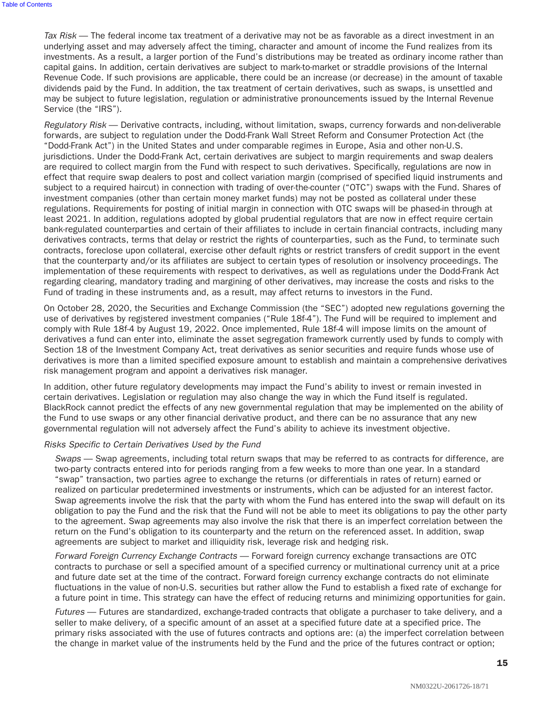*Tax Risk* — The federal income tax treatment of a derivative may not be as favorable as a direct investment in an underlying asset and may adversely affect the timing, character and amount of income the Fund realizes from its investments. As a result, a larger portion of the Fund's distributions may be treated as ordinary income rather than capital gains. In addition, certain derivatives are subject to mark-to-market or straddle provisions of the Internal Revenue Code. If such provisions are applicable, there could be an increase (or decrease) in the amount of taxable dividends paid by the Fund. In addition, the tax treatment of certain derivatives, such as swaps, is unsettled and may be subject to future legislation, regulation or administrative pronouncements issued by the Internal Revenue Service (the "IRS").

*Regulatory Risk* — Derivative contracts, including, without limitation, swaps, currency forwards and non-deliverable forwards, are subject to regulation under the Dodd-Frank Wall Street Reform and Consumer Protection Act (the "Dodd-Frank Act") in the United States and under comparable regimes in Europe, Asia and other non-U.S. jurisdictions. Under the Dodd-Frank Act, certain derivatives are subject to margin requirements and swap dealers are required to collect margin from the Fund with respect to such derivatives. Specifically, regulations are now in effect that require swap dealers to post and collect variation margin (comprised of specified liquid instruments and subject to a required haircut) in connection with trading of over-the-counter ("OTC") swaps with the Fund. Shares of investment companies (other than certain money market funds) may not be posted as collateral under these regulations. Requirements for posting of initial margin in connection with OTC swaps will be phased-in through at least 2021. In addition, regulations adopted by global prudential regulators that are now in effect require certain bank-regulated counterparties and certain of their affiliates to include in certain financial contracts, including many derivatives contracts, terms that delay or restrict the rights of counterparties, such as the Fund, to terminate such contracts, foreclose upon collateral, exercise other default rights or restrict transfers of credit support in the event that the counterparty and/or its affiliates are subject to certain types of resolution or insolvency proceedings. The implementation of these requirements with respect to derivatives, as well as regulations under the Dodd-Frank Act regarding clearing, mandatory trading and margining of other derivatives, may increase the costs and risks to the Fund of trading in these instruments and, as a result, may affect returns to investors in the Fund.

On October 28, 2020, the Securities and Exchange Commission (the "SEC") adopted new regulations governing the use of derivatives by registered investment companies ("Rule 18f-4"). The Fund will be required to implement and comply with Rule 18f-4 by August 19, 2022. Once implemented, Rule 18f-4 will impose limits on the amount of derivatives a fund can enter into, eliminate the asset segregation framework currently used by funds to comply with Section 18 of the Investment Company Act, treat derivatives as senior securities and require funds whose use of derivatives is more than a limited specified exposure amount to establish and maintain a comprehensive derivatives risk management program and appoint a derivatives risk manager.

In addition, other future regulatory developments may impact the Fund's ability to invest or remain invested in certain derivatives. Legislation or regulation may also change the way in which the Fund itself is regulated. BlackRock cannot predict the effects of any new governmental regulation that may be implemented on the ability of the Fund to use swaps or any other financial derivative product, and there can be no assurance that any new governmental regulation will not adversely affect the Fund's ability to achieve its investment objective.

#### *Risks Specific to Cer tain Derivatives Used by the Fund*

*Swaps* — Swap agreements, including total return swaps that may be referred to as contracts for difference, are two-party contracts entered into for periods ranging from a few weeks to more than one year. In a standard "swap" transaction, two parties agree to exchange the returns (or differentials in rates of return) earned or realized on particular predetermined investments or instruments, which can be adjusted for an interest factor. Swap agreements involve the risk that the party with whom the Fund has entered into the swap will default on its obligation to pay the Fund and the risk that the Fund will not be able to meet its obligations to pay the other party to the agreement. Swap agreements may also involve the risk that there is an imperfect correlation between the return on the Fund's obligation to its counterparty and the return on the referenced asset. In addition, swap agreements are subject to market and illiquidity risk, leverage risk and hedging risk.

*Forward Foreign Currency Exchange Contracts* — Forward foreign currency exchange transactions are OTC contracts to purchase or sell a specified amount of a specified currency or multinational currency unit at a price and future date set at the time of the contract. Forward foreign currency exchange contracts do not eliminate fluctuations in the value of non-U.S. securities but rather allow the Fund to establish a fixed rate of exchange for a future point in time. This strategy can have the effect of reducing returns and minimizing opportunities for gain.

*Futures* — Futures are standardized, exchange-traded contracts that obligate a purchaser to take delivery, and a seller to make delivery, of a specific amount of an asset at a specified future date at a specified price. The primary risks associated with the use of futures contracts and options are: (a) the imperfect correlation between the change in market value of the instruments held by the Fund and the price of the futures contract or option;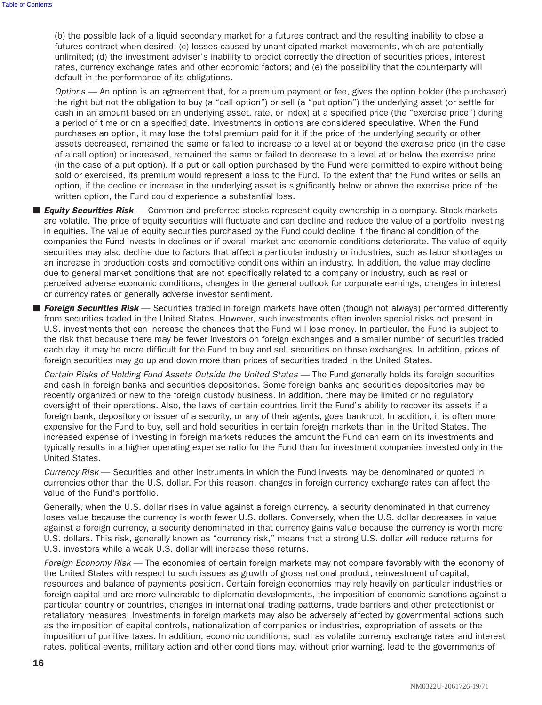(b) the possible lack of a liquid secondary market for a futures contract and the resulting inability to close a futures contract when desired; (c) losses caused by unanticipated market movements, which are potentially unlimited; (d) the investment adviser's inability to predict correctly the direction of securities prices, interest rates, currency exchange rates and other economic factors; and (e) the possibility that the counterparty will default in the performance of its obligations.

*Options* — An option is an agreement that, for a premium payment or fee, gives the option holder (the purchaser) the right but not the obligation to buy (a "call option") or sell (a "put option") the underlying asset (or settle for cash in an amount based on an underlying asset, rate, or index) at a specified price (the "exercise price") during a period of time or on a specified date. Investments in options are considered speculative. When the Fund purchases an option, it may lose the total premium paid for it if the price of the underlying security or other assets decreased, remained the same or failed to increase to a level at or beyond the exercise price (in the case of a call option) or increased, remained the same or failed to decrease to a level at or below the exercise price (in the case of a put option). If a put or call option purchased by the Fund were permitted to expire without being sold or exercised, its premium would represent a loss to the Fund. To the extent that the Fund writes or sells an option, if the decline or increase in the underlying asset is significantly below or above the exercise price of the written option, the Fund could experience a substantial loss.

**Equity Securities Risk** — Common and preferred stocks represent equity ownership in a company. Stock markets are volatile. The price of equity securities will fluctuate and can decline and reduce the value of a portfolio investing in equities. The value of equity securities purchased by the Fund could decline if the financial condition of the companies the Fund invests in declines or if overall market and economic conditions deteriorate. The value of equity securities may also decline due to factors that affect a particular industry or industries, such as labor shortages or an increase in production costs and competitive conditions within an industry. In addition, the value may decline due to general market conditions that are not specifically related to a company or industry, such as real or perceived adverse economic conditions, changes in the general outlook for corporate earnings, changes in interest or currency rates or generally adverse investor sentiment.

**Foreign Securities Risk** — Securities traded in foreign markets have often (though not always) performed differently from securities traded in the United States. However, such investments often involve special risks not present in U.S. investments that can increase the chances that the Fund will lose money. In particular, the Fund is subject to the risk that because there may be fewer investors on foreign exchanges and a smaller number of securities traded each day, it may be more difficult for the Fund to buy and sell securities on those exchanges. In addition, prices of foreign securities may go up and down more than prices of securities traded in the United States.

*Cer tain Risks of Holding Fund Assets Outside the United States* — The Fund generally holds its foreign securities and cash in foreign banks and securities depositories. Some foreign banks and securities depositories may be recently organized or new to the foreign custody business. In addition, there may be limited or no regulatory oversight of their operations. Also, the laws of certain countries limit the Fund's ability to recover its assets if a foreign bank, depository or issuer of a security, or any of their agents, goes bankrupt. In addition, it is often more expensive for the Fund to buy, sell and hold securities in certain foreign markets than in the United States. The increased expense of investing in foreign markets reduces the amount the Fund can earn on its investments and typically results in a higher operating expense ratio for the Fund than for investment companies invested only in the United States.

*Currency Risk* — Securities and other instruments in which the Fund invests may be denominated or quoted in currencies other than the U.S. dollar. For this reason, changes in foreign currency exchange rates can affect the value of the Fund's portfolio.

Generally, when the U.S. dollar rises in value against a foreign currency, a security denominated in that currency loses value because the currency is worth fewer U.S. dollars. Conversely, when the U.S. dollar decreases in value against a foreign currency, a security denominated in that currency gains value because the currency is worth more U.S. dollars. This risk, generally known as "currency risk," means that a strong U.S. dollar will reduce returns for U.S. investors while a weak U.S. dollar will increase those returns.

*Foreign Economy Risk* — The economies of certain foreign markets may not compare favorably with the economy of the United States with respect to such issues as growth of gross national product, reinvestment of capital, resources and balance of payments position. Certain foreign economies may rely heavily on particular industries or foreign capital and are more vulnerable to diplomatic developments, the imposition of economic sanctions against a particular country or countries, changes in international trading patterns, trade barriers and other protectionist or retaliatory measures. Investments in foreign markets may also be adversely affected by governmental actions such as the imposition of capital controls, nationalization of companies or industries, expropriation of assets or the imposition of punitive taxes. In addition, economic conditions, such as volatile currency exchange rates and interest rates, political events, military action and other conditions may, without prior warning, lead to the governments of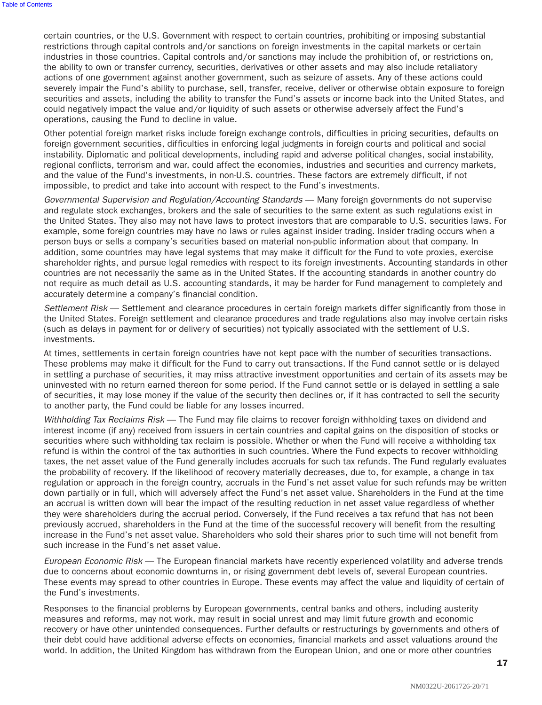certain countries, or the U.S. Government with respect to certain countries, prohibiting or imposing substantial restrictions through capital controls and/or sanctions on foreign investments in the capital markets or certain industries in those countries. Capital controls and/or sanctions may include the prohibition of, or restrictions on, the ability to own or transfer currency, securities, derivatives or other assets and may also include retaliatory actions of one government against another government, such as seizure of assets. Any of these actions could severely impair the Fund's ability to purchase, sell, transfer, receive, deliver or otherwise obtain exposure to foreign securities and assets, including the ability to transfer the Fund's assets or income back into the United States, and could negatively impact the value and/or liquidity of such assets or otherwise adversely affect the Fund's operations, causing the Fund to decline in value.

Other potential foreign market risks include foreign exchange controls, difficulties in pricing securities, defaults on foreign government securities, difficulties in enforcing legal judgments in foreign courts and political and social instability. Diplomatic and political developments, including rapid and adverse political changes, social instability, regional conflicts, terrorism and war, could affect the economies, industries and securities and currency markets, and the value of the Fund's investments, in non-U.S. countries. These factors are extremely difficult, if not impossible, to predict and take into account with respect to the Fund's investments.

*Governmental Supervision and Regulation/Accounting Standards* — Many foreign governments do not supervise and regulate stock exchanges, brokers and the sale of securities to the same extent as such regulations exist in the United States. They also may not have laws to protect investors that are comparable to U.S. securities laws. For example, some foreign countries may have no laws or rules against insider trading. Insider trading occurs when a person buys or sells a company's securities based on material non-public information about that company. In addition, some countries may have legal systems that may make it difficult for the Fund to vote proxies, exercise shareholder rights, and pursue legal remedies with respect to its foreign investments. Accounting standards in other countries are not necessarily the same as in the United States. If the accounting standards in another country do not require as much detail as U.S. accounting standards, it may be harder for Fund management to completely and accurately determine a company's financial condition.

*Settlement Risk* — Settlement and clearance procedures in certain foreign markets differ significantly from those in the United States. Foreign settlement and clearance procedures and trade regulations also may involve certain risks (such as delays in payment for or delivery of securities) not typically associated with the settlement of U.S. investments.

At times, settlements in certain foreign countries have not kept pace with the number of securities transactions. These problems may make it difficult for the Fund to carry out transactions. If the Fund cannot settle or is delayed in settling a purchase of securities, it may miss attractive investment opportunities and certain of its assets may be uninvested with no return earned thereon for some period. If the Fund cannot settle or is delayed in settling a sale of securities, it may lose money if the value of the security then declines or, if it has contracted to sell the security to another party, the Fund could be liable for any losses incurred.

*Withholding Tax Reclaims Risk* — The Fund may file claims to recover foreign withholding taxes on dividend and interest income (if any) received from issuers in certain countries and capital gains on the disposition of stocks or securities where such withholding tax reclaim is possible. Whether or when the Fund will receive a withholding tax refund is within the control of the tax authorities in such countries. Where the Fund expects to recover withholding taxes, the net asset value of the Fund generally includes accruals for such tax refunds. The Fund regularly evaluates the probability of recovery. If the likelihood of recovery materially decreases, due to, for example, a change in tax regulation or approach in the foreign country, accruals in the Fund's net asset value for such refunds may be written down partially or in full, which will adversely affect the Fund's net asset value. Shareholders in the Fund at the time an accrual is written down will bear the impact of the resulting reduction in net asset value regardless of whether they were shareholders during the accrual period. Conversely, if the Fund receives a tax refund that has not been previously accrued, shareholders in the Fund at the time of the successful recovery will benefit from the resulting increase in the Fund's net asset value. Shareholders who sold their shares prior to such time will not benefit from such increase in the Fund's net asset value.

*European Economic Risk* — The European financial markets have recently experienced volatility and adverse trends due to concerns about economic downturns in, or rising government debt levels of, several European countries. These events may spread to other countries in Europe. These events may affect the value and liquidity of certain of the Fund's investments.

Responses to the financial problems by European governments, central banks and others, including austerity measures and reforms, may not work, may result in social unrest and may limit future growth and economic recovery or have other unintended consequences. Further defaults or restructurings by governments and others of their debt could have additional adverse effects on economies, financial markets and asset valuations around the world. In addition, the United Kingdom has withdrawn from the European Union, and one or more other countries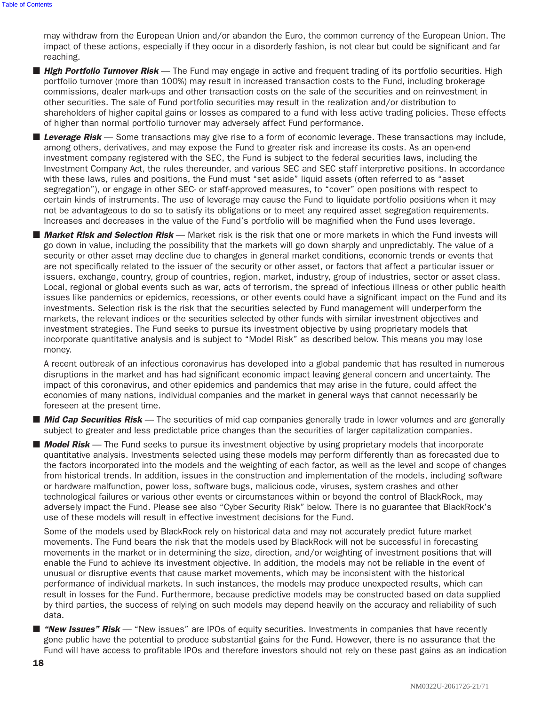may withdraw from the European Union and/or abandon the Euro, the common currency of the European Union. The impact of these actions, especially if they occur in a disorderly fashion, is not clear but could be significant and far reaching.

- *High Portfolio Turnover Risk* The Fund may engage in active and frequent trading of its portfolio securities. High portfolio turnover (more than 100%) may result in increased transaction costs to the Fund, including brokerage commissions, dealer mark-ups and other transaction costs on the sale of the securities and on reinvestment in other securities. The sale of Fund portfolio securities may result in the realization and/or distribution to shareholders of higher capital gains or losses as compared to a fund with less active trading policies. These effects of higher than normal portfolio turnover may adversely affect Fund performance.
- **Leverage Risk** Some transactions may give rise to a form of economic leverage. These transactions may include, among others, derivatives, and may expose the Fund to greater risk and increase its costs. As an open-end investment company registered with the SEC, the Fund is subject to the federal securities laws, including the Investment Company Act, the rules thereunder, and various SEC and SEC staff interpretive positions. In accordance with these laws, rules and positions, the Fund must "set aside" liquid assets (often referred to as "asset segregation"), or engage in other SEC- or staff-approved measures, to "cover" open positions with respect to certain kinds of instruments. The use of leverage may cause the Fund to liquidate portfolio positions when it may not be advantageous to do so to satisfy its obligations or to meet any required asset segregation requirements. Increases and decreases in the value of the Fund's portfolio will be magnified when the Fund uses leverage.
- Market Risk and Selection Risk Market risk is the risk that one or more markets in which the Fund invests will go down in value, including the possibility that the markets will go down sharply and unpredictably. The value of a security or other asset may decline due to changes in general market conditions, economic trends or events that are not specifically related to the issuer of the security or other asset, or factors that affect a particular issuer or issuers, exchange, country, group of countries, region, market, industry, group of industries, sector or asset class. Local, regional or global events such as war, acts of terrorism, the spread of infectious illness or other public health issues like pandemics or epidemics, recessions, or other events could have a significant impact on the Fund and its investments. Selection risk is the risk that the securities selected by Fund management will underperform the markets, the relevant indices or the securities selected by other funds with similar investment objectives and investment strategies. The Fund seeks to pursue its investment objective by using proprietary models that incorporate quantitative analysis and is subject to "Model Risk" as described below. This means you may lose money.

A recent outbreak of an infectious coronavirus has developed into a global pandemic that has resulted in numerous disruptions in the market and has had significant economic impact leaving general concern and uncertainty. The impact of this coronavirus, and other epidemics and pandemics that may arise in the future, could affect the economies of many nations, individual companies and the market in general ways that cannot necessarily be foreseen at the present time.

- *Mid Cap Securities Risk* The securities of mid cap companies generally trade in lower volumes and are generally subject to greater and less predictable price changes than the securities of larger capitalization companies.
- *Model Risk* The Fund seeks to pursue its investment objective by using proprietary models that incorporate quantitative analysis. Investments selected using these models may perform differently than as forecasted due to the factors incorporated into the models and the weighting of each factor, as well as the level and scope of changes from historical trends. In addition, issues in the construction and implementation of the models, including software or hardware malfunction, power loss, software bugs, malicious code, viruses, system crashes and other technological failures or various other events or circumstances within or beyond the control of BlackRock, may adversely impact the Fund. Please see also "Cyber Security Risk" below. There is no guarantee that BlackRock's use of these models will result in effective investment decisions for the Fund.

Some of the models used by BlackRock rely on historical data and may not accurately predict future market movements. The Fund bears the risk that the models used by BlackRock will not be successful in forecasting movements in the market or in determining the size, direction, and/or weighting of investment positions that will enable the Fund to achieve its investment objective. In addition, the models may not be reliable in the event of unusual or disruptive events that cause market movements, which may be inconsistent with the historical performance of individual markets. In such instances, the models may produce unexpected results, which can result in losses for the Fund. Furthermore, because predictive models may be constructed based on data supplied by third parties, the success of relying on such models may depend heavily on the accuracy and reliability of such data.

■ "New Issues" Risk — "New issues" are IPOs of equity securities. Investments in companies that have recently gone public have the potential to produce substantial gains for the Fund. However, there is no assurance that the Fund will have access to profitable IPOs and therefore investors should not rely on these past gains as an indication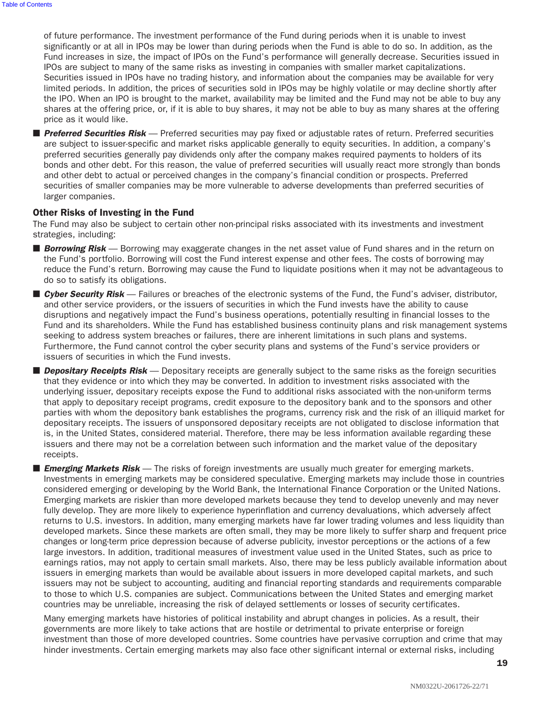of future performance. The investment performance of the Fund during periods when it is unable to invest significantly or at all in IPOs may be lower than during periods when the Fund is able to do so. In addition, as the Fund increases in size, the impact of IPOs on the Fund's performance will generally decrease. Securities issued in IPOs are subject to many of the same risks as investing in companies with smaller market capitalizations. Securities issued in IPOs have no trading history, and information about the companies may be available for very limited periods. In addition, the prices of securities sold in IPOs may be highly volatile or may decline shortly after the IPO. When an IPO is brought to the market, availability may be limited and the Fund may not be able to buy any shares at the offering price, or, if it is able to buy shares, it may not be able to buy as many shares at the offering price as it would like.

■ Preferred Securities Risk — Preferred securities may pay fixed or adjustable rates of return. Preferred securities are subject to issuer-specific and market risks applicable generally to equity securities. In addition, a company's preferred securities generally pay dividends only after the company makes required payments to holders of its bonds and other debt. For this reason, the value of preferred securities will usually react more strongly than bonds and other debt to actual or perceived changes in the company's financial condition or prospects. Preferred securities of smaller companies may be more vulnerable to adverse developments than preferred securities of larger companies.

#### Other Risks of Investing in the Fund

The Fund may also be subject to certain other non-principal risks associated with its investments and investment strategies, including:

- **Borrowing Risk** Borrowing may exaggerate changes in the net asset value of Fund shares and in the return on the Fund's portfolio. Borrowing will cost the Fund interest expense and other fees. The costs of borrowing may reduce the Fund's return. Borrowing may cause the Fund to liquidate positions when it may not be advantageous to do so to satisfy its obligations.
- Cyber Security Risk Failures or breaches of the electronic systems of the Fund, the Fund's adviser, distributor, and other service providers, or the issuers of securities in which the Fund invests have the ability to cause disruptions and negatively impact the Fund's business operations, potentially resulting in financial losses to the Fund and its shareholders. While the Fund has established business continuity plans and risk management systems seeking to address system breaches or failures, there are inherent limitations in such plans and systems. Furthermore, the Fund cannot control the cyber security plans and systems of the Fund's service providers or issuers of securities in which the Fund invests.
- **Depositary Receipts Risk** Depositary receipts are generally subject to the same risks as the foreign securities that they evidence or into which they may be converted. In addition to investment risks associated with the underlying issuer, depositary receipts expose the Fund to additional risks associated with the non-uniform terms that apply to depositary receipt programs, credit exposure to the depository bank and to the sponsors and other parties with whom the depository bank establishes the programs, currency risk and the risk of an illiquid market for depositary receipts. The issuers of unsponsored depositary receipts are not obligated to disclose information that is, in the United States, considered material. Therefore, there may be less information available regarding these issuers and there may not be a correlation between such information and the market value of the depositary receipts.

**E** *Emerging Markets Risk* — The risks of foreign investments are usually much greater for emerging markets. Investments in emerging markets may be considered speculative. Emerging markets may include those in countries considered emerging or developing by the World Bank, the International Finance Corporation or the United Nations. Emerging markets are riskier than more developed markets because they tend to develop unevenly and may never fully develop. They are more likely to experience hyperinflation and currency devaluations, which adversely affect returns to U.S. investors. In addition, many emerging markets have far lower trading volumes and less liquidity than developed markets. Since these markets are often small, they may be more likely to suffer sharp and frequent price changes or long-term price depression because of adverse publicity, investor perceptions or the actions of a few large investors. In addition, traditional measures of investment value used in the United States, such as price to earnings ratios, may not apply to certain small markets. Also, there may be less publicly available information about issuers in emerging markets than would be available about issuers in more developed capital markets, and such issuers may not be subject to accounting, auditing and financial reporting standards and requirements comparable to those to which U.S. companies are subject. Communications between the United States and emerging market countries may be unreliable, increasing the risk of delayed settlements or losses of security certificates.

Many emerging markets have histories of political instability and abrupt changes in policies. As a result, their governments are more likely to take actions that are hostile or detrimental to private enterprise or foreign investment than those of more developed countries. Some countries have pervasive corruption and crime that may hinder investments. Certain emerging markets may also face other significant internal or external risks, including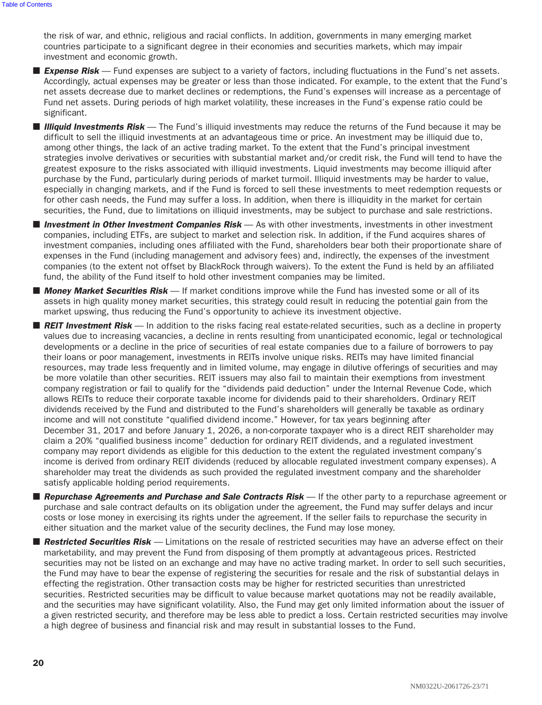the risk of war, and ethnic, religious and racial conflicts. In addition, governments in many emerging market countries participate to a significant degree in their economies and securities markets, which may impair investment and economic growth.

- **Expense Risk** Fund expenses are subject to a variety of factors, including fluctuations in the Fund's net assets. Accordingly, actual expenses may be greater or less than those indicated. For example, to the extent that the Fund's net assets decrease due to market declines or redemptions, the Fund's expenses will increase as a percentage of Fund net assets. During periods of high market volatility, these increases in the Fund's expense ratio could be significant.
- **Illiquid Investments Risk** The Fund's illiquid investments may reduce the returns of the Fund because it may be difficult to sell the illiquid investments at an advantageous time or price. An investment may be illiquid due to, among other things, the lack of an active trading market. To the extent that the Fund's principal investment strategies involve derivatives or securities with substantial market and/or credit risk, the Fund will tend to have the greatest exposure to the risks associated with illiquid investments. Liquid investments may become illiquid after purchase by the Fund, particularly during periods of market turmoil. Illiquid investments may be harder to value, especially in changing markets, and if the Fund is forced to sell these investments to meet redemption requests or for other cash needs, the Fund may suffer a loss. In addition, when there is illiquidity in the market for certain securities, the Fund, due to limitations on illiquid investments, may be subject to purchase and sale restrictions.
- **Investment in Other Investment Companies Risk** As with other investments, investments in other investment companies, including ETFs, are subject to market and selection risk. In addition, if the Fund acquires shares of investment companies, including ones affiliated with the Fund, shareholders bear both their proportionate share of expenses in the Fund (including management and advisory fees) and, indirectly, the expenses of the investment companies (to the extent not offset by BlackRock through waivers). To the extent the Fund is held by an affiliated fund, the ability of the Fund itself to hold other investment companies may be limited.
- *Money Market Securities Risk* If market conditions improve while the Fund has invested some or all of its assets in high quality money market securities, this strategy could result in reducing the potential gain from the market upswing, thus reducing the Fund's opportunity to achieve its investment objective.
- REIT Investment Risk In addition to the risks facing real estate-related securities, such as a decline in property values due to increasing vacancies, a decline in rents resulting from unanticipated economic, legal or technological developments or a decline in the price of securities of real estate companies due to a failure of borrowers to pay their loans or poor management, investments in REITs involve unique risks. REITs may have limited financial resources, may trade less frequently and in limited volume, may engage in dilutive offerings of securities and may be more volatile than other securities. REIT issuers may also fail to maintain their exemptions from investment company registration or fail to qualify for the "dividends paid deduction" under the Internal Revenue Code, which allows REITs to reduce their corporate taxable income for dividends paid to their shareholders. Ordinary REIT dividends received by the Fund and distributed to the Fund's shareholders will generally be taxable as ordinary income and will not constitute "qualified dividend income." However, for tax years beginning after December 31, 2017 and before January 1, 2026, a non-corporate taxpayer who is a direct REIT shareholder may claim a 20% "qualified business income" deduction for ordinary REIT dividends, and a regulated investment company may report dividends as eligible for this deduction to the extent the regulated investment company's income is derived from ordinary REIT dividends (reduced by allocable regulated investment company expenses). A shareholder may treat the dividends as such provided the regulated investment company and the shareholder satisfy applicable holding period requirements.
- Repurchase Agreements and Purchase and Sale Contracts Risk If the other party to a repurchase agreement or purchase and sale contract defaults on its obligation under the agreement, the Fund may suffer delays and incur costs or lose money in exercising its rights under the agreement. If the seller fails to repurchase the security in either situation and the market value of the security declines, the Fund may lose money.
- Restricted Securities Risk Limitations on the resale of restricted securities may have an adverse effect on their marketability, and may prevent the Fund from disposing of them promptly at advantageous prices. Restricted securities may not be listed on an exchange and may have no active trading market. In order to sell such securities, the Fund may have to bear the expense of registering the securities for resale and the risk of substantial delays in effecting the registration. Other transaction costs may be higher for restricted securities than unrestricted securities. Restricted securities may be difficult to value because market quotations may not be readily available, and the securities may have significant volatility. Also, the Fund may get only limited information about the issuer of a given restricted security, and therefore may be less able to predict a loss. Certain restricted securities may involve a high degree of business and financial risk and may result in substantial losses to the Fund.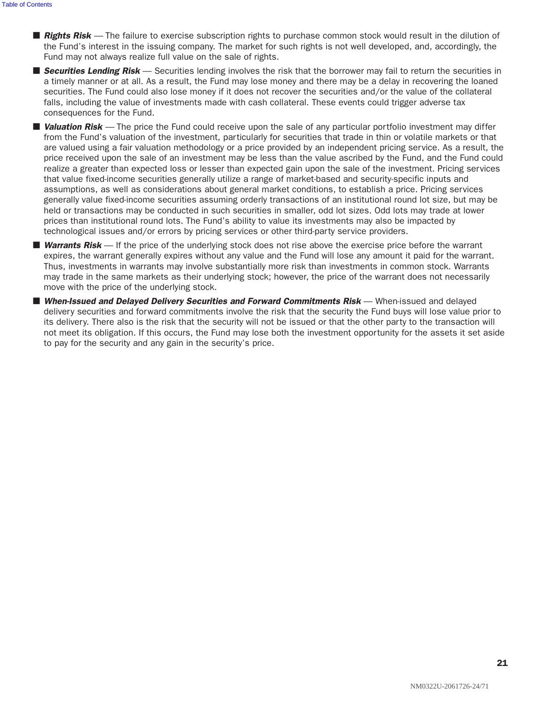- *Rights Risk* The failure to exercise subscription rights to purchase common stock would result in the dilution of the Fund's interest in the issuing company. The market for such rights is not well developed, and, accordingly, the Fund may not always realize full value on the sale of rights.
- **E** Securities Lending Risk Securities lending involves the risk that the borrower may fail to return the securities in a timely manner or at all. As a result, the Fund may lose money and there may be a delay in recovering the loaned securities. The Fund could also lose money if it does not recover the securities and/or the value of the collateral falls, including the value of investments made with cash collateral. These events could trigger adverse tax consequences for the Fund.
- **If Valuation Risk** The price the Fund could receive upon the sale of any particular portfolio investment may differ from the Fund's valuation of the investment, particularly for securities that trade in thin or volatile markets or that are valued using a fair valuation methodology or a price provided by an independent pricing service. As a result, the price received upon the sale of an investment may be less than the value ascribed by the Fund, and the Fund could realize a greater than expected loss or lesser than expected gain upon the sale of the investment. Pricing services that value fixed-income securities generally utilize a range of market-based and security-specific inputs and assumptions, as well as considerations about general market conditions, to establish a price. Pricing services generally value fixed-income securities assuming orderly transactions of an institutional round lot size, but may be held or transactions may be conducted in such securities in smaller, odd lot sizes. Odd lots may trade at lower prices than institutional round lots. The Fund's ability to value its investments may also be impacted by technological issues and/or errors by pricing services or other third-party service providers.
- **Warrants Risk** If the price of the underlying stock does not rise above the exercise price before the warrant expires, the warrant generally expires without any value and the Fund will lose any amount it paid for the warrant. Thus, investments in warrants may involve substantially more risk than investments in common stock. Warrants may trade in the same markets as their underlying stock; however, the price of the warrant does not necessarily move with the price of the underlying stock.
- **E When-Issued and Delayed Delivery Securities and Forward Commitments Risk** When-issued and delayed delivery securities and forward commitments involve the risk that the security the Fund buys will lose value prior to its delivery. There also is the risk that the security will not be issued or that the other party to the transaction will not meet its obligation. If this occurs, the Fund may lose both the investment opportunity for the assets it set aside to pay for the security and any gain in the security's price.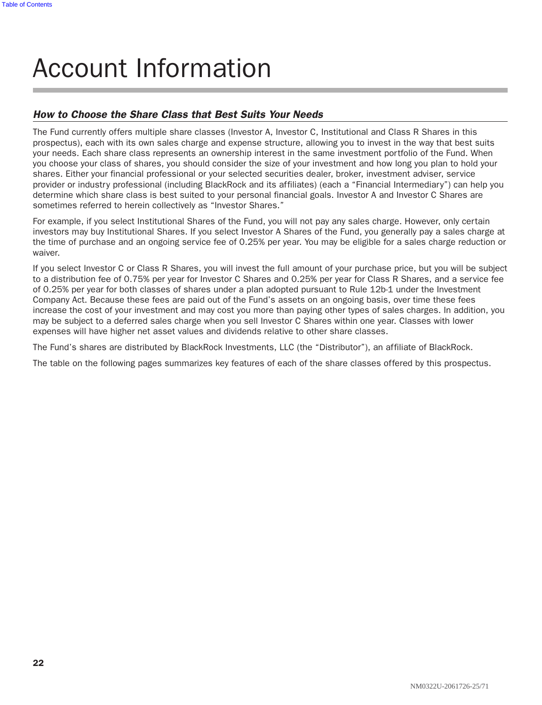# <span id="page-24-0"></span>Account Information

# *How to Choose the Share Class that Best Suits Your Needs*

The Fund currently offers multiple share classes (Investor A, Investor C, Institutional and Class R Shares in this prospectus), each with its own sales charge and expense structure, allowing you to invest in the way that best suits your needs. Each share class represents an ownership interest in the same investment portfolio of the Fund. When you choose your class of shares, you should consider the size of your investment and how long you plan to hold your shares. Either your financial professional or your selected securities dealer, broker, investment adviser, service provider or industry professional (including BlackRock and its affiliates) (each a "Financial Intermediary") can help you determine which share class is best suited to your personal financial goals. Investor A and Investor C Shares are sometimes referred to herein collectively as "Investor Shares."

For example, if you select Institutional Shares of the Fund, you will not pay any sales charge. However, only certain investors may buy Institutional Shares. If you select Investor A Shares of the Fund, you generally pay a sales charge at the time of purchase and an ongoing service fee of 0.25% per year. You may be eligible for a sales charge reduction or waiver.

If you select Investor C or Class R Shares, you will invest the full amount of your purchase price, but you will be subject to a distribution fee of 0.75% per year for Investor C Shares and 0.25% per year for Class R Shares, and a service fee of 0.25% per year for both classes of shares under a plan adopted pursuant to Rule 12b-1 under the Investment Company Act. Because these fees are paid out of the Fund's assets on an ongoing basis, over time these fees increase the cost of your investment and may cost you more than paying other types of sales charges. In addition, you may be subject to a deferred sales charge when you sell Investor C Shares within one year. Classes with lower expenses will have higher net asset values and dividends relative to other share classes.

The Fund's shares are distributed by BlackRock Investments, LLC (the "Distributor"), an affiliate of BlackRock.

The table on the following pages summarizes key features of each of the share classes offered by this prospectus.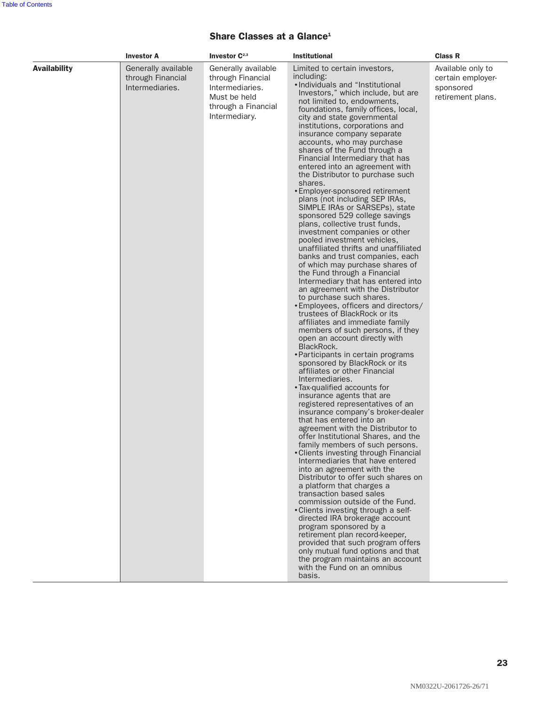## Share Classes at a Glance<sup>1</sup>

|                     | <b>Investor A</b>                                           | Investor C <sup>2,3</sup>                                                                                           | <b>Institutional</b>                                                                                                                                                                                                                                                                                                                                                                                                                                                                                                                                                                                                                                                                                                                                                                                                                                                                                                                                                                                                                                                                                                                                                                                                                                                                                                                                                                                                                                                                                                                                                                                                                                                                                                                                                                                                                                                                                                                                                                                                                                                                                                           | <b>Class R</b>                                                           |
|---------------------|-------------------------------------------------------------|---------------------------------------------------------------------------------------------------------------------|--------------------------------------------------------------------------------------------------------------------------------------------------------------------------------------------------------------------------------------------------------------------------------------------------------------------------------------------------------------------------------------------------------------------------------------------------------------------------------------------------------------------------------------------------------------------------------------------------------------------------------------------------------------------------------------------------------------------------------------------------------------------------------------------------------------------------------------------------------------------------------------------------------------------------------------------------------------------------------------------------------------------------------------------------------------------------------------------------------------------------------------------------------------------------------------------------------------------------------------------------------------------------------------------------------------------------------------------------------------------------------------------------------------------------------------------------------------------------------------------------------------------------------------------------------------------------------------------------------------------------------------------------------------------------------------------------------------------------------------------------------------------------------------------------------------------------------------------------------------------------------------------------------------------------------------------------------------------------------------------------------------------------------------------------------------------------------------------------------------------------------|--------------------------------------------------------------------------|
| <b>Availability</b> | Generally available<br>through Financial<br>Intermediaries. | Generally available<br>through Financial<br>Intermediaries.<br>Must be held<br>through a Financial<br>Intermediary. | Limited to certain investors,<br>including:<br>•Individuals and "Institutional<br>Investors," which include, but are<br>not limited to, endowments,<br>foundations, family offices, local,<br>city and state governmental<br>institutions, corporations and<br>insurance company separate<br>accounts, who may purchase<br>shares of the Fund through a<br>Financial Intermediary that has<br>entered into an agreement with<br>the Distributor to purchase such<br>shares.<br>• Employer-sponsored retirement<br>plans (not including SEP IRAs,<br>SIMPLE IRAs or SARSEPs), state<br>sponsored 529 college savings<br>plans, collective trust funds,<br>investment companies or other<br>pooled investment vehicles,<br>unaffiliated thrifts and unaffiliated<br>banks and trust companies, each<br>of which may purchase shares of<br>the Fund through a Financial<br>Intermediary that has entered into<br>an agreement with the Distributor<br>to purchase such shares.<br>• Employees, officers and directors/<br>trustees of BlackRock or its<br>affiliates and immediate family<br>members of such persons, if they<br>open an account directly with<br>BlackRock.<br>• Participants in certain programs<br>sponsored by BlackRock or its<br>affiliates or other Financial<br>Intermediaries.<br>• Tax-qualified accounts for<br>insurance agents that are<br>registered representatives of an<br>insurance company's broker-dealer<br>that has entered into an<br>agreement with the Distributor to<br>offer Institutional Shares, and the<br>family members of such persons.<br>• Clients investing through Financial<br>Intermediaries that have entered<br>into an agreement with the<br>Distributor to offer such shares on<br>a platform that charges a<br>transaction based sales<br>commission outside of the Fund.<br>• Clients investing through a self-<br>directed IRA brokerage account<br>program sponsored by a<br>retirement plan record-keeper,<br>provided that such program offers<br>only mutual fund options and that<br>the program maintains an account<br>with the Fund on an omnibus<br>basis. | Available only to<br>certain employer-<br>sponsored<br>retirement plans. |

23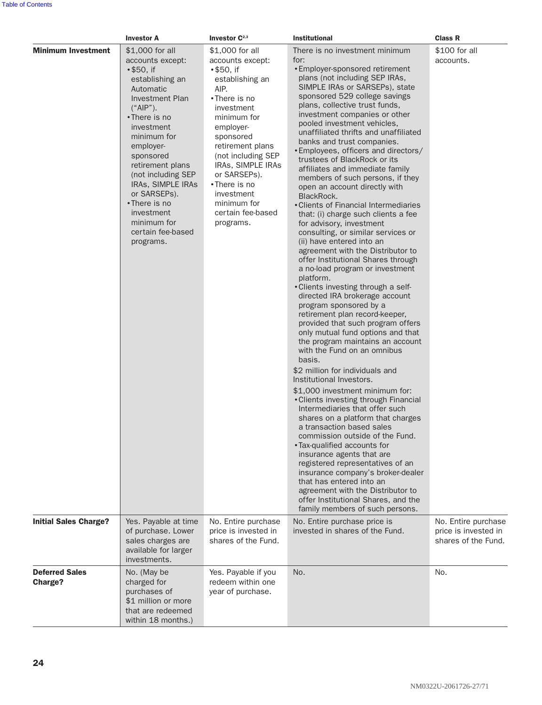|                                  | <b>Investor A</b>                                                                                                                                                                                                                                                                                                                                            | Investor C <sup>2,3</sup>                                                                                                                                                                                                                                                                                         | <b>Institutional</b>                                                                                                                                                                                                                                                                                                                                                                                                                                                                                                                                                                                                                                                                                                                                                                                                                                                                                                                                                                                                                                                                                                                                                                                                                                                                                                                                                                                                                                                                                                                                                                                                                                                                                                           | <b>Class R</b>                                                     |
|----------------------------------|--------------------------------------------------------------------------------------------------------------------------------------------------------------------------------------------------------------------------------------------------------------------------------------------------------------------------------------------------------------|-------------------------------------------------------------------------------------------------------------------------------------------------------------------------------------------------------------------------------------------------------------------------------------------------------------------|--------------------------------------------------------------------------------------------------------------------------------------------------------------------------------------------------------------------------------------------------------------------------------------------------------------------------------------------------------------------------------------------------------------------------------------------------------------------------------------------------------------------------------------------------------------------------------------------------------------------------------------------------------------------------------------------------------------------------------------------------------------------------------------------------------------------------------------------------------------------------------------------------------------------------------------------------------------------------------------------------------------------------------------------------------------------------------------------------------------------------------------------------------------------------------------------------------------------------------------------------------------------------------------------------------------------------------------------------------------------------------------------------------------------------------------------------------------------------------------------------------------------------------------------------------------------------------------------------------------------------------------------------------------------------------------------------------------------------------|--------------------------------------------------------------------|
| <b>Minimum Investment</b>        | \$1,000 for all<br>accounts except:<br>• \$50, if<br>establishing an<br>Automatic<br><b>Investment Plan</b><br>("AIP").<br>•There is no<br>investment<br>minimum for<br>employer-<br>sponsored<br>retirement plans<br>(not including SEP<br>IRAS, SIMPLE IRAS<br>or SARSEPs).<br>•There is no<br>investment<br>minimum for<br>certain fee-based<br>programs. | \$1,000 for all<br>accounts except:<br>• \$50, if<br>establishing an<br>AIP.<br>•There is no<br>investment<br>minimum for<br>employer-<br>sponsored<br>retirement plans<br>(not including SEP<br>IRAS, SIMPLE IRAS<br>or SARSEPs).<br>•There is no<br>investment<br>minimum for<br>certain fee-based<br>programs. | There is no investment minimum<br>for:<br>• Employer-sponsored retirement<br>plans (not including SEP IRAs,<br>SIMPLE IRAs or SARSEPs), state<br>sponsored 529 college savings<br>plans, collective trust funds,<br>investment companies or other<br>pooled investment vehicles,<br>unaffiliated thrifts and unaffiliated<br>banks and trust companies.<br>• Employees, officers and directors/<br>trustees of BlackRock or its<br>affiliates and immediate family<br>members of such persons, if they<br>open an account directly with<br>BlackRock.<br>• Clients of Financial Intermediaries<br>that: (i) charge such clients a fee<br>for advisory, investment<br>consulting, or similar services or<br>(ii) have entered into an<br>agreement with the Distributor to<br>offer Institutional Shares through<br>a no-load program or investment<br>platform.<br>• Clients investing through a self-<br>directed IRA brokerage account<br>program sponsored by a<br>retirement plan record-keeper,<br>provided that such program offers<br>only mutual fund options and that<br>the program maintains an account<br>with the Fund on an omnibus<br>basis.<br>\$2 million for individuals and<br>Institutional Investors.<br>\$1,000 investment minimum for:<br>• Clients investing through Financial<br>Intermediaries that offer such<br>shares on a platform that charges<br>a transaction based sales<br>commission outside of the Fund.<br>• Tax-qualified accounts for<br>insurance agents that are<br>registered representatives of an<br>insurance company's broker-dealer<br>that has entered into an<br>agreement with the Distributor to<br>offer Institutional Shares, and the<br>family members of such persons. | \$100 for all<br>accounts.                                         |
| <b>Initial Sales Charge?</b>     | Yes. Payable at time<br>of purchase. Lower<br>sales charges are<br>available for larger<br>investments.                                                                                                                                                                                                                                                      | No. Entire purchase<br>price is invested in<br>shares of the Fund.                                                                                                                                                                                                                                                | No. Entire purchase price is<br>invested in shares of the Fund.                                                                                                                                                                                                                                                                                                                                                                                                                                                                                                                                                                                                                                                                                                                                                                                                                                                                                                                                                                                                                                                                                                                                                                                                                                                                                                                                                                                                                                                                                                                                                                                                                                                                | No. Entire purchase<br>price is invested in<br>shares of the Fund. |
| <b>Deferred Sales</b><br>Charge? | No. (May be<br>charged for<br>purchases of<br>\$1 million or more<br>that are redeemed<br>within 18 months.)                                                                                                                                                                                                                                                 | Yes. Payable if you<br>redeem within one<br>year of purchase.                                                                                                                                                                                                                                                     | No.                                                                                                                                                                                                                                                                                                                                                                                                                                                                                                                                                                                                                                                                                                                                                                                                                                                                                                                                                                                                                                                                                                                                                                                                                                                                                                                                                                                                                                                                                                                                                                                                                                                                                                                            | No.                                                                |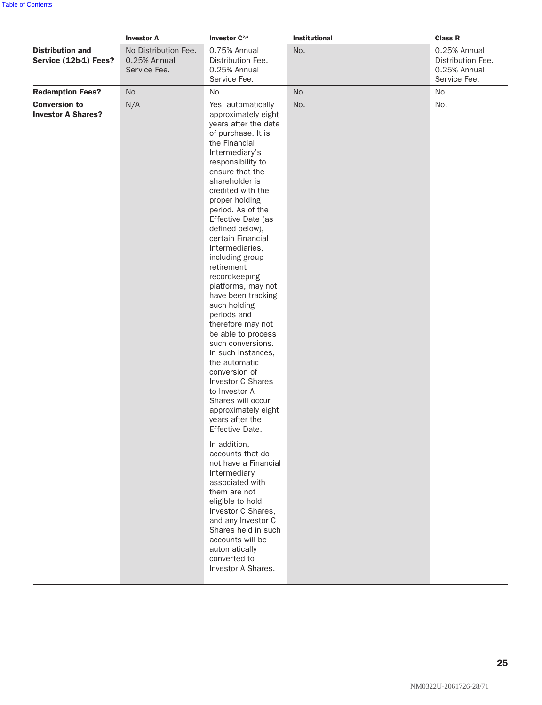|                                                   | <b>Investor A</b>                                      | Investor C <sup>2,3</sup>                                                                                                                                                                                                                                                                                                                                                                                                                                                                                                                                                                                                                                                                                                                                                                                                                                                                                                                                                                       | <b>Institutional</b> | <b>Class R</b>                                                    |
|---------------------------------------------------|--------------------------------------------------------|-------------------------------------------------------------------------------------------------------------------------------------------------------------------------------------------------------------------------------------------------------------------------------------------------------------------------------------------------------------------------------------------------------------------------------------------------------------------------------------------------------------------------------------------------------------------------------------------------------------------------------------------------------------------------------------------------------------------------------------------------------------------------------------------------------------------------------------------------------------------------------------------------------------------------------------------------------------------------------------------------|----------------------|-------------------------------------------------------------------|
| <b>Distribution and</b><br>Service (12b-1) Fees?  | No Distribution Fee.<br>$0.25%$ Annual<br>Service Fee. | 0.75% Annual<br>Distribution Fee.<br>0.25% Annual<br>Service Fee.                                                                                                                                                                                                                                                                                                                                                                                                                                                                                                                                                                                                                                                                                                                                                                                                                                                                                                                               | No.                  | 0.25% Annual<br>Distribution Fee.<br>0.25% Annual<br>Service Fee. |
| <b>Redemption Fees?</b>                           | No.                                                    | No.                                                                                                                                                                                                                                                                                                                                                                                                                                                                                                                                                                                                                                                                                                                                                                                                                                                                                                                                                                                             | No.                  | No.                                                               |
| <b>Conversion to</b><br><b>Investor A Shares?</b> | N/A                                                    | Yes, automatically<br>approximately eight<br>years after the date<br>of purchase. It is<br>the Financial<br>Intermediary's<br>responsibility to<br>ensure that the<br>shareholder is<br>credited with the<br>proper holding<br>period. As of the<br>Effective Date (as<br>defined below),<br>certain Financial<br>Intermediaries,<br>including group<br>retirement<br>recordkeeping<br>platforms, may not<br>have been tracking<br>such holding<br>periods and<br>therefore may not<br>be able to process<br>such conversions.<br>In such instances.<br>the automatic<br>conversion of<br>Investor C Shares<br>to Investor A<br>Shares will occur<br>approximately eight<br>years after the<br>Effective Date.<br>In addition,<br>accounts that do<br>not have a Financial<br>Intermediary<br>associated with<br>them are not<br>eligible to hold<br>Investor C Shares,<br>and any Investor C<br>Shares held in such<br>accounts will be<br>automatically<br>converted to<br>Investor A Shares. | No.                  | No.                                                               |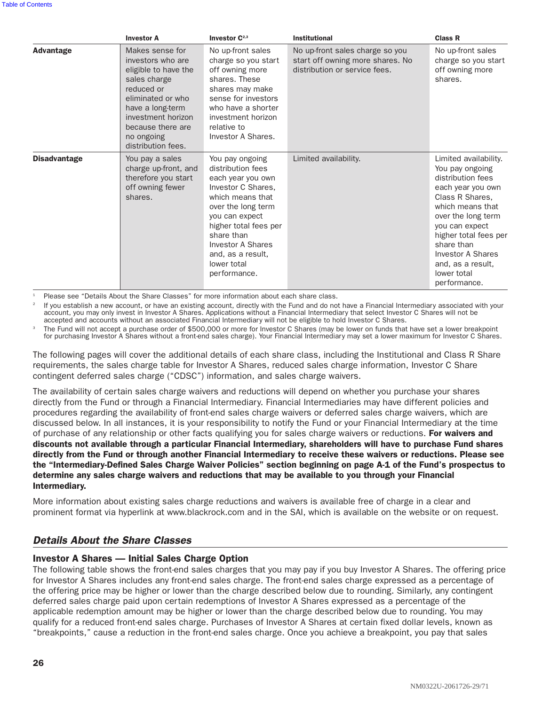<span id="page-28-0"></span>

|                     | <b>Investor A</b>                                                                                                                                                                                                  | Investor C <sup>2,3</sup>                                                                                                                                                                                                                                          | <b>Institutional</b>                                                                                 | <b>Class R</b>                                                                                                                                                                                                                                                                           |
|---------------------|--------------------------------------------------------------------------------------------------------------------------------------------------------------------------------------------------------------------|--------------------------------------------------------------------------------------------------------------------------------------------------------------------------------------------------------------------------------------------------------------------|------------------------------------------------------------------------------------------------------|------------------------------------------------------------------------------------------------------------------------------------------------------------------------------------------------------------------------------------------------------------------------------------------|
| Advantage           | Makes sense for<br>investors who are<br>eligible to have the<br>sales charge<br>reduced or<br>eliminated or who<br>have a long-term<br>investment horizon<br>because there are<br>no ongoing<br>distribution fees. | No up-front sales<br>charge so you start<br>off owning more<br>shares. These<br>shares may make<br>sense for investors<br>who have a shorter<br>investment horizon<br>relative to<br>Investor A Shares.                                                            | No up-front sales charge so you<br>start off owning more shares. No<br>distribution or service fees. | No up-front sales<br>charge so you start<br>off owning more<br>shares.                                                                                                                                                                                                                   |
| <b>Disadvantage</b> | You pay a sales<br>charge up-front, and<br>therefore you start<br>off owning fewer<br>shares.                                                                                                                      | You pay ongoing<br>distribution fees<br>each year you own<br>Investor C Shares,<br>which means that<br>over the long term<br>you can expect<br>higher total fees per<br>share than<br><b>Investor A Shares</b><br>and, as a result,<br>lower total<br>performance. | Limited availability.                                                                                | Limited availability.<br>You pay ongoing<br>distribution fees<br>each year you own<br>Class R Shares,<br>which means that<br>over the long term<br>you can expect<br>higher total fees per<br>share than<br><b>Investor A Shares</b><br>and, as a result,<br>lower total<br>performance. |

<sup>1</sup> Please see "Details About the Share Classes" for more information about each share class.

<sup>2</sup> If you establish a new account, or have an existing account, directly with the Fund and do not have a Financial Intermediary associated with your account, you may only invest in Investor A Shares. Applications without a Financial Intermediary that select Investor C Shares will not be accepted and accounts without an associated Financial Intermediary will not be eligible to hold Investor C Shares.

The Fund will not accept a purchase order of \$500,000 or more for Investor C Shares (may be lower on funds that have set a lower breakpoint for purchasing Investor A Shares without a front-end sales charge). Your Financial Intermediary may set a lower maximum for Investor C Shares.

The following pages will cover the additional details of each share class, including the Institutional and Class R Share requirements, the sales charge table for Investor A Shares, reduced sales charge information, Investor C Share contingent deferred sales charge ("CDSC") information, and sales charge waivers.

The availability of certain sales charge waivers and reductions will depend on whether you purchase your shares directly from the Fund or through a Financial Intermediary. Financial Intermediaries may have different policies and procedures regarding the availability of front-end sales charge waivers or deferred sales charge waivers, which are discussed below. In all instances, it is your responsibility to notify the Fund or your Financial Intermediary at the time of purchase of any relationship or other facts qualifying you for sales charge waivers or reductions. For waivers and discounts not available through a particular Financial Intermediary, shareholders will have to purchase Fund shares directly from the Fund or through another Financial Intermediary to receive these waivers or reductions. Please see the "Intermediary-Defined Sales Charge Waiver Policies" section beginning on page A-1 of the Fund's prospectus to determine any sales charge waivers and reductions that may be available to you through your Financial Intermediary.

More information about existing sales charge reductions and waivers is available free of charge in a clear and prominent format via hyperlink at www.blackrock.com and in the SAI, which is available on the website or on request.

# *Details About the Share Classes*

#### Investor A Shares — Initial Sales Charge Option

The following table shows the front-end sales charges that you may pay if you buy Investor A Shares. The offering price for Investor A Shares includes any front-end sales charge. The front-end sales charge expressed as a percentage of the offering price may be higher or lower than the charge described below due to rounding. Similarly, any contingent deferred sales charge paid upon certain redemptions of Investor A Shares expressed as a percentage of the applicable redemption amount may be higher or lower than the charge described below due to rounding. You may qualify for a reduced front-end sales charge. Purchases of Investor A Shares at certain fixed dollar levels, known as "breakpoints," cause a reduction in the front-end sales charge. Once you achieve a breakpoint, you pay that sales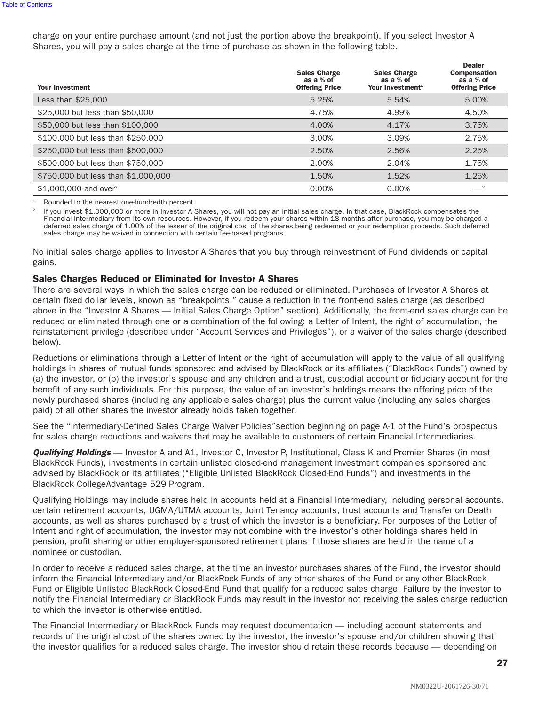charge on your entire purchase amount (and not just the portion above the breakpoint). If you select Investor A Shares, you will pay a sales charge at the time of purchase as shown in the following table.

| <b>Your Investment</b>              | <b>Sales Charge</b><br>as a % of<br><b>Offering Price</b> | <b>Sales Charge</b><br>as a % of<br>Your Investment <sup>1</sup> | <b>Dealer</b><br><b>Compensation</b><br>as a % of<br><b>Offering Price</b> |
|-------------------------------------|-----------------------------------------------------------|------------------------------------------------------------------|----------------------------------------------------------------------------|
| Less than $$25,000$                 | 5.25%                                                     | 5.54%                                                            | 5.00%                                                                      |
| \$25,000 but less than \$50,000     | 4.75%                                                     | 4.99%                                                            | 4.50%                                                                      |
| \$50,000 but less than \$100,000    | 4.00%                                                     | 4.17%                                                            | 3.75%                                                                      |
| \$100,000 but less than \$250,000   | 3.00%                                                     | 3.09%                                                            | 2.75%                                                                      |
| \$250,000 but less than \$500,000   | 2.50%                                                     | 2.56%                                                            | 2.25%                                                                      |
| \$500,000 but less than \$750,000   | 2.00%                                                     | 2.04%                                                            | 1.75%                                                                      |
| \$750,000 but less than \$1,000,000 | 1.50%                                                     | 1.52%                                                            | 1.25%                                                                      |
| \$1,000,000 and over <sup>2</sup>   | 0.00%                                                     | 0.00%                                                            | $-2$                                                                       |

<sup>1</sup> Rounded to the nearest one-hundredth percent.

If you invest \$1,000,000 or more in Investor A Shares, you will not pay an initial sales charge. In that case, BlackRock compensates the Financial Intermediary from its own resources. However, if you redeem your shares within 18 months after purchase, you may be charged a deferred sales charge of 1.00% of the lesser of the original cost of the shares being redeemed or your redemption proceeds. Such deferred sales charge may be waived in connection with certain fee-based programs.

No initial sales charge applies to Investor A Shares that you buy through reinvestment of Fund dividends or capital gains.

#### Sales Charges Reduced or Eliminated for Investor A Shares

There are several ways in which the sales charge can be reduced or eliminated. Purchases of Investor A Shares at certain fixed dollar levels, known as "breakpoints," cause a reduction in the front-end sales charge (as described above in the "Investor A Shares — Initial Sales Charge Option" section). Additionally, the front-end sales charge can be reduced or eliminated through one or a combination of the following: a Letter of Intent, the right of accumulation, the reinstatement privilege (described under "Account Services and Privileges"), or a waiver of the sales charge (described below).

Reductions or eliminations through a Letter of Intent or the right of accumulation will apply to the value of all qualifying holdings in shares of mutual funds sponsored and advised by BlackRock or its affiliates ("BlackRock Funds") owned by (a) the investor, or (b) the investor's spouse and any children and a trust, custodial account or fiduciary account for the benefit of any such individuals. For this purpose, the value of an investor's holdings means the offering price of the newly purchased shares (including any applicable sales charge) plus the current value (including any sales charges paid) of all other shares the investor already holds taken together.

See the "Intermediary-Defined Sales Charge Waiver Policies"section beginning on page A-1 of the Fund's prospectus for sales charge reductions and waivers that may be available to customers of certain Financial Intermediaries.

*Qualifying Holdings* — Investor A and A1, Investor C, Investor P, Institutional, Class K and Premier Shares (in most BlackRock Funds), investments in certain unlisted closed-end management investment companies sponsored and advised by BlackRock or its affiliates ("Eligible Unlisted BlackRock Closed-End Funds") and investments in the BlackRock CollegeAdvantage 529 Program.

Qualifying Holdings may include shares held in accounts held at a Financial Intermediary, including personal accounts, certain retirement accounts, UGMA/UTMA accounts, Joint Tenancy accounts, trust accounts and Transfer on Death accounts, as well as shares purchased by a trust of which the investor is a beneficiary. For purposes of the Letter of Intent and right of accumulation, the investor may not combine with the investor's other holdings shares held in pension, profit sharing or other employer-sponsored retirement plans if those shares are held in the name of a nominee or custodian.

In order to receive a reduced sales charge, at the time an investor purchases shares of the Fund, the investor should inform the Financial Intermediary and/or BlackRock Funds of any other shares of the Fund or any other BlackRock Fund or Eligible Unlisted BlackRock Closed-End Fund that qualify for a reduced sales charge. Failure by the investor to notify the Financial Intermediary or BlackRock Funds may result in the investor not receiving the sales charge reduction to which the investor is otherwise entitled.

The Financial Intermediary or BlackRock Funds may request documentation — including account statements and records of the original cost of the shares owned by the investor, the investor's spouse and/or children showing that the investor qualifies for a reduced sales charge. The investor should retain these records because — depending on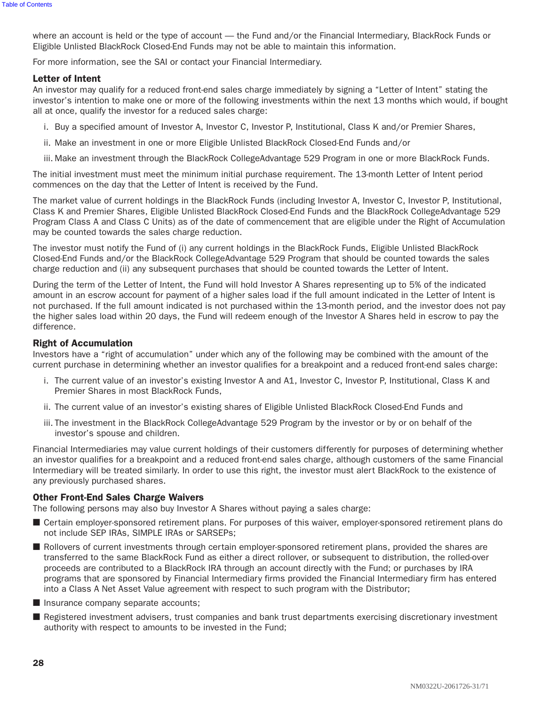where an account is held or the type of account — the Fund and/or the Financial Intermediary, BlackRock Funds or Eligible Unlisted BlackRock Closed-End Funds may not be able to maintain this information.

For more information, see the SAI or contact your Financial Intermediary.

#### Letter of Intent

An investor may qualify for a reduced front-end sales charge immediately by signing a "Letter of Intent" stating the investor's intention to make one or more of the following investments within the next 13 months which would, if bought all at once, qualify the investor for a reduced sales charge:

- i. Buy a specified amount of Investor A, Investor C, Investor P, Institutional, Class K and/or Premier Shares,
- ii. Make an investment in one or more Eligible Unlisted BlackRock Closed-End Funds and/or
- iii. Make an investment through the BlackRock CollegeAdvantage 529 Program in one or more BlackRock Funds.

The initial investment must meet the minimum initial purchase requirement. The 13-month Letter of Intent period commences on the day that the Letter of Intent is received by the Fund.

The market value of current holdings in the BlackRock Funds (including Investor A, Investor C, Investor P, Institutional, Class K and Premier Shares, Eligible Unlisted BlackRock Closed-End Funds and the BlackRock CollegeAdvantage 529 Program Class A and Class C Units) as of the date of commencement that are eligible under the Right of Accumulation may be counted towards the sales charge reduction.

The investor must notify the Fund of (i) any current holdings in the BlackRock Funds, Eligible Unlisted BlackRock Closed-End Funds and/or the BlackRock CollegeAdvantage 529 Program that should be counted towards the sales charge reduction and (ii) any subsequent purchases that should be counted towards the Letter of Intent.

During the term of the Letter of Intent, the Fund will hold Investor A Shares representing up to 5% of the indicated amount in an escrow account for payment of a higher sales load if the full amount indicated in the Letter of Intent is not purchased. If the full amount indicated is not purchased within the 13-month period, and the investor does not pay the higher sales load within 20 days, the Fund will redeem enough of the Investor A Shares held in escrow to pay the difference.

#### Right of Accumulation

Investors have a "right of accumulation" under which any of the following may be combined with the amount of the current purchase in determining whether an investor qualifies for a breakpoint and a reduced front-end sales charge:

- i. The current value of an investor's existing Investor A and A1, Investor C, Investor P, Institutional, Class K and Premier Shares in most BlackRock Funds,
- ii. The current value of an investor's existing shares of Eligible Unlisted BlackRock Closed-End Funds and
- iii. The investment in the BlackRock CollegeAdvantage 529 Program by the investor or by or on behalf of the investor's spouse and children.

Financial Intermediaries may value current holdings of their customers differently for purposes of determining whether an investor qualifies for a breakpoint and a reduced front-end sales charge, although customers of the same Financial Intermediary will be treated similarly. In order to use this right, the investor must alert BlackRock to the existence of any previously purchased shares.

#### Other Front-End Sales Charge Waivers

The following persons may also buy Investor A Shares without paying a sales charge:

- Certain employer-sponsored retirement plans. For purposes of this waiver, employer-sponsored retirement plans do not include SEP IRAs, SIMPLE IRAs or SARSEPs;
- Rollovers of current investments through certain employer-sponsored retirement plans, provided the shares are transferred to the same BlackRock Fund as either a direct rollover, or subsequent to distribution, the rolled-over proceeds are contributed to a BlackRock IRA through an account directly with the Fund; or purchases by IRA programs that are sponsored by Financial Intermediary firms provided the Financial Intermediary firm has entered into a Class A Net Asset Value agreement with respect to such program with the Distributor;
- **Insurance company separate accounts;**
- Registered investment advisers, trust companies and bank trust departments exercising discretionary investment authority with respect to amounts to be invested in the Fund;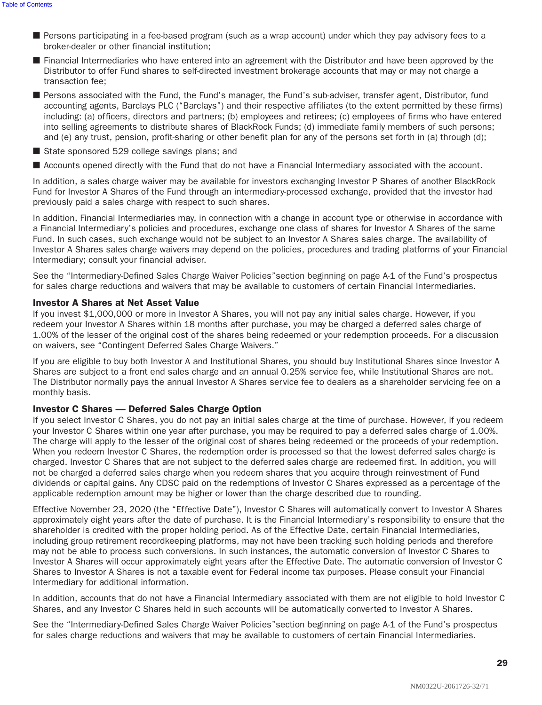- Persons participating in a fee-based program (such as a wrap account) under which they pay advisory fees to a broker-dealer or other financial institution;
- **E** Financial Intermediaries who have entered into an agreement with the Distributor and have been approved by the Distributor to offer Fund shares to self-directed investment brokerage accounts that may or may not charge a transaction fee;
- Persons associated with the Fund, the Fund's manager, the Fund's sub-adviser, transfer agent, Distributor, fund accounting agents, Barclays PLC ("Barclays") and their respective affiliates (to the extent permitted by these firms) including: (a) officers, directors and partners; (b) employees and retirees; (c) employees of firms who have entered into selling agreements to distribute shares of BlackRock Funds; (d) immediate family members of such persons; and (e) any trust, pension, profit-sharing or other benefit plan for any of the persons set forth in (a) through (d);
- State sponsored 529 college savings plans; and
- Accounts opened directly with the Fund that do not have a Financial Intermediary associated with the account.

In addition, a sales charge waiver may be available for investors exchanging Investor P Shares of another BlackRock Fund for Investor A Shares of the Fund through an intermediary-processed exchange, provided that the investor had previously paid a sales charge with respect to such shares.

In addition, Financial Intermediaries may, in connection with a change in account type or otherwise in accordance with a Financial Intermediary's policies and procedures, exchange one class of shares for Investor A Shares of the same Fund. In such cases, such exchange would not be subject to an Investor A Shares sales charge. The availability of Investor A Shares sales charge waivers may depend on the policies, procedures and trading platforms of your Financial Intermediary; consult your financial adviser.

See the "Intermediary-Defined Sales Charge Waiver Policies"section beginning on page A-1 of the Fund's prospectus for sales charge reductions and waivers that may be available to customers of certain Financial Intermediaries.

#### Investor A Shares at Net Asset Value

If you invest \$1,000,000 or more in Investor A Shares, you will not pay any initial sales charge. However, if you redeem your Investor A Shares within 18 months after purchase, you may be charged a deferred sales charge of 1.00% of the lesser of the original cost of the shares being redeemed or your redemption proceeds. For a discussion on waivers, see "Contingent Deferred Sales Charge Waivers."

If you are eligible to buy both Investor A and Institutional Shares, you should buy Institutional Shares since Investor A Shares are subject to a front end sales charge and an annual 0.25% service fee, while Institutional Shares are not. The Distributor normally pays the annual Investor A Shares service fee to dealers as a shareholder servicing fee on a monthly basis.

#### Investor C Shares — Deferred Sales Charge Option

If you select Investor C Shares, you do not pay an initial sales charge at the time of purchase. However, if you redeem your Investor C Shares within one year after purchase, you may be required to pay a deferred sales charge of 1.00%. The charge will apply to the lesser of the original cost of shares being redeemed or the proceeds of your redemption. When you redeem Investor C Shares, the redemption order is processed so that the lowest deferred sales charge is charged. Investor C Shares that are not subject to the deferred sales charge are redeemed first. In addition, you will not be charged a deferred sales charge when you redeem shares that you acquire through reinvestment of Fund dividends or capital gains. Any CDSC paid on the redemptions of Investor C Shares expressed as a percentage of the applicable redemption amount may be higher or lower than the charge described due to rounding.

Effective November 23, 2020 (the "Effective Date"), Investor C Shares will automatically convert to Investor A Shares approximately eight years after the date of purchase. It is the Financial Intermediary's responsibility to ensure that the shareholder is credited with the proper holding period. As of the Effective Date, certain Financial Intermediaries, including group retirement recordkeeping platforms, may not have been tracking such holding periods and therefore may not be able to process such conversions. In such instances, the automatic conversion of Investor C Shares to Investor A Shares will occur approximately eight years after the Effective Date. The automatic conversion of Investor C Shares to Investor A Shares is not a taxable event for Federal income tax purposes. Please consult your Financial Intermediary for additional information.

In addition, accounts that do not have a Financial Intermediary associated with them are not eligible to hold Investor C Shares, and any Investor C Shares held in such accounts will be automatically converted to Investor A Shares.

See the "Intermediary-Defined Sales Charge Waiver Policies"section beginning on page A-1 of the Fund's prospectus for sales charge reductions and waivers that may be available to customers of certain Financial Intermediaries.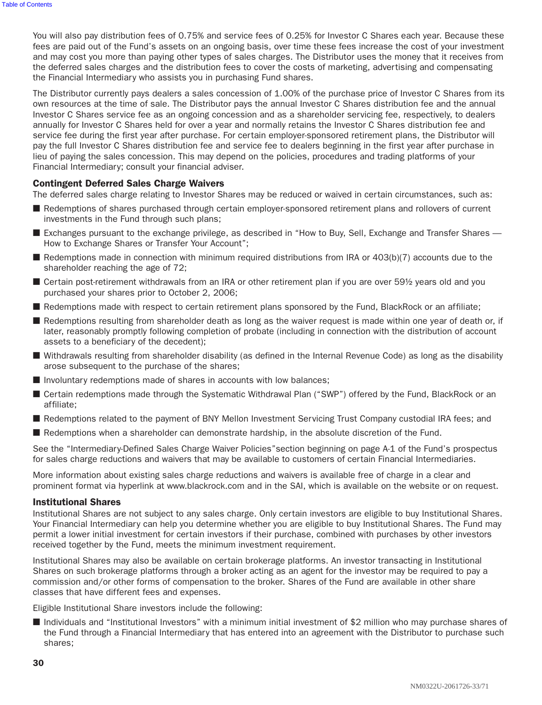You will also pay distribution fees of 0.75% and service fees of 0.25% for Investor C Shares each year. Because these fees are paid out of the Fund's assets on an ongoing basis, over time these fees increase the cost of your investment and may cost you more than paying other types of sales charges. The Distributor uses the money that it receives from the deferred sales charges and the distribution fees to cover the costs of marketing, advertising and compensating the Financial Intermediary who assists you in purchasing Fund shares.

The Distributor currently pays dealers a sales concession of 1.00% of the purchase price of Investor C Shares from its own resources at the time of sale. The Distributor pays the annual Investor C Shares distribution fee and the annual Investor C Shares service fee as an ongoing concession and as a shareholder servicing fee, respectively, to dealers annually for Investor C Shares held for over a year and normally retains the Investor C Shares distribution fee and service fee during the first year after purchase. For certain employer-sponsored retirement plans, the Distributor will pay the full Investor C Shares distribution fee and service fee to dealers beginning in the first year after purchase in lieu of paying the sales concession. This may depend on the policies, procedures and trading platforms of your Financial Intermediary; consult your financial adviser.

## Contingent Deferred Sales Charge Waivers

The deferred sales charge relating to Investor Shares may be reduced or waived in certain circumstances, such as:

- Redemptions of shares purchased through certain employer-sponsored retirement plans and rollovers of current investments in the Fund through such plans;
- Exchanges pursuant to the exchange privilege, as described in "How to Buy, Sell, Exchange and Transfer Shares How to Exchange Shares or Transfer Your Account";
- Redemptions made in connection with minimum required distributions from IRA or 403(b)(7) accounts due to the shareholder reaching the age of 72;
- Certain post-retirement withdrawals from an IRA or other retirement plan if you are over 59½ years old and you purchased your shares prior to October 2, 2006;
- Redemptions made with respect to certain retirement plans sponsored by the Fund, BlackRock or an affiliate;
- Redemptions resulting from shareholder death as long as the waiver request is made within one year of death or, if later, reasonably promptly following completion of probate (including in connection with the distribution of account assets to a beneficiary of the decedent);
- Withdrawals resulting from shareholder disability (as defined in the Internal Revenue Code) as long as the disability arose subsequent to the purchase of the shares;
- **Involuntary redemptions made of shares in accounts with low balances;**
- Certain redemptions made through the Systematic Withdrawal Plan ("SWP") offered by the Fund, BlackRock or an affiliate;
- Redemptions related to the payment of BNY Mellon Investment Servicing Trust Company custodial IRA fees; and
- **E** Redemptions when a shareholder can demonstrate hardship, in the absolute discretion of the Fund.

See the "Intermediary-Defined Sales Charge Waiver Policies"section beginning on page A-1 of the Fund's prospectus for sales charge reductions and waivers that may be available to customers of certain Financial Intermediaries.

More information about existing sales charge reductions and waivers is available free of charge in a clear and prominent format via hyperlink at www.blackrock.com and in the SAI, which is available on the website or on request.

#### Institutional Shares

Institutional Shares are not subject to any sales charge. Only certain investors are eligible to buy Institutional Shares. Your Financial Intermediary can help you determine whether you are eligible to buy Institutional Shares. The Fund may permit a lower initial investment for certain investors if their purchase, combined with purchases by other investors received together by the Fund, meets the minimum investment requirement.

Institutional Shares may also be available on certain brokerage platforms. An investor transacting in Institutional Shares on such brokerage platforms through a broker acting as an agent for the investor may be required to pay a commission and/or other forms of compensation to the broker. Shares of the Fund are available in other share classes that have different fees and expenses.

Eligible Institutional Share investors include the following:

■ Individuals and "Institutional Investors" with a minimum initial investment of \$2 million who may purchase shares of the Fund through a Financial Intermediary that has entered into an agreement with the Distributor to purchase such shares;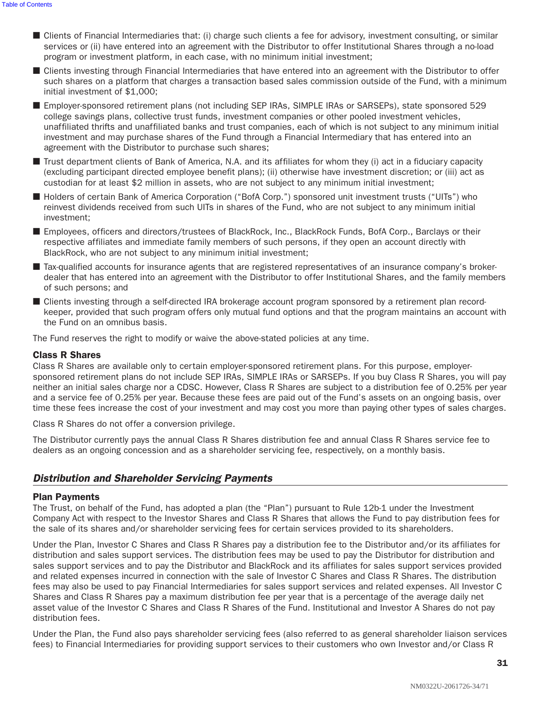- <span id="page-33-0"></span>■ Clients of Financial Intermediaries that: (i) charge such clients a fee for advisory, investment consulting, or similar services or (ii) have entered into an agreement with the Distributor to offer Institutional Shares through a no-load program or investment platform, in each case, with no minimum initial investment;
- Clients investing through Financial Intermediaries that have entered into an agreement with the Distributor to offer such shares on a platform that charges a transaction based sales commission outside of the Fund, with a minimum initial investment of \$1,000;
- Employer-sponsored retirement plans (not including SEP IRAs, SIMPLE IRAs or SARSEPs), state sponsored 529 college savings plans, collective trust funds, investment companies or other pooled investment vehicles, unaffiliated thrifts and unaffiliated banks and trust companies, each of which is not subject to any minimum initial investment and may purchase shares of the Fund through a Financial Intermediary that has entered into an agreement with the Distributor to purchase such shares;
- Trust department clients of Bank of America, N.A. and its affiliates for whom they (i) act in a fiduciary capacity (excluding participant directed employee benefit plans); (ii) otherwise have investment discretion; or (iii) act as custodian for at least \$2 million in assets, who are not subject to any minimum initial investment;
- Holders of certain Bank of America Corporation ("BofA Corp.") sponsored unit investment trusts ("UITs") who reinvest dividends received from such UITs in shares of the Fund, who are not subject to any minimum initial investment;
- Employees, officers and directors/trustees of BlackRock, Inc., BlackRock Funds, BofA Corp., Barclays or their respective affiliates and immediate family members of such persons, if they open an account directly with BlackRock, who are not subject to any minimum initial investment;
- Tax-qualified accounts for insurance agents that are registered representatives of an insurance company's brokerdealer that has entered into an agreement with the Distributor to offer Institutional Shares, and the family members of such persons; and
- Clients investing through a self-directed IRA brokerage account program sponsored by a retirement plan recordkeeper, provided that such program offers only mutual fund options and that the program maintains an account with the Fund on an omnibus basis.

The Fund reserves the right to modify or waive the above-stated policies at any time.

#### Class R Shares

Class R Shares are available only to certain employer-sponsored retirement plans. For this purpose, employersponsored retirement plans do not include SEP IRAs, SIMPLE IRAs or SARSEPs. If you buy Class R Shares, you will pay neither an initial sales charge nor a CDSC. However, Class R Shares are subject to a distribution fee of 0.25% per year and a service fee of 0.25% per year. Because these fees are paid out of the Fund's assets on an ongoing basis, over time these fees increase the cost of your investment and may cost you more than paying other types of sales charges.

Class R Shares do not offer a conversion privilege.

The Distributor currently pays the annual Class R Shares distribution fee and annual Class R Shares service fee to dealers as an ongoing concession and as a shareholder servicing fee, respectively, on a monthly basis.

# *Distribution and Shareholder Servicing Payments*

#### Plan Payments

The Trust, on behalf of the Fund, has adopted a plan (the "Plan") pursuant to Rule 12b-1 under the Investment Company Act with respect to the Investor Shares and Class R Shares that allows the Fund to pay distribution fees for the sale of its shares and/or shareholder servicing fees for certain services provided to its shareholders.

Under the Plan, Investor C Shares and Class R Shares pay a distribution fee to the Distributor and/or its affiliates for distribution and sales support services. The distribution fees may be used to pay the Distributor for distribution and sales support services and to pay the Distributor and BlackRock and its affiliates for sales support services provided and related expenses incurred in connection with the sale of Investor C Shares and Class R Shares. The distribution fees may also be used to pay Financial Intermediaries for sales support services and related expenses. All Investor C Shares and Class R Shares pay a maximum distribution fee per year that is a percentage of the average daily net asset value of the Investor C Shares and Class R Shares of the Fund. Institutional and Investor A Shares do not pay distribution fees.

Under the Plan, the Fund also pays shareholder servicing fees (also referred to as general shareholder liaison services fees) to Financial Intermediaries for providing support services to their customers who own Investor and/or Class R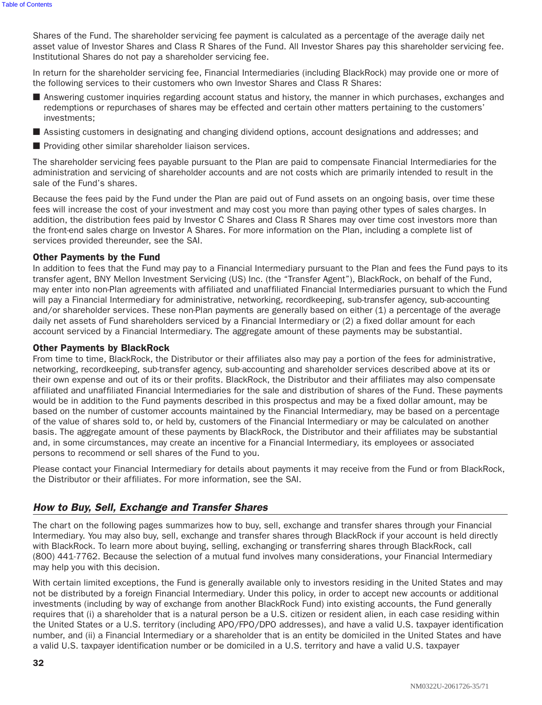<span id="page-34-0"></span>Shares of the Fund. The shareholder servicing fee payment is calculated as a percentage of the average daily net asset value of Investor Shares and Class R Shares of the Fund. All Investor Shares pay this shareholder servicing fee. Institutional Shares do not pay a shareholder servicing fee.

In return for the shareholder servicing fee, Financial Intermediaries (including BlackRock) may provide one or more of the following services to their customers who own Investor Shares and Class R Shares:

- Answering customer inquiries regarding account status and history, the manner in which purchases, exchanges and redemptions or repurchases of shares may be effected and certain other matters pertaining to the customers' investments;
- Assisting customers in designating and changing dividend options, account designations and addresses; and
- **Providing other similar shareholder liaison services.**

The shareholder servicing fees payable pursuant to the Plan are paid to compensate Financial Intermediaries for the administration and servicing of shareholder accounts and are not costs which are primarily intended to result in the sale of the Fund's shares.

Because the fees paid by the Fund under the Plan are paid out of Fund assets on an ongoing basis, over time these fees will increase the cost of your investment and may cost you more than paying other types of sales charges. In addition, the distribution fees paid by Investor C Shares and Class R Shares may over time cost investors more than the front-end sales charge on Investor A Shares. For more information on the Plan, including a complete list of services provided thereunder, see the SAI.

#### Other Payments by the Fund

In addition to fees that the Fund may pay to a Financial Intermediary pursuant to the Plan and fees the Fund pays to its transfer agent, BNY Mellon Investment Servicing (US) Inc. (the "Transfer Agent"), BlackRock, on behalf of the Fund, may enter into non-Plan agreements with affiliated and unaffiliated Financial Intermediaries pursuant to which the Fund will pay a Financial Intermediary for administrative, networking, recordkeeping, sub-transfer agency, sub-accounting and/or shareholder services. These non-Plan payments are generally based on either (1) a percentage of the average daily net assets of Fund shareholders serviced by a Financial Intermediary or (2) a fixed dollar amount for each account serviced by a Financial Intermediary. The aggregate amount of these payments may be substantial.

#### Other Payments by BlackRock

From time to time, BlackRock, the Distributor or their affiliates also may pay a portion of the fees for administrative, networking, recordkeeping, sub-transfer agency, sub-accounting and shareholder services described above at its or their own expense and out of its or their profits. BlackRock, the Distributor and their affiliates may also compensate affiliated and unaffiliated Financial Intermediaries for the sale and distribution of shares of the Fund. These payments would be in addition to the Fund payments described in this prospectus and may be a fixed dollar amount, may be based on the number of customer accounts maintained by the Financial Intermediary, may be based on a percentage of the value of shares sold to, or held by, customers of the Financial Intermediary or may be calculated on another basis. The aggregate amount of these payments by BlackRock, the Distributor and their affiliates may be substantial and, in some circumstances, may create an incentive for a Financial Intermediary, its employees or associated persons to recommend or sell shares of the Fund to you.

Please contact your Financial Intermediary for details about payments it may receive from the Fund or from BlackRock, the Distributor or their affiliates. For more information, see the SAI.

# *How to Buy, Sell, Exchange and Transfer Shares*

The chart on the following pages summarizes how to buy, sell, exchange and transfer shares through your Financial Intermediary. You may also buy, sell, exchange and transfer shares through BlackRock if your account is held directly with BlackRock. To learn more about buying, selling, exchanging or transferring shares through BlackRock, call (800) 441-7762. Because the selection of a mutual fund involves many considerations, your Financial Intermediary may help you with this decision.

With certain limited exceptions, the Fund is generally available only to investors residing in the United States and may not be distributed by a foreign Financial Intermediary. Under this policy, in order to accept new accounts or additional investments (including by way of exchange from another BlackRock Fund) into existing accounts, the Fund generally requires that (i) a shareholder that is a natural person be a U.S. citizen or resident alien, in each case residing within the United States or a U.S. territory (including APO/FPO/DPO addresses), and have a valid U.S. taxpayer identification number, and (ii) a Financial Intermediary or a shareholder that is an entity be domiciled in the United States and have a valid U.S. taxpayer identification number or be domiciled in a U.S. territory and have a valid U.S. taxpayer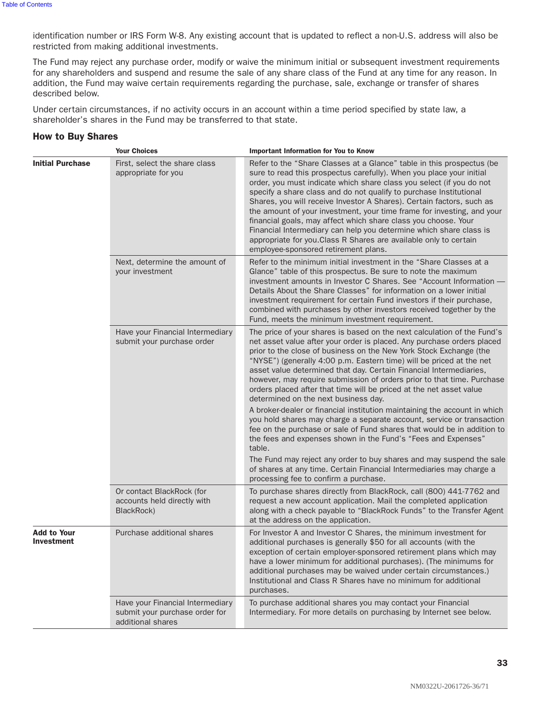identification number or IRS Form W-8. Any existing account that is updated to reflect a non-U.S. address will also be restricted from making additional investments.

The Fund may reject any purchase order, modify or waive the minimum initial or subsequent investment requirements for any shareholders and suspend and resume the sale of any share class of the Fund at any time for any reason. In addition, the Fund may waive certain requirements regarding the purchase, sale, exchange or transfer of shares described below.

Under certain circumstances, if no activity occurs in an account within a time period specified by state law, a shareholder's shares in the Fund may be transferred to that state.

|                                         | <b>Your Choices</b>                                                                     | <b>Important Information for You to Know</b>                                                                                                                                                                                                                                                                                                                                                                                                                                                                                                                                                                                                                                                        |  |  |
|-----------------------------------------|-----------------------------------------------------------------------------------------|-----------------------------------------------------------------------------------------------------------------------------------------------------------------------------------------------------------------------------------------------------------------------------------------------------------------------------------------------------------------------------------------------------------------------------------------------------------------------------------------------------------------------------------------------------------------------------------------------------------------------------------------------------------------------------------------------------|--|--|
| <b>Initial Purchase</b>                 | First, select the share class<br>appropriate for you                                    | Refer to the "Share Classes at a Glance" table in this prospectus (be<br>sure to read this prospectus carefully). When you place your initial<br>order, you must indicate which share class you select (if you do not<br>specify a share class and do not qualify to purchase Institutional<br>Shares, you will receive Investor A Shares). Certain factors, such as<br>the amount of your investment, your time frame for investing, and your<br>financial goals, may affect which share class you choose. Your<br>Financial Intermediary can help you determine which share class is<br>appropriate for you. Class R Shares are available only to certain<br>employee-sponsored retirement plans. |  |  |
|                                         | Next, determine the amount of<br>your investment                                        | Refer to the minimum initial investment in the "Share Classes at a<br>Glance" table of this prospectus. Be sure to note the maximum<br>investment amounts in Investor C Shares. See "Account Information -<br>Details About the Share Classes" for information on a lower initial<br>investment requirement for certain Fund investors if their purchase,<br>combined with purchases by other investors received together by the<br>Fund, meets the minimum investment requirement.                                                                                                                                                                                                                 |  |  |
|                                         | Have your Financial Intermediary<br>submit your purchase order                          | The price of your shares is based on the next calculation of the Fund's<br>net asset value after your order is placed. Any purchase orders placed<br>prior to the close of business on the New York Stock Exchange (the<br>"NYSE") (generally 4:00 p.m. Eastern time) will be priced at the net<br>asset value determined that day. Certain Financial Intermediaries,<br>however, may require submission of orders prior to that time. Purchase<br>orders placed after that time will be priced at the net asset value<br>determined on the next business day.                                                                                                                                      |  |  |
|                                         |                                                                                         | A broker-dealer or financial institution maintaining the account in which<br>you hold shares may charge a separate account, service or transaction<br>fee on the purchase or sale of Fund shares that would be in addition to<br>the fees and expenses shown in the Fund's "Fees and Expenses"<br>table.<br>The Fund may reject any order to buy shares and may suspend the sale                                                                                                                                                                                                                                                                                                                    |  |  |
|                                         |                                                                                         | of shares at any time. Certain Financial Intermediaries may charge a<br>processing fee to confirm a purchase.                                                                                                                                                                                                                                                                                                                                                                                                                                                                                                                                                                                       |  |  |
|                                         | Or contact BlackRock (for<br>accounts held directly with<br>BlackRock)                  | To purchase shares directly from BlackRock, call (800) 441-7762 and<br>request a new account application. Mail the completed application<br>along with a check payable to "BlackRock Funds" to the Transfer Agent<br>at the address on the application.                                                                                                                                                                                                                                                                                                                                                                                                                                             |  |  |
| <b>Add to Your</b><br><b>Investment</b> | Purchase additional shares                                                              | For Investor A and Investor C Shares, the minimum investment for<br>additional purchases is generally \$50 for all accounts (with the<br>exception of certain employer-sponsored retirement plans which may<br>have a lower minimum for additional purchases). (The minimums for<br>additional purchases may be waived under certain circumstances.)<br>Institutional and Class R Shares have no minimum for additional<br>purchases.                                                                                                                                                                                                                                                               |  |  |
|                                         | Have your Financial Intermediary<br>submit your purchase order for<br>additional shares | To purchase additional shares you may contact your Financial<br>Intermediary. For more details on purchasing by Internet see below.                                                                                                                                                                                                                                                                                                                                                                                                                                                                                                                                                                 |  |  |

#### How to Buy Shares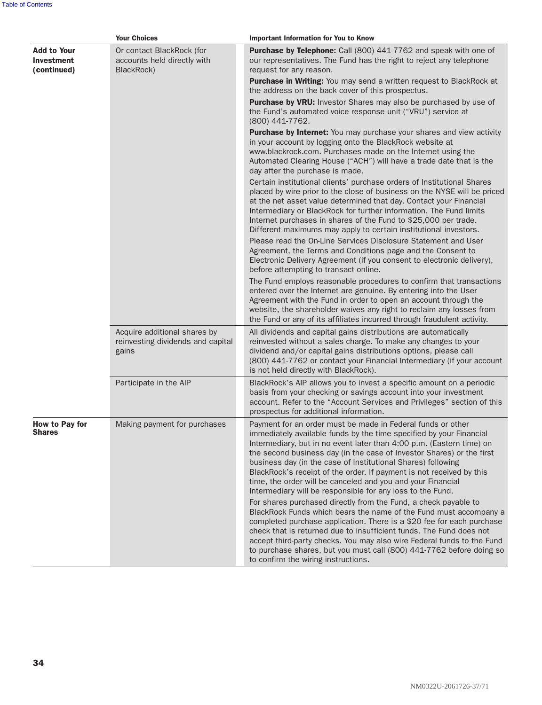|                                                        | <b>Your Choices</b>                                                        | <b>Important Information for You to Know</b>                                                                                                                                                                                                                                                                                                                                                                                                                                                                                                             |
|--------------------------------------------------------|----------------------------------------------------------------------------|----------------------------------------------------------------------------------------------------------------------------------------------------------------------------------------------------------------------------------------------------------------------------------------------------------------------------------------------------------------------------------------------------------------------------------------------------------------------------------------------------------------------------------------------------------|
| <b>Add to Your</b><br><b>Investment</b><br>(continued) | Or contact BlackRock (for<br>accounts held directly with<br>BlackRock)     | Purchase by Telephone: Call (800) 441-7762 and speak with one of<br>our representatives. The Fund has the right to reject any telephone<br>request for any reason.                                                                                                                                                                                                                                                                                                                                                                                       |
|                                                        |                                                                            | <b>Purchase in Writing:</b> You may send a written request to BlackRock at<br>the address on the back cover of this prospectus.                                                                                                                                                                                                                                                                                                                                                                                                                          |
|                                                        |                                                                            | Purchase by VRU: Investor Shares may also be purchased by use of<br>the Fund's automated voice response unit ("VRU") service at<br>(800) 441-7762.                                                                                                                                                                                                                                                                                                                                                                                                       |
|                                                        |                                                                            | <b>Purchase by Internet:</b> You may purchase your shares and view activity<br>in your account by logging onto the BlackRock website at<br>www.blackrock.com. Purchases made on the Internet using the<br>Automated Clearing House ("ACH") will have a trade date that is the<br>day after the purchase is made.                                                                                                                                                                                                                                         |
|                                                        |                                                                            | Certain institutional clients' purchase orders of Institutional Shares<br>placed by wire prior to the close of business on the NYSE will be priced<br>at the net asset value determined that day. Contact your Financial<br>Intermediary or BlackRock for further information. The Fund limits<br>Internet purchases in shares of the Fund to \$25,000 per trade.<br>Different maximums may apply to certain institutional investors.                                                                                                                    |
|                                                        |                                                                            | Please read the On-Line Services Disclosure Statement and User<br>Agreement, the Terms and Conditions page and the Consent to<br>Electronic Delivery Agreement (if you consent to electronic delivery),<br>before attempting to transact online.                                                                                                                                                                                                                                                                                                         |
|                                                        |                                                                            | The Fund employs reasonable procedures to confirm that transactions<br>entered over the Internet are genuine. By entering into the User<br>Agreement with the Fund in order to open an account through the<br>website, the shareholder waives any right to reclaim any losses from<br>the Fund or any of its affiliates incurred through fraudulent activity.                                                                                                                                                                                            |
|                                                        | Acquire additional shares by<br>reinvesting dividends and capital<br>gains | All dividends and capital gains distributions are automatically<br>reinvested without a sales charge. To make any changes to your<br>dividend and/or capital gains distributions options, please call<br>(800) 441-7762 or contact your Financial Intermediary (if your account<br>is not held directly with BlackRock).                                                                                                                                                                                                                                 |
|                                                        | Participate in the AIP                                                     | BlackRock's AIP allows you to invest a specific amount on a periodic<br>basis from your checking or savings account into your investment<br>account. Refer to the "Account Services and Privileges" section of this<br>prospectus for additional information.                                                                                                                                                                                                                                                                                            |
| How to Pay for<br><b>Shares</b>                        | Making payment for purchases                                               | Payment for an order must be made in Federal funds or other<br>immediately available funds by the time specified by your Financial<br>Intermediary, but in no event later than 4:00 p.m. (Eastern time) on<br>the second business day (in the case of Investor Shares) or the first<br>business day (in the case of Institutional Shares) following<br>BlackRock's receipt of the order. If payment is not received by this<br>time, the order will be canceled and you and your Financial<br>Intermediary will be responsible for any loss to the Fund. |
|                                                        |                                                                            | For shares purchased directly from the Fund, a check payable to<br>BlackRock Funds which bears the name of the Fund must accompany a<br>completed purchase application. There is a \$20 fee for each purchase<br>check that is returned due to insufficient funds. The Fund does not<br>accept third-party checks. You may also wire Federal funds to the Fund<br>to purchase shares, but you must call (800) 441-7762 before doing so<br>to confirm the wiring instructions.                                                                            |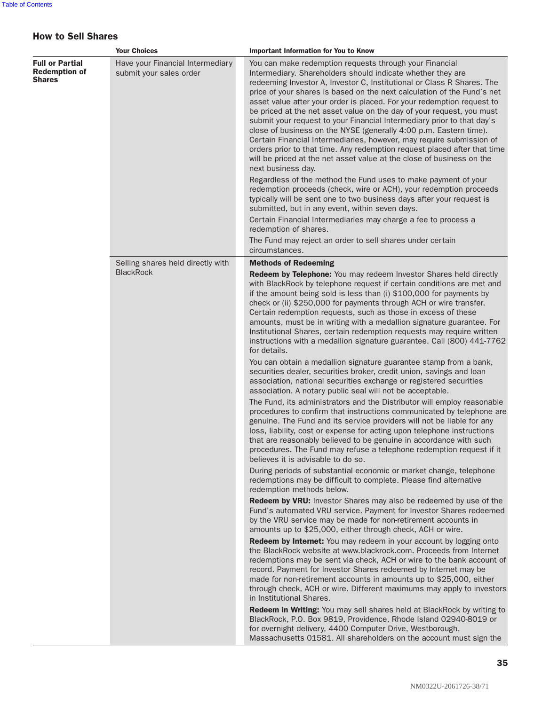## How to Sell Shares

|                                                                 | <b>Your Choices</b>                                         | <b>Important Information for You to Know</b>                                                                                                                                                                                                                                                                                                                                                                                                                                                                                                                                                                                                                                                                                                                                                                                     |
|-----------------------------------------------------------------|-------------------------------------------------------------|----------------------------------------------------------------------------------------------------------------------------------------------------------------------------------------------------------------------------------------------------------------------------------------------------------------------------------------------------------------------------------------------------------------------------------------------------------------------------------------------------------------------------------------------------------------------------------------------------------------------------------------------------------------------------------------------------------------------------------------------------------------------------------------------------------------------------------|
| <b>Full or Partial</b><br><b>Redemption of</b><br><b>Shares</b> | Have your Financial Intermediary<br>submit your sales order | You can make redemption requests through your Financial<br>Intermediary. Shareholders should indicate whether they are<br>redeeming Investor A, Investor C, Institutional or Class R Shares. The<br>price of your shares is based on the next calculation of the Fund's net<br>asset value after your order is placed. For your redemption request to<br>be priced at the net asset value on the day of your request, you must<br>submit your request to your Financial Intermediary prior to that day's<br>close of business on the NYSE (generally 4:00 p.m. Eastern time).<br>Certain Financial Intermediaries, however, may require submission of<br>orders prior to that time. Any redemption request placed after that time<br>will be priced at the net asset value at the close of business on the<br>next business day. |
|                                                                 |                                                             | Regardless of the method the Fund uses to make payment of your<br>redemption proceeds (check, wire or ACH), your redemption proceeds<br>typically will be sent one to two business days after your request is<br>submitted, but in any event, within seven days.                                                                                                                                                                                                                                                                                                                                                                                                                                                                                                                                                                 |
|                                                                 |                                                             | Certain Financial Intermediaries may charge a fee to process a<br>redemption of shares.                                                                                                                                                                                                                                                                                                                                                                                                                                                                                                                                                                                                                                                                                                                                          |
|                                                                 |                                                             | The Fund may reject an order to sell shares under certain<br>circumstances.                                                                                                                                                                                                                                                                                                                                                                                                                                                                                                                                                                                                                                                                                                                                                      |
|                                                                 | Selling shares held directly with                           | <b>Methods of Redeeming</b>                                                                                                                                                                                                                                                                                                                                                                                                                                                                                                                                                                                                                                                                                                                                                                                                      |
|                                                                 | <b>BlackRock</b>                                            | Redeem by Telephone: You may redeem Investor Shares held directly<br>with BlackRock by telephone request if certain conditions are met and<br>if the amount being sold is less than (i) \$100,000 for payments by<br>check or (ii) \$250,000 for payments through ACH or wire transfer.<br>Certain redemption requests, such as those in excess of these<br>amounts, must be in writing with a medallion signature guarantee. For<br>Institutional Shares, certain redemption requests may require written<br>instructions with a medallion signature guarantee. Call (800) 441-7762<br>for details.                                                                                                                                                                                                                             |
|                                                                 |                                                             | You can obtain a medallion signature guarantee stamp from a bank,<br>securities dealer, securities broker, credit union, savings and loan<br>association, national securities exchange or registered securities<br>association. A notary public seal will not be acceptable.                                                                                                                                                                                                                                                                                                                                                                                                                                                                                                                                                     |
|                                                                 |                                                             | The Fund, its administrators and the Distributor will employ reasonable<br>procedures to confirm that instructions communicated by telephone are<br>genuine. The Fund and its service providers will not be liable for any<br>loss, liability, cost or expense for acting upon telephone instructions<br>that are reasonably believed to be genuine in accordance with such<br>procedures. The Fund may refuse a telephone redemption request if it<br>believes it is advisable to do so.                                                                                                                                                                                                                                                                                                                                        |
|                                                                 |                                                             | During periods of substantial economic or market change, telephone<br>redemptions may be difficult to complete. Please find alternative<br>redemption methods below.                                                                                                                                                                                                                                                                                                                                                                                                                                                                                                                                                                                                                                                             |
|                                                                 |                                                             | Redeem by VRU: Investor Shares may also be redeemed by use of the<br>Fund's automated VRU service. Payment for Investor Shares redeemed<br>by the VRU service may be made for non-retirement accounts in<br>amounts up to \$25,000, either through check, ACH or wire.                                                                                                                                                                                                                                                                                                                                                                                                                                                                                                                                                           |
|                                                                 |                                                             | <b>Redeem by Internet:</b> You may redeem in your account by logging onto<br>the BlackRock website at www.blackrock.com. Proceeds from Internet<br>redemptions may be sent via check, ACH or wire to the bank account of<br>record. Payment for Investor Shares redeemed by Internet may be<br>made for non-retirement accounts in amounts up to \$25,000, either<br>through check, ACH or wire. Different maximums may apply to investors<br>in Institutional Shares.                                                                                                                                                                                                                                                                                                                                                           |
|                                                                 |                                                             | Redeem in Writing: You may sell shares held at BlackRock by writing to<br>BlackRock, P.O. Box 9819, Providence, Rhode Island 02940-8019 or<br>for overnight delivery, 4400 Computer Drive, Westborough,<br>Massachusetts 01581. All shareholders on the account must sign the                                                                                                                                                                                                                                                                                                                                                                                                                                                                                                                                                    |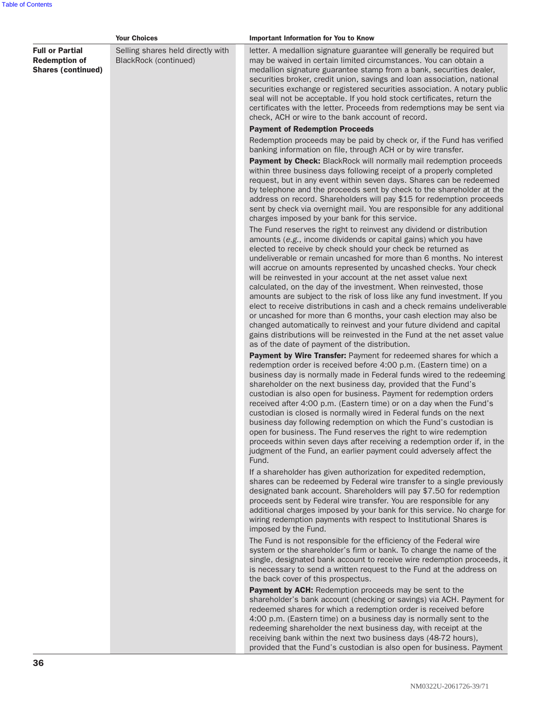|                                                                             | <b>Your Choices</b>                                        | <b>Important Information for You to Know</b>                                                                                                                                                                                                                                                                                                                                                                                                                                                                                                                                                                                                                                                                                                                                                                                                                                                                                       |
|-----------------------------------------------------------------------------|------------------------------------------------------------|------------------------------------------------------------------------------------------------------------------------------------------------------------------------------------------------------------------------------------------------------------------------------------------------------------------------------------------------------------------------------------------------------------------------------------------------------------------------------------------------------------------------------------------------------------------------------------------------------------------------------------------------------------------------------------------------------------------------------------------------------------------------------------------------------------------------------------------------------------------------------------------------------------------------------------|
| <b>Full or Partial</b><br><b>Redemption of</b><br><b>Shares (continued)</b> | Selling shares held directly with<br>BlackRock (continued) | letter. A medallion signature guarantee will generally be required but<br>may be waived in certain limited circumstances. You can obtain a<br>medallion signature guarantee stamp from a bank, securities dealer,<br>securities broker, credit union, savings and loan association, national<br>securities exchange or registered securities association. A notary public<br>seal will not be acceptable. If you hold stock certificates, return the<br>certificates with the letter. Proceeds from redemptions may be sent via<br>check, ACH or wire to the bank account of record.<br><b>Payment of Redemption Proceeds</b>                                                                                                                                                                                                                                                                                                      |
|                                                                             |                                                            | Redemption proceeds may be paid by check or, if the Fund has verified<br>banking information on file, through ACH or by wire transfer.                                                                                                                                                                                                                                                                                                                                                                                                                                                                                                                                                                                                                                                                                                                                                                                             |
|                                                                             |                                                            | Payment by Check: BlackRock will normally mail redemption proceeds<br>within three business days following receipt of a properly completed<br>request, but in any event within seven days. Shares can be redeemed<br>by telephone and the proceeds sent by check to the shareholder at the<br>address on record. Shareholders will pay \$15 for redemption proceeds<br>sent by check via overnight mail. You are responsible for any additional<br>charges imposed by your bank for this service.                                                                                                                                                                                                                                                                                                                                                                                                                                  |
|                                                                             |                                                            | The Fund reserves the right to reinvest any dividend or distribution<br>amounts (e.g., income dividends or capital gains) which you have<br>elected to receive by check should your check be returned as<br>undeliverable or remain uncashed for more than 6 months. No interest<br>will accrue on amounts represented by uncashed checks. Your check<br>will be reinvested in your account at the net asset value next<br>calculated, on the day of the investment. When reinvested, those<br>amounts are subject to the risk of loss like any fund investment. If you<br>elect to receive distributions in cash and a check remains undeliverable<br>or uncashed for more than 6 months, your cash election may also be<br>changed automatically to reinvest and your future dividend and capital<br>gains distributions will be reinvested in the Fund at the net asset value<br>as of the date of payment of the distribution. |
|                                                                             |                                                            | Payment by Wire Transfer: Payment for redeemed shares for which a<br>redemption order is received before 4:00 p.m. (Eastern time) on a<br>business day is normally made in Federal funds wired to the redeeming<br>shareholder on the next business day, provided that the Fund's<br>custodian is also open for business. Payment for redemption orders<br>received after 4:00 p.m. (Eastern time) or on a day when the Fund's<br>custodian is closed is normally wired in Federal funds on the next<br>business day following redemption on which the Fund's custodian is<br>open for business. The Fund reserves the right to wire redemption<br>proceeds within seven days after receiving a redemption order if, in the<br>judgment of the Fund, an earlier payment could adversely affect the<br>Fund.                                                                                                                        |
|                                                                             |                                                            | If a shareholder has given authorization for expedited redemption,<br>shares can be redeemed by Federal wire transfer to a single previously<br>designated bank account. Shareholders will pay \$7.50 for redemption<br>proceeds sent by Federal wire transfer. You are responsible for any<br>additional charges imposed by your bank for this service. No charge for<br>wiring redemption payments with respect to Institutional Shares is<br>imposed by the Fund.                                                                                                                                                                                                                                                                                                                                                                                                                                                               |
|                                                                             |                                                            | The Fund is not responsible for the efficiency of the Federal wire<br>system or the shareholder's firm or bank. To change the name of the<br>single, designated bank account to receive wire redemption proceeds, it<br>is necessary to send a written request to the Fund at the address on<br>the back cover of this prospectus.                                                                                                                                                                                                                                                                                                                                                                                                                                                                                                                                                                                                 |
|                                                                             |                                                            | Payment by ACH: Redemption proceeds may be sent to the<br>shareholder's bank account (checking or savings) via ACH. Payment for<br>redeemed shares for which a redemption order is received before<br>4:00 p.m. (Eastern time) on a business day is normally sent to the<br>redeeming shareholder the next business day, with receipt at the<br>receiving bank within the next two business days (48-72 hours),<br>provided that the Fund's custodian is also open for business. Payment                                                                                                                                                                                                                                                                                                                                                                                                                                           |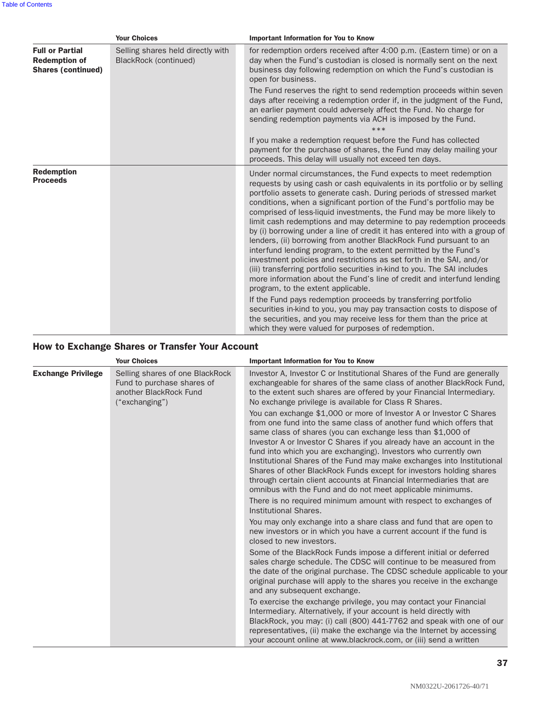|                                                                             | <b>Your Choices</b>                                        | <b>Important Information for You to Know</b>                                                                                                                                                                                                                                                                                                                                                                                                                                                                                                                                                                                                                                                                                                                                                                                                                                                                                                                                                                                                                                                                                                                                                                       |  |
|-----------------------------------------------------------------------------|------------------------------------------------------------|--------------------------------------------------------------------------------------------------------------------------------------------------------------------------------------------------------------------------------------------------------------------------------------------------------------------------------------------------------------------------------------------------------------------------------------------------------------------------------------------------------------------------------------------------------------------------------------------------------------------------------------------------------------------------------------------------------------------------------------------------------------------------------------------------------------------------------------------------------------------------------------------------------------------------------------------------------------------------------------------------------------------------------------------------------------------------------------------------------------------------------------------------------------------------------------------------------------------|--|
| <b>Full or Partial</b><br><b>Redemption of</b><br><b>Shares (continued)</b> | Selling shares held directly with<br>BlackRock (continued) | for redemption orders received after 4:00 p.m. (Eastern time) or on a<br>day when the Fund's custodian is closed is normally sent on the next<br>business day following redemption on which the Fund's custodian is<br>open for business.                                                                                                                                                                                                                                                                                                                                                                                                                                                                                                                                                                                                                                                                                                                                                                                                                                                                                                                                                                          |  |
|                                                                             |                                                            | The Fund reserves the right to send redemption proceeds within seven<br>days after receiving a redemption order if, in the judgment of the Fund,<br>an earlier payment could adversely affect the Fund. No charge for<br>sending redemption payments via ACH is imposed by the Fund.<br>***                                                                                                                                                                                                                                                                                                                                                                                                                                                                                                                                                                                                                                                                                                                                                                                                                                                                                                                        |  |
|                                                                             |                                                            | If you make a redemption request before the Fund has collected<br>payment for the purchase of shares, the Fund may delay mailing your<br>proceeds. This delay will usually not exceed ten days.                                                                                                                                                                                                                                                                                                                                                                                                                                                                                                                                                                                                                                                                                                                                                                                                                                                                                                                                                                                                                    |  |
| <b>Redemption</b><br><b>Proceeds</b>                                        |                                                            | Under normal circumstances, the Fund expects to meet redemption<br>requests by using cash or cash equivalents in its portfolio or by selling<br>portfolio assets to generate cash. During periods of stressed market<br>conditions, when a significant portion of the Fund's portfolio may be<br>comprised of less-liquid investments, the Fund may be more likely to<br>limit cash redemptions and may determine to pay redemption proceeds<br>by (i) borrowing under a line of credit it has entered into with a group of<br>lenders, (ii) borrowing from another BlackRock Fund pursuant to an<br>interfund lending program, to the extent permitted by the Fund's<br>investment policies and restrictions as set forth in the SAI, and/or<br>(iii) transferring portfolio securities in-kind to you. The SAI includes<br>more information about the Fund's line of credit and interfund lending<br>program, to the extent applicable.<br>If the Fund pays redemption proceeds by transferring portfolio<br>securities in-kind to you, you may pay transaction costs to dispose of<br>the securities, and you may receive less for them than the price at<br>which they were valued for purposes of redemption. |  |

# How to Exchange Shares or Transfer Your Account

|                           | <b>Your Choices</b>                                                                                       | <b>Important Information for You to Know</b>                                                                                                                                                                                                                                                                                                                                                                                                                                                                                                                                                                                                                                                                                                                                                                                                                                                                                                                                                                                                                                                                                                                                                                                                                                                                                                                                                                                                                                                                                                                                                                                                                                                                                                                                                                                                                                                                  |
|---------------------------|-----------------------------------------------------------------------------------------------------------|---------------------------------------------------------------------------------------------------------------------------------------------------------------------------------------------------------------------------------------------------------------------------------------------------------------------------------------------------------------------------------------------------------------------------------------------------------------------------------------------------------------------------------------------------------------------------------------------------------------------------------------------------------------------------------------------------------------------------------------------------------------------------------------------------------------------------------------------------------------------------------------------------------------------------------------------------------------------------------------------------------------------------------------------------------------------------------------------------------------------------------------------------------------------------------------------------------------------------------------------------------------------------------------------------------------------------------------------------------------------------------------------------------------------------------------------------------------------------------------------------------------------------------------------------------------------------------------------------------------------------------------------------------------------------------------------------------------------------------------------------------------------------------------------------------------------------------------------------------------------------------------------------------------|
| <b>Exchange Privilege</b> | Selling shares of one BlackRock<br>Fund to purchase shares of<br>another BlackRock Fund<br>("exchanging") | Investor A, Investor C or Institutional Shares of the Fund are generally<br>exchangeable for shares of the same class of another BlackRock Fund,<br>to the extent such shares are offered by your Financial Intermediary.<br>No exchange privilege is available for Class R Shares.<br>You can exchange \$1,000 or more of Investor A or Investor C Shares<br>from one fund into the same class of another fund which offers that<br>same class of shares (you can exchange less than \$1,000 of<br>Investor A or Investor C Shares if you already have an account in the<br>fund into which you are exchanging). Investors who currently own<br>Institutional Shares of the Fund may make exchanges into Institutional<br>Shares of other BlackRock Funds except for investors holding shares<br>through certain client accounts at Financial Intermediaries that are<br>omnibus with the Fund and do not meet applicable minimums.<br>There is no required minimum amount with respect to exchanges of<br>Institutional Shares.<br>You may only exchange into a share class and fund that are open to<br>new investors or in which you have a current account if the fund is<br>closed to new investors.<br>Some of the BlackRock Funds impose a different initial or deferred<br>sales charge schedule. The CDSC will continue to be measured from<br>the date of the original purchase. The CDSC schedule applicable to your<br>original purchase will apply to the shares you receive in the exchange<br>and any subsequent exchange.<br>To exercise the exchange privilege, you may contact your Financial<br>Intermediary. Alternatively, if your account is held directly with<br>BlackRock, you may: (i) call (800) 441-7762 and speak with one of our<br>representatives, (ii) make the exchange via the Internet by accessing<br>your account online at www.blackrock.com, or (iii) send a written |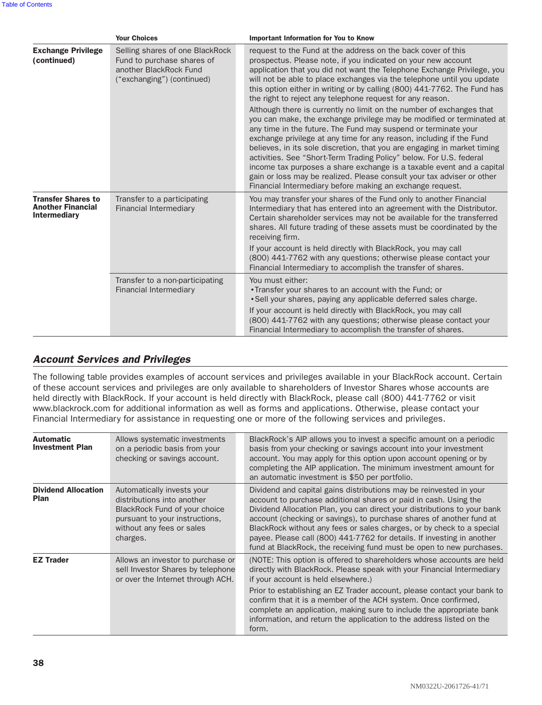<span id="page-40-0"></span>

|                                                                       | <b>Your Choices</b>                                                                                                   | <b>Important Information for You to Know</b>                                                                                                                                                                                                                                                                                                                                                                                                                                                                                                                                                                                                               |  |
|-----------------------------------------------------------------------|-----------------------------------------------------------------------------------------------------------------------|------------------------------------------------------------------------------------------------------------------------------------------------------------------------------------------------------------------------------------------------------------------------------------------------------------------------------------------------------------------------------------------------------------------------------------------------------------------------------------------------------------------------------------------------------------------------------------------------------------------------------------------------------------|--|
| <b>Exchange Privilege</b><br>(continued)                              | Selling shares of one BlackRock<br>Fund to purchase shares of<br>another BlackRock Fund<br>("exchanging") (continued) | request to the Fund at the address on the back cover of this<br>prospectus. Please note, if you indicated on your new account<br>application that you did not want the Telephone Exchange Privilege, you<br>will not be able to place exchanges via the telephone until you update<br>this option either in writing or by calling (800) 441-7762. The Fund has<br>the right to reject any telephone request for any reason.                                                                                                                                                                                                                                |  |
|                                                                       |                                                                                                                       | Although there is currently no limit on the number of exchanges that<br>you can make, the exchange privilege may be modified or terminated at<br>any time in the future. The Fund may suspend or terminate your<br>exchange privilege at any time for any reason, including if the Fund<br>believes, in its sole discretion, that you are engaging in market timing<br>activities. See "Short-Term Trading Policy" below. For U.S. federal<br>income tax purposes a share exchange is a taxable event and a capital<br>gain or loss may be realized. Please consult your tax adviser or other<br>Financial Intermediary before making an exchange request. |  |
| <b>Transfer Shares to</b><br><b>Another Financial</b><br>Intermediary | Transfer to a participating<br>Financial Intermediary                                                                 | You may transfer your shares of the Fund only to another Financial<br>Intermediary that has entered into an agreement with the Distributor.<br>Certain shareholder services may not be available for the transferred<br>shares. All future trading of these assets must be coordinated by the<br>receiving firm.<br>If your account is held directly with BlackRock, you may call<br>(800) 441-7762 with any questions; otherwise please contact your<br>Financial Intermediary to accomplish the transfer of shares.                                                                                                                                      |  |
|                                                                       | Transfer to a non-participating<br>Financial Intermediary                                                             | You must either:<br>• Transfer your shares to an account with the Fund; or<br>. Sell your shares, paying any applicable deferred sales charge.<br>If your account is held directly with BlackRock, you may call<br>(800) 441-7762 with any questions; otherwise please contact your<br>Financial Intermediary to accomplish the transfer of shares.                                                                                                                                                                                                                                                                                                        |  |

# *Account Services and Privileges*

The following table provides examples of account services and privileges available in your BlackRock account. Certain of these account services and privileges are only available to shareholders of Investor Shares whose accounts are held directly with BlackRock. If your account is held directly with BlackRock, please call (800) 441-7762 or visit www.blackrock.com for additional information as well as forms and applications. Otherwise, please contact your Financial Intermediary for assistance in requesting one or more of the following services and privileges.

| <b>Automatic</b><br><b>Investment Plan</b> | Allows systematic investments<br>on a periodic basis from your<br>checking or savings account.                                                                       | BlackRock's AIP allows you to invest a specific amount on a periodic<br>basis from your checking or savings account into your investment<br>account. You may apply for this option upon account opening or by<br>completing the AIP application. The minimum investment amount for<br>an automatic investment is \$50 per portfolio.                                                                                                                                                                                  |
|--------------------------------------------|----------------------------------------------------------------------------------------------------------------------------------------------------------------------|-----------------------------------------------------------------------------------------------------------------------------------------------------------------------------------------------------------------------------------------------------------------------------------------------------------------------------------------------------------------------------------------------------------------------------------------------------------------------------------------------------------------------|
| <b>Dividend Allocation</b><br><b>Plan</b>  | Automatically invests your<br>distributions into another<br>BlackRock Fund of your choice<br>pursuant to your instructions,<br>without any fees or sales<br>charges. | Dividend and capital gains distributions may be reinvested in your<br>account to purchase additional shares or paid in cash. Using the<br>Dividend Allocation Plan, you can direct your distributions to your bank<br>account (checking or savings), to purchase shares of another fund at<br>BlackRock without any fees or sales charges, or by check to a special<br>payee. Please call (800) 441-7762 for details. If investing in another<br>fund at BlackRock, the receiving fund must be open to new purchases. |
| <b>EZ Trader</b>                           | Allows an investor to purchase or<br>sell Investor Shares by telephone<br>or over the Internet through ACH.                                                          | (NOTE: This option is offered to shareholders whose accounts are held<br>directly with BlackRock. Please speak with your Financial Intermediary<br>if your account is held elsewhere.)<br>Prior to establishing an EZ Trader account, please contact your bank to<br>confirm that it is a member of the ACH system. Once confirmed,<br>complete an application, making sure to include the appropriate bank<br>information, and return the application to the address listed on the<br>form.                          |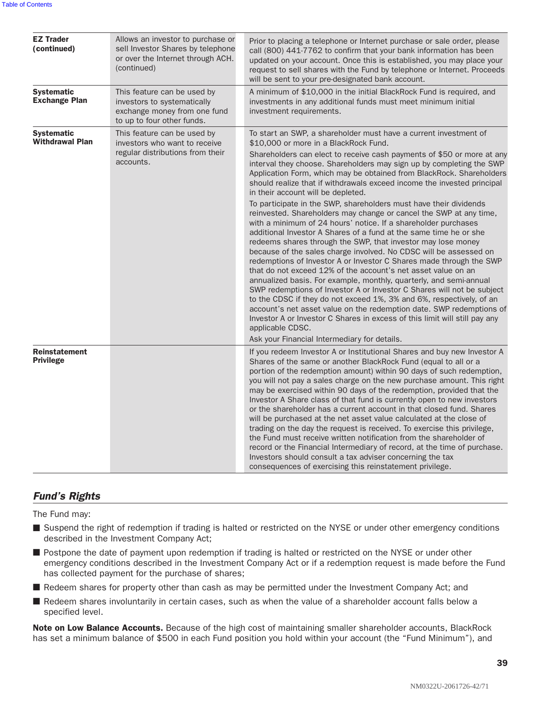<span id="page-41-0"></span>

| <b>EZ Trader</b><br>(continued)             | Allows an investor to purchase or<br>sell Investor Shares by telephone<br>or over the Internet through ACH.<br>(continued) | Prior to placing a telephone or Internet purchase or sale order, please<br>call (800) 441-7762 to confirm that your bank information has been<br>updated on your account. Once this is established, you may place your<br>request to sell shares with the Fund by telephone or Internet. Proceeds<br>will be sent to your pre-designated bank account.                                                                                                                                                                                                                                                                                                                                                                                                                                                                                                                                                                                                                                                                                                                                                                                                                                                                                                                                                                                                                                                                                                                |
|---------------------------------------------|----------------------------------------------------------------------------------------------------------------------------|-----------------------------------------------------------------------------------------------------------------------------------------------------------------------------------------------------------------------------------------------------------------------------------------------------------------------------------------------------------------------------------------------------------------------------------------------------------------------------------------------------------------------------------------------------------------------------------------------------------------------------------------------------------------------------------------------------------------------------------------------------------------------------------------------------------------------------------------------------------------------------------------------------------------------------------------------------------------------------------------------------------------------------------------------------------------------------------------------------------------------------------------------------------------------------------------------------------------------------------------------------------------------------------------------------------------------------------------------------------------------------------------------------------------------------------------------------------------------|
| <b>Systematic</b><br><b>Exchange Plan</b>   | This feature can be used by<br>investors to systematically<br>exchange money from one fund<br>to up to four other funds.   | A minimum of \$10,000 in the initial BlackRock Fund is required, and<br>investments in any additional funds must meet minimum initial<br>investment requirements.                                                                                                                                                                                                                                                                                                                                                                                                                                                                                                                                                                                                                                                                                                                                                                                                                                                                                                                                                                                                                                                                                                                                                                                                                                                                                                     |
| <b>Systematic</b><br><b>Withdrawal Plan</b> | This feature can be used by<br>investors who want to receive<br>regular distributions from their<br>accounts.              | To start an SWP, a shareholder must have a current investment of<br>\$10,000 or more in a BlackRock Fund.<br>Shareholders can elect to receive cash payments of \$50 or more at any<br>interval they choose. Shareholders may sign up by completing the SWP<br>Application Form, which may be obtained from BlackRock. Shareholders<br>should realize that if withdrawals exceed income the invested principal<br>in their account will be depleted.<br>To participate in the SWP, shareholders must have their dividends<br>reinvested. Shareholders may change or cancel the SWP at any time,<br>with a minimum of 24 hours' notice. If a shareholder purchases<br>additional Investor A Shares of a fund at the same time he or she<br>redeems shares through the SWP, that investor may lose money<br>because of the sales charge involved. No CDSC will be assessed on<br>redemptions of Investor A or Investor C Shares made through the SWP<br>that do not exceed 12% of the account's net asset value on an<br>annualized basis. For example, monthly, quarterly, and semi-annual<br>SWP redemptions of Investor A or Investor C Shares will not be subject<br>to the CDSC if they do not exceed 1%, 3% and 6%, respectively, of an<br>account's net asset value on the redemption date. SWP redemptions of<br>Investor A or Investor C Shares in excess of this limit will still pay any<br>applicable CDSC.<br>Ask your Financial Intermediary for details. |
| <b>Reinstatement</b><br><b>Privilege</b>    |                                                                                                                            | If you redeem Investor A or Institutional Shares and buy new Investor A<br>Shares of the same or another BlackRock Fund (equal to all or a<br>portion of the redemption amount) within 90 days of such redemption,<br>you will not pay a sales charge on the new purchase amount. This right<br>may be exercised within 90 days of the redemption, provided that the<br>Investor A Share class of that fund is currently open to new investors<br>or the shareholder has a current account in that closed fund. Shares<br>will be purchased at the net asset value calculated at the close of<br>trading on the day the request is received. To exercise this privilege,<br>the Fund must receive written notification from the shareholder of<br>record or the Financial Intermediary of record, at the time of purchase.<br>Investors should consult a tax adviser concerning the tax<br>consequences of exercising this reinstatement privilege.                                                                                                                                                                                                                                                                                                                                                                                                                                                                                                                   |

# *Fund's Rights*

The Fund may:

- Suspend the right of redemption if trading is halted or restricted on the NYSE or under other emergency conditions described in the Investment Company Act;
- **Postpone the date of payment upon redemption if trading is halted or restricted on the NYSE or under other** emergency conditions described in the Investment Company Act or if a redemption request is made before the Fund has collected payment for the purchase of shares;
- Redeem shares for property other than cash as may be permitted under the Investment Company Act; and
- Redeem shares involuntarily in certain cases, such as when the value of a shareholder account falls below a specified level.

Note on Low Balance Accounts. Because of the high cost of maintaining smaller shareholder accounts, BlackRock has set a minimum balance of \$500 in each Fund position you hold within your account (the "Fund Minimum"), and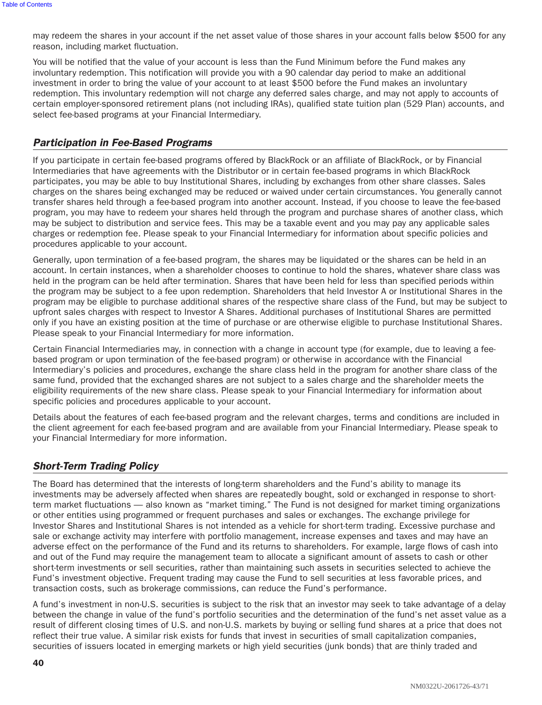<span id="page-42-0"></span>may redeem the shares in your account if the net asset value of those shares in your account falls below \$500 for any reason, including market fluctuation.

You will be notified that the value of your account is less than the Fund Minimum before the Fund makes any involuntary redemption. This notification will provide you with a 90 calendar day period to make an additional investment in order to bring the value of your account to at least \$500 before the Fund makes an involuntary redemption. This involuntary redemption will not charge any deferred sales charge, and may not apply to accounts of certain employer-sponsored retirement plans (not including IRAs), qualified state tuition plan (529 Plan) accounts, and select fee-based programs at your Financial Intermediary.

# *Participation in Fee-Based Programs*

If you participate in certain fee-based programs offered by BlackRock or an affiliate of BlackRock, or by Financial Intermediaries that have agreements with the Distributor or in certain fee-based programs in which BlackRock participates, you may be able to buy Institutional Shares, including by exchanges from other share classes. Sales charges on the shares being exchanged may be reduced or waived under certain circumstances. You generally cannot transfer shares held through a fee-based program into another account. Instead, if you choose to leave the fee-based program, you may have to redeem your shares held through the program and purchase shares of another class, which may be subject to distribution and service fees. This may be a taxable event and you may pay any applicable sales charges or redemption fee. Please speak to your Financial Intermediary for information about specific policies and procedures applicable to your account.

Generally, upon termination of a fee-based program, the shares may be liquidated or the shares can be held in an account. In certain instances, when a shareholder chooses to continue to hold the shares, whatever share class was held in the program can be held after termination. Shares that have been held for less than specified periods within the program may be subject to a fee upon redemption. Shareholders that held Investor A or Institutional Shares in the program may be eligible to purchase additional shares of the respective share class of the Fund, but may be subject to upfront sales charges with respect to Investor A Shares. Additional purchases of Institutional Shares are permitted only if you have an existing position at the time of purchase or are otherwise eligible to purchase Institutional Shares. Please speak to your Financial Intermediary for more information.

Certain Financial Intermediaries may, in connection with a change in account type (for example, due to leaving a feebased program or upon termination of the fee-based program) or otherwise in accordance with the Financial Intermediary's policies and procedures, exchange the share class held in the program for another share class of the same fund, provided that the exchanged shares are not subject to a sales charge and the shareholder meets the eligibility requirements of the new share class. Please speak to your Financial Intermediary for information about specific policies and procedures applicable to your account.

Details about the features of each fee-based program and the relevant charges, terms and conditions are included in the client agreement for each fee-based program and are available from your Financial Intermediary. Please speak to your Financial Intermediary for more information.

# *Short-Term Trading Policy*

The Board has determined that the interests of long-term shareholders and the Fund's ability to manage its investments may be adversely affected when shares are repeatedly bought, sold or exchanged in response to shortterm market fluctuations — also known as "market timing." The Fund is not designed for market timing organizations or other entities using programmed or frequent purchases and sales or exchanges. The exchange privilege for Investor Shares and Institutional Shares is not intended as a vehicle for short-term trading. Excessive purchase and sale or exchange activity may interfere with portfolio management, increase expenses and taxes and may have an adverse effect on the performance of the Fund and its returns to shareholders. For example, large flows of cash into and out of the Fund may require the management team to allocate a significant amount of assets to cash or other short-term investments or sell securities, rather than maintaining such assets in securities selected to achieve the Fund's investment objective. Frequent trading may cause the Fund to sell securities at less favorable prices, and transaction costs, such as brokerage commissions, can reduce the Fund's performance.

A fund's investment in non-U.S. securities is subject to the risk that an investor may seek to take advantage of a delay between the change in value of the fund's portfolio securities and the determination of the fund's net asset value as a result of different closing times of U.S. and non-U.S. markets by buying or selling fund shares at a price that does not reflect their true value. A similar risk exists for funds that invest in securities of small capitalization companies, securities of issuers located in emerging markets or high yield securities (junk bonds) that are thinly traded and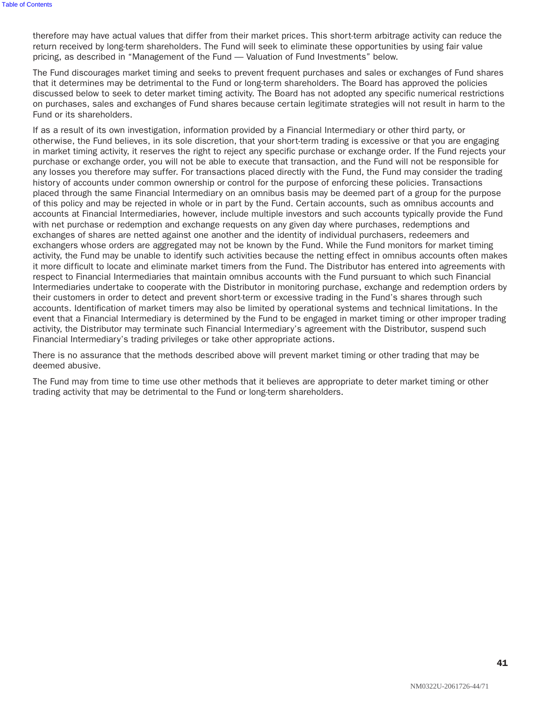therefore may have actual values that differ from their market prices. This short-term arbitrage activity can reduce the return received by long-term shareholders. The Fund will seek to eliminate these opportunities by using fair value pricing, as described in "Management of the Fund — Valuation of Fund Investments" below.

The Fund discourages market timing and seeks to prevent frequent purchases and sales or exchanges of Fund shares that it determines may be detrimental to the Fund or long-term shareholders. The Board has approved the policies discussed below to seek to deter market timing activity. The Board has not adopted any specific numerical restrictions on purchases, sales and exchanges of Fund shares because certain legitimate strategies will not result in harm to the Fund or its shareholders.

If as a result of its own investigation, information provided by a Financial Intermediary or other third party, or otherwise, the Fund believes, in its sole discretion, that your short-term trading is excessive or that you are engaging in market timing activity, it reserves the right to reject any specific purchase or exchange order. If the Fund rejects your purchase or exchange order, you will not be able to execute that transaction, and the Fund will not be responsible for any losses you therefore may suffer. For transactions placed directly with the Fund, the Fund may consider the trading history of accounts under common ownership or control for the purpose of enforcing these policies. Transactions placed through the same Financial Intermediary on an omnibus basis may be deemed part of a group for the purpose of this policy and may be rejected in whole or in part by the Fund. Certain accounts, such as omnibus accounts and accounts at Financial Intermediaries, however, include multiple investors and such accounts typically provide the Fund with net purchase or redemption and exchange requests on any given day where purchases, redemptions and exchanges of shares are netted against one another and the identity of individual purchasers, redeemers and exchangers whose orders are aggregated may not be known by the Fund. While the Fund monitors for market timing activity, the Fund may be unable to identify such activities because the netting effect in omnibus accounts often makes it more difficult to locate and eliminate market timers from the Fund. The Distributor has entered into agreements with respect to Financial Intermediaries that maintain omnibus accounts with the Fund pursuant to which such Financial Intermediaries undertake to cooperate with the Distributor in monitoring purchase, exchange and redemption orders by their customers in order to detect and prevent short-term or excessive trading in the Fund's shares through such accounts. Identification of market timers may also be limited by operational systems and technical limitations. In the event that a Financial Intermediary is determined by the Fund to be engaged in market timing or other improper trading activity, the Distributor may terminate such Financial Intermediary's agreement with the Distributor, suspend such Financial Intermediary's trading privileges or take other appropriate actions.

There is no assurance that the methods described above will prevent market timing or other trading that may be deemed abusive.

The Fund may from time to time use other methods that it believes are appropriate to deter market timing or other trading activity that may be detrimental to the Fund or long-term shareholders.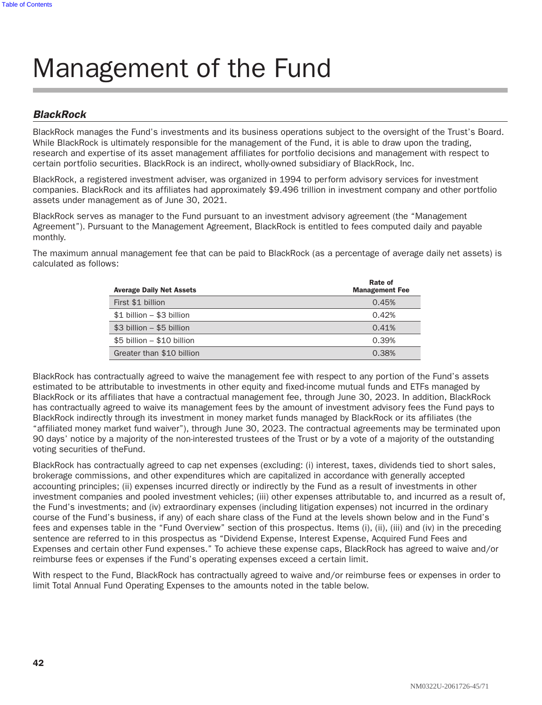# <span id="page-44-0"></span>Management of the Fund

# *BlackRock*

BlackRock manages the Fund's investments and its business operations subject to the oversight of the Trust's Board. While BlackRock is ultimately responsible for the management of the Fund, it is able to draw upon the trading, research and expertise of its asset management affiliates for portfolio decisions and management with respect to certain portfolio securities. BlackRock is an indirect, wholly-owned subsidiary of BlackRock, Inc.

BlackRock, a registered investment adviser, was organized in 1994 to perform advisory services for investment companies. BlackRock and its affiliates had approximately \$9.496 trillion in investment company and other portfolio assets under management as of June 30, 2021.

BlackRock serves as manager to the Fund pursuant to an investment advisory agreement (the "Management Agreement"). Pursuant to the Management Agreement, BlackRock is entitled to fees computed daily and payable monthly.

The maximum annual management fee that can be paid to BlackRock (as a percentage of average daily net assets) is calculated as follows:

| <b>Average Daily Net Assets</b> | Rate of<br><b>Management Fee</b> |
|---------------------------------|----------------------------------|
| First \$1 billion               | 0.45%                            |
| \$1 billion - \$3 billion       | 0.42%                            |
| \$3 billion - \$5 billion       | 0.41%                            |
| \$5 billion - \$10 billion      | 0.39%                            |
| Greater than \$10 billion       | 0.38%                            |

BlackRock has contractually agreed to waive the management fee with respect to any portion of the Fund's assets estimated to be attributable to investments in other equity and fixed-income mutual funds and ETFs managed by BlackRock or its affiliates that have a contractual management fee, through June 30, 2023. In addition, BlackRock has contractually agreed to waive its management fees by the amount of investment advisory fees the Fund pays to BlackRock indirectly through its investment in money market funds managed by BlackRock or its affiliates (the "affiliated money market fund waiver"), through June 30, 2023. The contractual agreements may be terminated upon 90 days' notice by a majority of the non-interested trustees of the Trust or by a vote of a majority of the outstanding voting securities of theFund.

BlackRock has contractually agreed to cap net expenses (excluding: (i) interest, taxes, dividends tied to short sales, brokerage commissions, and other expenditures which are capitalized in accordance with generally accepted accounting principles; (ii) expenses incurred directly or indirectly by the Fund as a result of investments in other investment companies and pooled investment vehicles; (iii) other expenses attributable to, and incurred as a result of, the Fund's investments; and (iv) extraordinary expenses (including litigation expenses) not incurred in the ordinary course of the Fund's business, if any) of each share class of the Fund at the levels shown below and in the Fund's fees and expenses table in the "Fund Overview" section of this prospectus. Items (i), (ii), (iii) and (iv) in the preceding sentence are referred to in this prospectus as "Dividend Expense, Interest Expense, Acquired Fund Fees and Expenses and certain other Fund expenses." To achieve these expense caps, BlackRock has agreed to waive and/or reimburse fees or expenses if the Fund's operating expenses exceed a certain limit.

With respect to the Fund, BlackRock has contractually agreed to waive and/or reimburse fees or expenses in order to limit Total Annual Fund Operating Expenses to the amounts noted in the table below.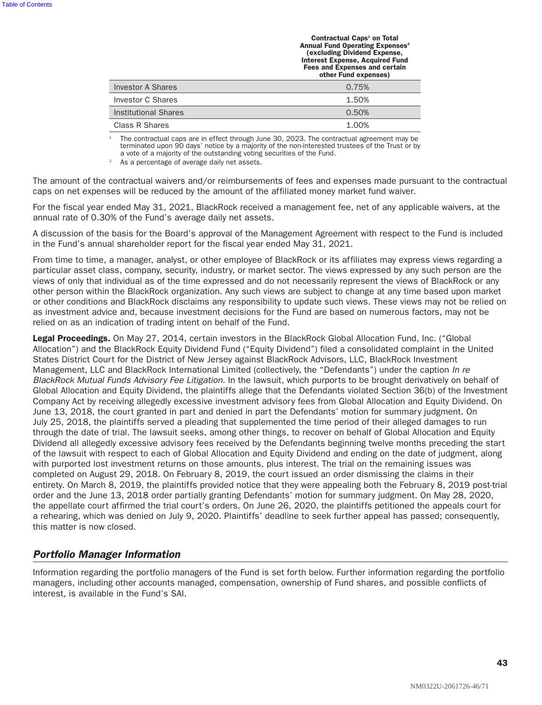#### Contractual Caps<sup>1</sup> on Total Annual Fund Operating Expenses<sup>2</sup> (excluding Dividend Expense, Interest Expense, Acquired Fund Fees and Expenses and certain other **Fund** expenses)

<span id="page-45-0"></span>

|                      | $\frac{1}{2}$ |
|----------------------|---------------|
| Investor A Shares    | 0.75%         |
| Investor C Shares    | 1.50%         |
| Institutional Shares | 0.50%         |
| Class R Shares       | 1.00%         |

<sup>1</sup> The contractual caps are in effect through June 30, 2023. The contractual agreement may be terminated upon 90 days' notice by a majority of the non-interested trustees of the Trust or by a vote of a majority of the outstanding voting securities of the Fund.

<sup>2</sup> As a percentage of average daily net assets.

The amount of the contractual waivers and/or reimbursements of fees and expenses made pursuant to the contractual caps on net expenses will be reduced by the amount of the affiliated money market fund waiver.

For the fiscal year ended May 31, 2021, BlackRock received a management fee, net of any applicable waivers, at the annual rate of 0.30% of the Fund's average daily net assets.

A discussion of the basis for the Board's approval of the Management Agreement with respect to the Fund is included in the Fund's annual shareholder report for the fiscal year ended May 31, 2021.

From time to time, a manager, analyst, or other employee of BlackRock or its affiliates may express views regarding a particular asset class, company, security, industry, or market sector. The views expressed by any such person are the views of only that individual as of the time expressed and do not necessarily represent the views of BlackRock or any other person within the BlackRock organization. Any such views are subject to change at any time based upon market or other conditions and BlackRock disclaims any responsibility to update such views. These views may not be relied on as investment advice and, because investment decisions for the Fund are based on numerous factors, may not be relied on as an indication of trading intent on behalf of the Fund.

Legal Proceedings. On May 27, 2014, certain investors in the BlackRock Global Allocation Fund, Inc. ("Global Allocation") and the BlackRock Equity Dividend Fund ("Equity Dividend") filed a consolidated complaint in the United States District Court for the District of New Jersey against BlackRock Advisors, LLC, BlackRock Investment Management, LLC and BlackRock International Limited (collectively, the "Defendants") under the caption *In re BlackRock Mutual Funds Advisory Fee Litigation*. In the lawsuit, which purports to be brought derivatively on behalf of Global Allocation and Equity Dividend, the plaintiffs allege that the Defendants violated Section 36(b) of the Investment Company Act by receiving allegedly excessive investment advisory fees from Global Allocation and Equity Dividend. On June 13, 2018, the court granted in part and denied in part the Defendants' motion for summary judgment. On July 25, 2018, the plaintiffs served a pleading that supplemented the time period of their alleged damages to run through the date of trial. The lawsuit seeks, among other things, to recover on behalf of Global Allocation and Equity Dividend all allegedly excessive advisory fees received by the Defendants beginning twelve months preceding the start of the lawsuit with respect to each of Global Allocation and Equity Dividend and ending on the date of judgment, along with purported lost investment returns on those amounts, plus interest. The trial on the remaining issues was completed on August 29, 2018. On February 8, 2019, the court issued an order dismissing the claims in their entirety. On March 8, 2019, the plaintiffs provided notice that they were appealing both the February 8, 2019 post-trial order and the June 13, 2018 order partially granting Defendants' motion for summary judgment. On May 28, 2020, the appellate court affirmed the trial court's orders. On June 26, 2020, the plaintiffs petitioned the appeals court for a rehearing, which was denied on July 9, 2020. Plaintiffs' deadline to seek further appeal has passed; consequently, this matter is now closed.

# *Portfolio Manager Information*

Information regarding the portfolio managers of the Fund is set forth below. Further information regarding the portfolio managers, including other accounts managed, compensation, ownership of Fund shares, and possible conflicts of interest, is available in the Fund's SAI.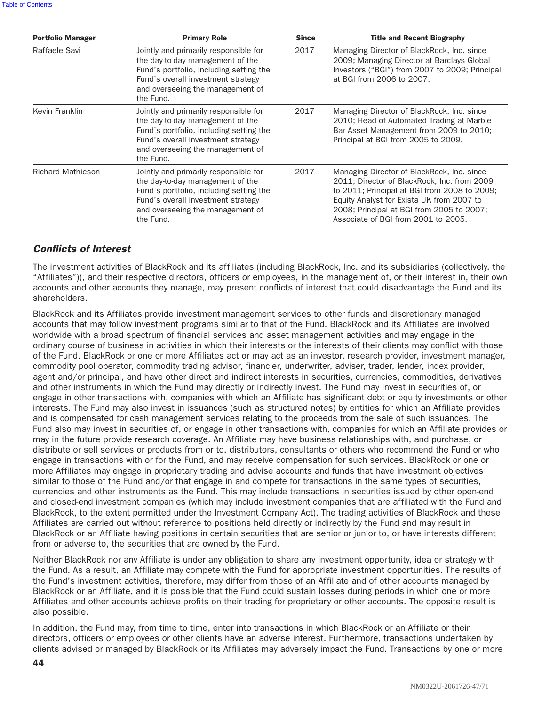<span id="page-46-0"></span>

| <b>Portfolio Manager</b> | <b>Primary Role</b>                                                                                                                                                                                         | <b>Since</b> | <b>Title and Recent Biography</b>                                                                                                                                                                                                                                          |
|--------------------------|-------------------------------------------------------------------------------------------------------------------------------------------------------------------------------------------------------------|--------------|----------------------------------------------------------------------------------------------------------------------------------------------------------------------------------------------------------------------------------------------------------------------------|
| Raffaele Savi            | Jointly and primarily responsible for<br>the day-to-day management of the<br>Fund's portfolio, including setting the<br>Fund's overall investment strategy<br>and overseeing the management of<br>the Fund. | 2017         | Managing Director of BlackRock, Inc. since<br>2009; Managing Director at Barclays Global<br>Investors ("BGI") from 2007 to 2009; Principal<br>at BGI from 2006 to 2007.                                                                                                    |
| Kevin Franklin           | Jointly and primarily responsible for<br>the day-to-day management of the<br>Fund's portfolio, including setting the<br>Fund's overall investment strategy<br>and overseeing the management of<br>the Fund. | 2017         | Managing Director of BlackRock, Inc. since<br>2010; Head of Automated Trading at Marble<br>Bar Asset Management from 2009 to 2010;<br>Principal at BGI from 2005 to 2009.                                                                                                  |
| <b>Richard Mathieson</b> | Jointly and primarily responsible for<br>the day-to-day management of the<br>Fund's portfolio, including setting the<br>Fund's overall investment strategy<br>and overseeing the management of<br>the Fund. | 2017         | Managing Director of BlackRock, Inc. since<br>2011; Director of BlackRock, Inc. from 2009<br>to 2011; Principal at BGI from 2008 to 2009;<br>Equity Analyst for Exista UK from 2007 to<br>2008; Principal at BGI from 2005 to 2007;<br>Associate of BGI from 2001 to 2005. |

# *Conflicts of Interest*

The investment activities of BlackRock and its affiliates (including BlackRock, Inc. and its subsidiaries (collectively, the "Affiliates")), and their respective directors, officers or employees, in the management of, or their interest in, their own accounts and other accounts they manage, may present conflicts of interest that could disadvantage the Fund and its shareholders.

BlackRock and its Affiliates provide investment management services to other funds and discretionary managed accounts that may follow investment programs similar to that of the Fund. BlackRock and its Affiliates are involved worldwide with a broad spectrum of financial services and asset management activities and may engage in the ordinary course of business in activities in which their interests or the interests of their clients may conflict with those of the Fund. BlackRock or one or more Affiliates act or may act as an investor, research provider, investment manager, commodity pool operator, commodity trading advisor, financier, underwriter, adviser, trader, lender, index provider, agent and/or principal, and have other direct and indirect interests in securities, currencies, commodities, derivatives and other instruments in which the Fund may directly or indirectly invest. The Fund may invest in securities of, or engage in other transactions with, companies with which an Affiliate has significant debt or equity investments or other interests. The Fund may also invest in issuances (such as structured notes) by entities for which an Affiliate provides and is compensated for cash management services relating to the proceeds from the sale of such issuances. The Fund also may invest in securities of, or engage in other transactions with, companies for which an Affiliate provides or may in the future provide research coverage. An Affiliate may have business relationships with, and purchase, or distribute or sell services or products from or to, distributors, consultants or others who recommend the Fund or who engage in transactions with or for the Fund, and may receive compensation for such services. BlackRock or one or more Affiliates may engage in proprietary trading and advise accounts and funds that have investment objectives similar to those of the Fund and/or that engage in and compete for transactions in the same types of securities, currencies and other instruments as the Fund. This may include transactions in securities issued by other open-end and closed-end investment companies (which may include investment companies that are affiliated with the Fund and BlackRock, to the extent permitted under the Investment Company Act). The trading activities of BlackRock and these Affiliates are carried out without reference to positions held directly or indirectly by the Fund and may result in BlackRock or an Affiliate having positions in certain securities that are senior or junior to, or have interests different from or adverse to, the securities that are owned by the Fund.

Neither BlackRock nor any Affiliate is under any obligation to share any investment opportunity, idea or strategy with the Fund. As a result, an Affiliate may compete with the Fund for appropriate investment opportunities. The results of the Fund's investment activities, therefore, may differ from those of an Affiliate and of other accounts managed by BlackRock or an Affiliate, and it is possible that the Fund could sustain losses during periods in which one or more Affiliates and other accounts achieve profits on their trading for proprietary or other accounts. The opposite result is also possible.

In addition, the Fund may, from time to time, enter into transactions in which BlackRock or an Affiliate or their directors, officers or employees or other clients have an adverse interest. Furthermore, transactions undertaken by clients advised or managed by BlackRock or its Affiliates may adversely impact the Fund. Transactions by one or more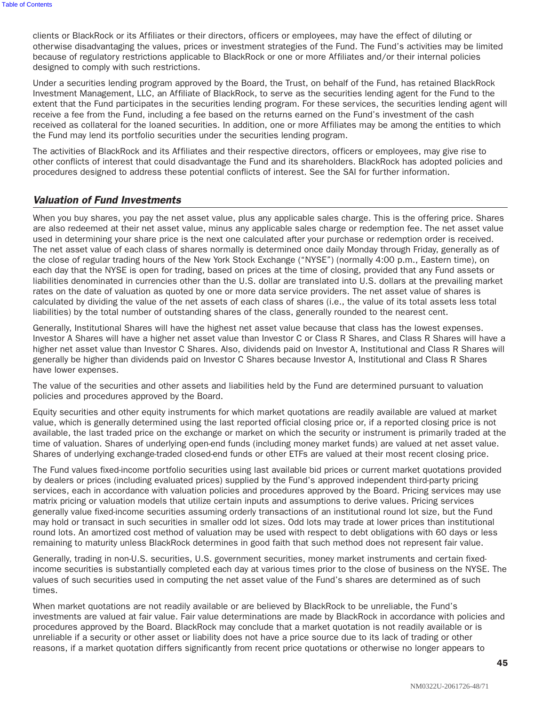<span id="page-47-0"></span>clients or BlackRock or its Affiliates or their directors, officers or employees, may have the effect of diluting or otherwise disadvantaging the values, prices or investment strategies of the Fund. The Fund's activities may be limited because of regulatory restrictions applicable to BlackRock or one or more Affiliates and/or their internal policies designed to comply with such restrictions.

Under a securities lending program approved by the Board, the Trust, on behalf of the Fund, has retained BlackRock Investment Management, LLC, an Affiliate of BlackRock, to serve as the securities lending agent for the Fund to the extent that the Fund participates in the securities lending program. For these services, the securities lending agent will receive a fee from the Fund, including a fee based on the returns earned on the Fund's investment of the cash received as collateral for the loaned securities. In addition, one or more Affiliates may be among the entities to which the Fund may lend its portfolio securities under the securities lending program.

The activities of BlackRock and its Affiliates and their respective directors, officers or employees, may give rise to other conflicts of interest that could disadvantage the Fund and its shareholders. BlackRock has adopted policies and procedures designed to address these potential conflicts of interest. See the SAI for further information.

# *Valuation of Fund Investments*

When you buy shares, you pay the net asset value, plus any applicable sales charge. This is the offering price. Shares are also redeemed at their net asset value, minus any applicable sales charge or redemption fee. The net asset value used in determining your share price is the next one calculated after your purchase or redemption order is received. The net asset value of each class of shares normally is determined once daily Monday through Friday, generally as of the close of regular trading hours of the New York Stock Exchange ("NYSE") (normally 4:00 p.m., Eastern time), on each day that the NYSE is open for trading, based on prices at the time of closing, provided that any Fund assets or liabilities denominated in currencies other than the U.S. dollar are translated into U.S. dollars at the prevailing market rates on the date of valuation as quoted by one or more data service providers. The net asset value of shares is calculated by dividing the value of the net assets of each class of shares (i.e., the value of its total assets less total liabilities) by the total number of outstanding shares of the class, generally rounded to the nearest cent.

Generally, Institutional Shares will have the highest net asset value because that class has the lowest expenses. Investor A Shares will have a higher net asset value than Investor C or Class R Shares, and Class R Shares will have a higher net asset value than Investor C Shares. Also, dividends paid on Investor A, Institutional and Class R Shares will generally be higher than dividends paid on Investor C Shares because Investor A, Institutional and Class R Shares have lower expenses.

The value of the securities and other assets and liabilities held by the Fund are determined pursuant to valuation policies and procedures approved by the Board.

Equity securities and other equity instruments for which market quotations are readily available are valued at market value, which is generally determined using the last reported official closing price or, if a reported closing price is not available, the last traded price on the exchange or market on which the security or instrument is primarily traded at the time of valuation. Shares of underlying open-end funds (including money market funds) are valued at net asset value. Shares of underlying exchange-traded closed-end funds or other ETFs are valued at their most recent closing price.

The Fund values fixed-income portfolio securities using last available bid prices or current market quotations provided by dealers or prices (including evaluated prices) supplied by the Fund's approved independent third-party pricing services, each in accordance with valuation policies and procedures approved by the Board. Pricing services may use matrix pricing or valuation models that utilize certain inputs and assumptions to derive values. Pricing services generally value fixed-income securities assuming orderly transactions of an institutional round lot size, but the Fund may hold or transact in such securities in smaller odd lot sizes. Odd lots may trade at lower prices than institutional round lots. An amortized cost method of valuation may be used with respect to debt obligations with 60 days or less remaining to maturity unless BlackRock determines in good faith that such method does not represent fair value.

Generally, trading in non-U.S. securities, U.S. government securities, money market instruments and certain fixedincome securities is substantially completed each day at various times prior to the close of business on the NYSE. The values of such securities used in computing the net asset value of the Fund's shares are determined as of such times.

When market quotations are not readily available or are believed by BlackRock to be unreliable, the Fund's investments are valued at fair value. Fair value determinations are made by BlackRock in accordance with policies and procedures approved by the Board. BlackRock may conclude that a market quotation is not readily available or is unreliable if a security or other asset or liability does not have a price source due to its lack of trading or other reasons, if a market quotation differs significantly from recent price quotations or otherwise no longer appears to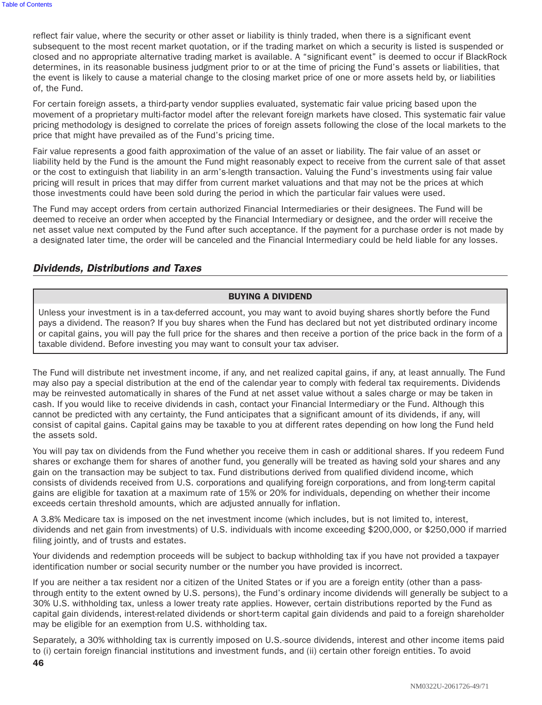<span id="page-48-0"></span>reflect fair value, where the security or other asset or liability is thinly traded, when there is a significant event subsequent to the most recent market quotation, or if the trading market on which a security is listed is suspended or closed and no appropriate alternative trading market is available. A "significant event" is deemed to occur if BlackRock determines, in its reasonable business judgment prior to or at the time of pricing the Fund's assets or liabilities, that the event is likely to cause a material change to the closing market price of one or more assets held by, or liabilities of, the Fund.

For certain foreign assets, a third-party vendor supplies evaluated, systematic fair value pricing based upon the movement of a proprietary multi-factor model after the relevant foreign markets have closed. This systematic fair value pricing methodology is designed to correlate the prices of foreign assets following the close of the local markets to the price that might have prevailed as of the Fund's pricing time.

Fair value represents a good faith approximation of the value of an asset or liability. The fair value of an asset or liability held by the Fund is the amount the Fund might reasonably expect to receive from the current sale of that asset or the cost to extinguish that liability in an arm's-length transaction. Valuing the Fund's investments using fair value pricing will result in prices that may differ from current market valuations and that may not be the prices at which those investments could have been sold during the period in which the particular fair values were used.

The Fund may accept orders from certain authorized Financial Intermediaries or their designees. The Fund will be deemed to receive an order when accepted by the Financial Intermediary or designee, and the order will receive the net asset value next computed by the Fund after such acceptance. If the payment for a purchase order is not made by a designated later time, the order will be canceled and the Financial Intermediary could be held liable for any losses.

# *Dividends, Distributions and Taxes*

## BUYING A DIVIDEND

Unless your investment is in a tax-deferred account, you may want to avoid buying shares shortly before the Fund pays a dividend. The reason? If you buy shares when the Fund has declared but not yet distributed ordinary income or capital gains, you will pay the full price for the shares and then receive a portion of the price back in the form of a taxable dividend. Before investing you may want to consult your tax adviser.

The Fund will distribute net investment income, if any, and net realized capital gains, if any, at least annually. The Fund may also pay a special distribution at the end of the calendar year to comply with federal tax requirements. Dividends may be reinvested automatically in shares of the Fund at net asset value without a sales charge or may be taken in cash. If you would like to receive dividends in cash, contact your Financial Intermediary or the Fund. Although this cannot be predicted with any certainty, the Fund anticipates that a significant amount of its dividends, if any, will consist of capital gains. Capital gains may be taxable to you at different rates depending on how long the Fund held the assets sold.

You will pay tax on dividends from the Fund whether you receive them in cash or additional shares. If you redeem Fund shares or exchange them for shares of another fund, you generally will be treated as having sold your shares and any gain on the transaction may be subject to tax. Fund distributions derived from qualified dividend income, which consists of dividends received from U.S. corporations and qualifying foreign corporations, and from long-term capital gains are eligible for taxation at a maximum rate of 15% or 20% for individuals, depending on whether their income exceeds certain threshold amounts, which are adjusted annually for inflation.

A 3.8% Medicare tax is imposed on the net investment income (which includes, but is not limited to, interest, dividends and net gain from investments) of U.S. individuals with income exceeding \$200,000, or \$250,000 if married filing jointly, and of trusts and estates.

Your dividends and redemption proceeds will be subject to backup withholding tax if you have not provided a taxpayer identification number or social security number or the number you have provided is incorrect.

If you are neither a tax resident nor a citizen of the United States or if you are a foreign entity (other than a passthrough entity to the extent owned by U.S. persons), the Fund's ordinary income dividends will generally be subject to a 30% U.S. withholding tax, unless a lower treaty rate applies. However, certain distributions reported by the Fund as capital gain dividends, interest-related dividends or short-term capital gain dividends and paid to a foreign shareholder may be eligible for an exemption from U.S. withholding tax.

Separately, a 30% withholding tax is currently imposed on U.S.-source dividends, interest and other income items paid to (i) certain foreign financial institutions and investment funds, and (ii) certain other foreign entities. To avoid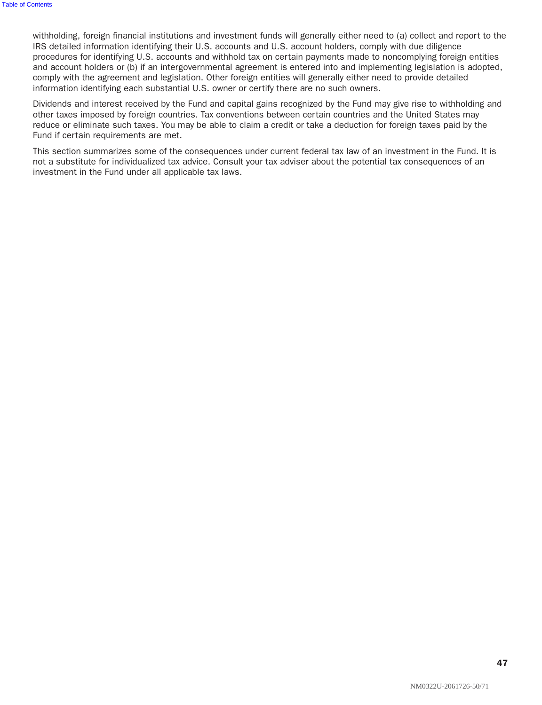withholding, foreign financial institutions and investment funds will generally either need to (a) collect and report to the IRS detailed information identifying their U.S. accounts and U.S. account holders, comply with due diligence procedures for identifying U.S. accounts and withhold tax on certain payments made to noncomplying foreign entities and account holders or (b) if an intergovernmental agreement is entered into and implementing legislation is adopted, comply with the agreement and legislation. Other foreign entities will generally either need to provide detailed information identifying each substantial U.S. owner or certify there are no such owners.

Dividends and interest received by the Fund and capital gains recognized by the Fund may give rise to withholding and other taxes imposed by foreign countries. Tax conventions between certain countries and the United States may reduce or eliminate such taxes. You may be able to claim a credit or take a deduction for foreign taxes paid by the Fund if certain requirements are met.

This section summarizes some of the consequences under current federal tax law of an investment in the Fund. It is not a substitute for individualized tax advice. Consult your tax adviser about the potential tax consequences of an investment in the Fund under all applicable tax laws.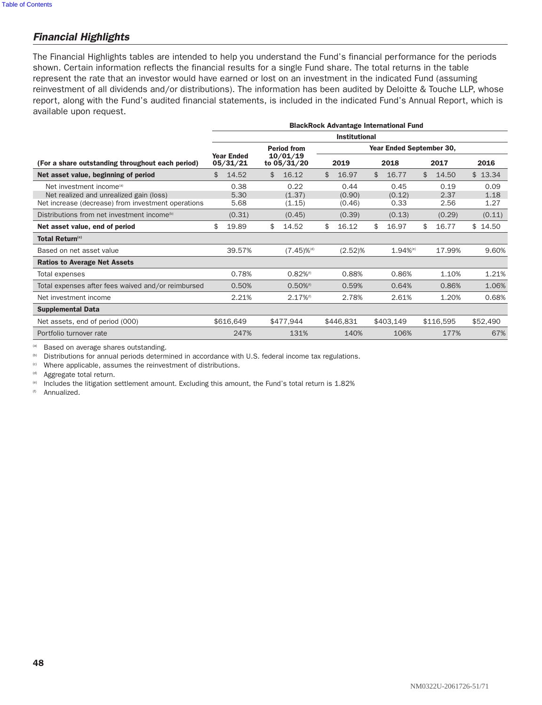# <span id="page-50-0"></span>*Financial Highlights*

The Financial Highlights tables are intended to help you understand the Fund's financial performance for the periods shown. Certain information reflects the financial results for a single Fund share. The total returns in the table represent the rate that an investor would have earned or lost on an investment in the indicated Fund (assuming reinvestment of all dividends and/or distributions). The information has been audited by Deloitte & Touche LLP, whose report, along with the Fund's audited financial statements, is included in the indicated Fund's Annual Report, which is available upon request.

|                                                                                                                                       | <b>BlackRock Advantage International Fund</b> |                      |                                                 |                            |                          |                          |                |                        |      |                      |                      |
|---------------------------------------------------------------------------------------------------------------------------------------|-----------------------------------------------|----------------------|-------------------------------------------------|----------------------------|--------------------------|--------------------------|----------------|------------------------|------|----------------------|----------------------|
|                                                                                                                                       |                                               | <b>Institutional</b> |                                                 |                            |                          |                          |                |                        |      |                      |                      |
|                                                                                                                                       | <b>Year Ended</b><br>05/31/21                 |                      | <b>Period from</b><br>10/01/19<br>to $05/31/20$ |                            | Year Ended September 30, |                          |                |                        |      |                      |                      |
| (For a share outstanding throughout each period)                                                                                      |                                               |                      |                                                 |                            | 2019                     |                          | 2018           |                        | 2017 |                      | 2016                 |
| Net asset value, beginning of period                                                                                                  | \$                                            | 14.52                | $\mathfrak{L}$                                  | 16.12                      | \$                       | 16.97                    | $\mathfrak{P}$ | 16.77                  | \$   | 14.50                | \$13.34              |
| Net investment income <sup>(a)</sup><br>Net realized and unrealized gain (loss)<br>Net increase (decrease) from investment operations |                                               | 0.38<br>5.30<br>5.68 |                                                 | 0.22<br>(1.37)<br>(1.15)   |                          | 0.44<br>(0.90)<br>(0.46) |                | 0.45<br>(0.12)<br>0.33 |      | 0.19<br>2.37<br>2.56 | 0.09<br>1.18<br>1.27 |
| Distributions from net investment income <sup>(b)</sup>                                                                               |                                               | (0.31)               |                                                 | (0.45)                     |                          | (0.39)                   |                | (0.13)                 |      | (0.29)               | (0.11)               |
| Net asset value, end of period                                                                                                        | \$                                            | 19.89                | \$                                              | 14.52                      | \$                       | 16.12                    | \$             | 16.97                  | \$   | 16.77                | \$14.50              |
| <b>Total Return</b> <sup>(c)</sup>                                                                                                    |                                               |                      |                                                 |                            |                          |                          |                |                        |      |                      |                      |
| Based on net asset value                                                                                                              |                                               | 39.57%               |                                                 | $(7.45) \%$ <sup>(d)</sup> |                          | $(2.52)$ %               |                | $1.94%$ <sup>(e)</sup> |      | 17.99%               | 9.60%                |
| <b>Ratios to Average Net Assets</b>                                                                                                   |                                               |                      |                                                 |                            |                          |                          |                |                        |      |                      |                      |
| Total expenses                                                                                                                        |                                               | 0.78%                |                                                 | $0.82%$ <sup>(f)</sup>     |                          | 0.88%                    |                | 0.86%                  |      | 1.10%                | 1.21%                |
| Total expenses after fees waived and/or reimbursed                                                                                    |                                               | 0.50%                |                                                 | $0.50\%$ <sup>(f)</sup>    |                          | 0.59%                    |                | 0.64%                  |      | 0.86%                | 1.06%                |
| Net investment income                                                                                                                 |                                               | 2.21%                |                                                 | 2.17%                      |                          | 2.78%                    |                | 2.61%                  |      | 1.20%                | 0.68%                |
| <b>Supplemental Data</b>                                                                                                              |                                               |                      |                                                 |                            |                          |                          |                |                        |      |                      |                      |
| Net assets, end of period (000)                                                                                                       |                                               | \$616.649            |                                                 | \$477.944                  |                          | \$446,831                |                | \$403,149              |      | \$116,595            | \$52,490             |
| Portfolio turnover rate                                                                                                               |                                               | 247%                 |                                                 | 131%                       |                          | 140%                     |                | 106%                   |      | 177%                 | 67%                  |

(a) Based on average shares outstanding.

(b) Distributions for annual periods determined in accordance with U.S. federal income tax regulations.

(c) Where applicable, assumes the reinvestment of distributions.

(d) Aggregate total return.

(e) Includes the litigation settlement amount. Excluding this amount, the Fund's total return is 1.82%

(f) Annualized.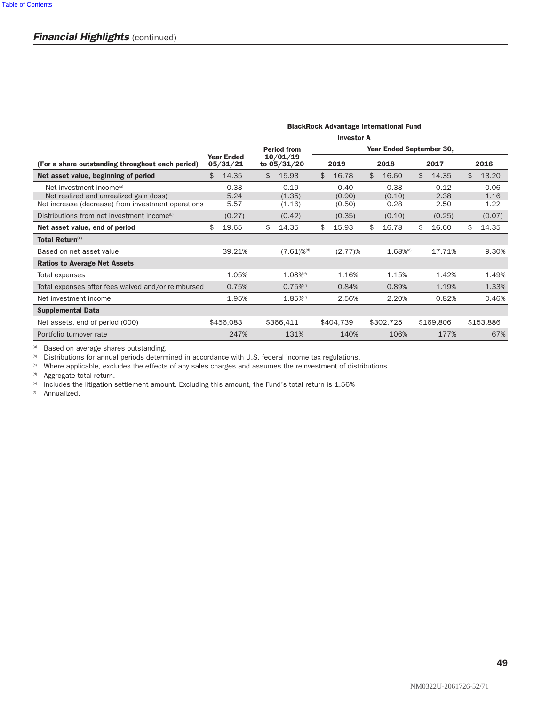|                                                                                                                                       | <b>BlackRock Advantage International Fund</b> |                      |                           |                            |      |                          |                          |                        |                |                      |                |                      |
|---------------------------------------------------------------------------------------------------------------------------------------|-----------------------------------------------|----------------------|---------------------------|----------------------------|------|--------------------------|--------------------------|------------------------|----------------|----------------------|----------------|----------------------|
|                                                                                                                                       | <b>Investor A</b>                             |                      |                           |                            |      |                          |                          |                        |                |                      |                |                      |
|                                                                                                                                       |                                               |                      |                           | <b>Period from</b>         |      |                          | Year Ended September 30, |                        |                |                      |                |                      |
| (For a share outstanding throughout each period)                                                                                      | <b>Year Ended</b><br>05/31/21                 |                      | 10/01/19<br>to $05/31/20$ |                            | 2019 |                          | 2018                     |                        | 2017           |                      | 2016           |                      |
| Net asset value, beginning of period                                                                                                  | \$                                            | 14.35                | \$                        | 15.93                      | \$   | 16.78                    | \$                       | 16.60                  | $\mathfrak{P}$ | 14.35                | $\mathfrak{P}$ | 13.20                |
| Net investment income <sup>(a)</sup><br>Net realized and unrealized gain (loss)<br>Net increase (decrease) from investment operations |                                               | 0.33<br>5.24<br>5.57 |                           | 0.19<br>(1.35)<br>(1.16)   |      | 0.40<br>(0.90)<br>(0.50) |                          | 0.38<br>(0.10)<br>0.28 |                | 0.12<br>2.38<br>2.50 |                | 0.06<br>1.16<br>1.22 |
| Distributions from net investment income <sup>(b)</sup>                                                                               |                                               | (0.27)               |                           | (0.42)                     |      | (0.35)                   |                          | (0.10)                 |                | (0.25)               |                | (0.07)               |
| Net asset value, end of period                                                                                                        | \$                                            | 19.65                | \$                        | 14.35                      | \$   | 15.93                    | \$                       | 16.78                  | \$             | 16.60                | \$             | 14.35                |
| Total Return <sup>(c)</sup>                                                                                                           |                                               |                      |                           |                            |      |                          |                          |                        |                |                      |                |                      |
| Based on net asset value                                                                                                              |                                               | 39.21%               |                           | $(7.61) \%$ <sup>(d)</sup> |      | (2.77)%                  |                          | 1.68% <sup>(e)</sup>   |                | 17.71%               |                | 9.30%                |
| <b>Ratios to Average Net Assets</b>                                                                                                   |                                               |                      |                           |                            |      |                          |                          |                        |                |                      |                |                      |
| Total expenses                                                                                                                        |                                               | 1.05%                |                           | 1.08%(f)                   |      | 1.16%                    |                          | 1.15%                  |                | 1.42%                |                | 1.49%                |
| Total expenses after fees waived and/or reimbursed                                                                                    |                                               | 0.75%                |                           | $0.75%$ <sup>(f)</sup>     |      | 0.84%                    |                          | 0.89%                  |                | 1.19%                |                | 1.33%                |
| Net investment income                                                                                                                 |                                               | 1.95%                |                           | 1.85%(f)                   |      | 2.56%                    |                          | 2.20%                  |                | 0.82%                |                | 0.46%                |
| <b>Supplemental Data</b>                                                                                                              |                                               |                      |                           |                            |      |                          |                          |                        |                |                      |                |                      |
| Net assets, end of period (000)                                                                                                       |                                               | \$456,083            |                           | \$366,411                  |      | \$404,739                |                          | \$302,725              |                | \$169,806            |                | \$153,886            |
| Portfolio turnover rate                                                                                                               |                                               | 247%                 |                           | 131%                       |      | 140%                     |                          | 106%                   |                | 177%                 |                | 67%                  |
|                                                                                                                                       |                                               |                      |                           |                            |      |                          |                          |                        |                |                      |                |                      |

(a) Based on average shares outstanding.

(b) Distributions for annual periods determined in accordance with U.S. federal income tax regulations.

(c) Where applicable, excludes the effects of any sales charges and assumes the reinvestment of distributions.

(d) Aggregate total return.

(e) Includes the litigation settlement amount. Excluding this amount, the Fund's total return is 1.56%

(f) Annualized.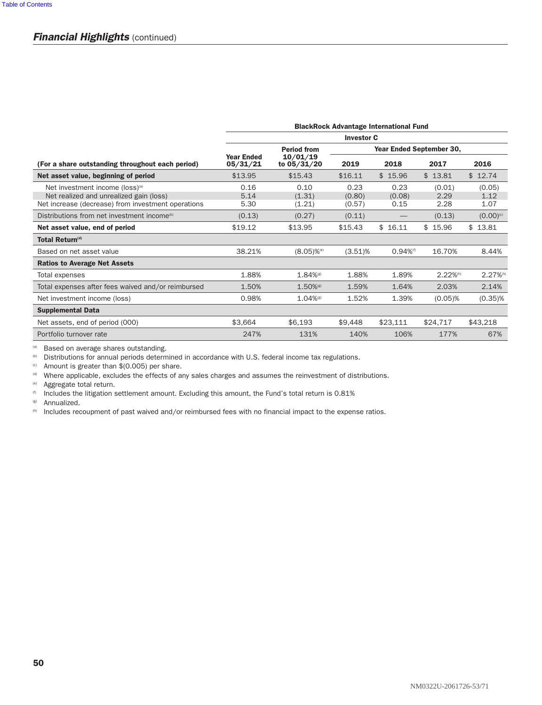|                                                                                                                                              | <b>BlackRock Advantage International Fund</b> |                           |                          |                          |                        |                        |  |  |  |  |  |
|----------------------------------------------------------------------------------------------------------------------------------------------|-----------------------------------------------|---------------------------|--------------------------|--------------------------|------------------------|------------------------|--|--|--|--|--|
|                                                                                                                                              | <b>Investor C</b>                             |                           |                          |                          |                        |                        |  |  |  |  |  |
|                                                                                                                                              |                                               | <b>Period from</b>        |                          | Year Ended September 30, |                        |                        |  |  |  |  |  |
| (For a share outstanding throughout each period)                                                                                             | <b>Year Ended</b><br>05/31/21                 | 10/01/19<br>to $05/31/20$ | 2019                     | 2018                     | 2017                   | 2016                   |  |  |  |  |  |
| Net asset value, beginning of period                                                                                                         | \$13.95                                       | \$15.43                   | \$16.11                  | \$15.96                  | \$13.81                | \$12.74                |  |  |  |  |  |
| Net investment income (loss) <sup>(a)</sup><br>Net realized and unrealized gain (loss)<br>Net increase (decrease) from investment operations | 0.16<br>5.14<br>5.30                          | 0.10<br>(1.31)<br>(1.21)  | 0.23<br>(0.80)<br>(0.57) | 0.23<br>(0.08)<br>0.15   | (0.01)<br>2.29<br>2.28 | (0.05)<br>1.12<br>1.07 |  |  |  |  |  |
| Distributions from net investment income <sup>(b)</sup>                                                                                      | (0.13)                                        | (0.27)                    | (0.11)                   |                          | (0.13)                 | $(0.00)^{(c)}$         |  |  |  |  |  |
| Net asset value, end of period                                                                                                               | \$19.12                                       | \$13.95                   | \$15.43                  | \$16.11                  | \$15.96                | \$13.81                |  |  |  |  |  |
| <b>Total Return</b> <sup>(d)</sup>                                                                                                           |                                               |                           |                          |                          |                        |                        |  |  |  |  |  |
| Based on net asset value                                                                                                                     | 38.21%                                        | $(8.05)\%$ <sup>(e)</sup> | $(3.51)\%$               | $0.94\%$ <sup>(f)</sup>  | 16.70%                 | 8.44%                  |  |  |  |  |  |
| <b>Ratios to Average Net Assets</b>                                                                                                          |                                               |                           |                          |                          |                        |                        |  |  |  |  |  |
| Total expenses                                                                                                                               | 1.88%                                         | 1.84% <sup>(g)</sup>      | 1.88%                    | 1.89%                    | 2.22%(h)               | 2.27%(h)               |  |  |  |  |  |
| Total expenses after fees waived and/or reimbursed                                                                                           | 1.50%                                         | 1.50% <sup>(g)</sup>      | 1.59%                    | 1.64%                    | 2.03%                  | 2.14%                  |  |  |  |  |  |
| Net investment income (loss)                                                                                                                 | 0.98%                                         | $1.04\%$ <sup>(g)</sup>   | 1.52%                    | 1.39%                    | $(0.05)\%$             | $(0.35)\%$             |  |  |  |  |  |
| <b>Supplemental Data</b>                                                                                                                     |                                               |                           |                          |                          |                        |                        |  |  |  |  |  |
| Net assets, end of period (000)                                                                                                              | \$3,664                                       | \$6,193                   | \$9,448                  | \$23,111                 | \$24,717               | \$43,218               |  |  |  |  |  |
| Portfolio turnover rate                                                                                                                      | 247%                                          | 131%                      | 140%                     | 106%                     | 177%                   | 67%                    |  |  |  |  |  |
|                                                                                                                                              |                                               |                           |                          |                          |                        |                        |  |  |  |  |  |

(a) Based on average shares outstanding.

(b) Distributions for annual periods determined in accordance with U.S. federal income tax regulations.

 $(c)$  Amount is greater than \$(0.005) per share.

(d) Where applicable, excludes the effects of any sales charges and assumes the reinvestment of distributions.

(e) Aggregate total return.

 $^{(6)}$  Includes the litigation settlement amount. Excluding this amount, the Fund's total return is 0.81%

(g) Annualized.

(h) Includes recoupment of past waived and/or reimbursed fees with no financial impact to the expense ratios.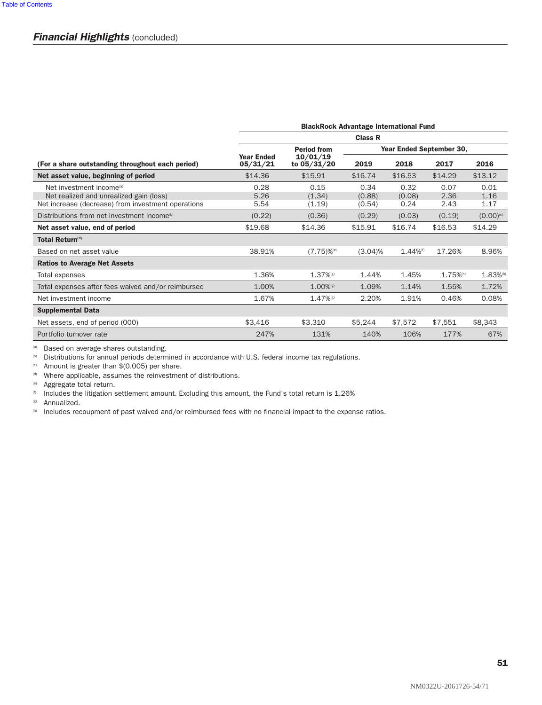|                                                                                                                                       | <b>BlackRock Advantage International Fund</b> |                           |                          |                        |                      |                      |  |  |  |  |
|---------------------------------------------------------------------------------------------------------------------------------------|-----------------------------------------------|---------------------------|--------------------------|------------------------|----------------------|----------------------|--|--|--|--|
|                                                                                                                                       | <b>Class R</b>                                |                           |                          |                        |                      |                      |  |  |  |  |
|                                                                                                                                       |                                               | <b>Period from</b>        | Year Ended September 30, |                        |                      |                      |  |  |  |  |
| (For a share outstanding throughout each period)                                                                                      | <b>Year Ended</b><br>05/31/21                 | 10/01/19<br>to $05/31/20$ | 2019                     | 2018                   | 2017                 | 2016                 |  |  |  |  |
| Net asset value, beginning of period                                                                                                  | \$14.36                                       | \$15.91                   | \$16.74                  | \$16.53                | \$14.29              | \$13.12              |  |  |  |  |
| Net investment income <sup>(a)</sup><br>Net realized and unrealized gain (loss)<br>Net increase (decrease) from investment operations | 0.28<br>5.26<br>5.54                          | 0.15<br>(1.34)<br>(1.19)  | 0.34<br>(0.88)<br>(0.54) | 0.32<br>(0.08)<br>0.24 | 0.07<br>2.36<br>2.43 | 0.01<br>1.16<br>1.17 |  |  |  |  |
| Distributions from net investment income <sup>(b)</sup>                                                                               | (0.22)                                        | (0.36)                    | (0.29)                   | (0.03)                 | (0.19)               | $(0.00)^{(c)}$       |  |  |  |  |
| Net asset value, end of period                                                                                                        | \$19.68                                       | \$14.36                   | \$15.91                  | \$16.74                | \$16.53              | \$14.29              |  |  |  |  |
| Total Return <sup>(d)</sup>                                                                                                           |                                               |                           |                          |                        |                      |                      |  |  |  |  |
| Based on net asset value                                                                                                              | 38.91%                                        | $(7.75)%$ <sup>(e)</sup>  | $(3.04)\%$               | 1.44%(f)               | 17.26%               | 8.96%                |  |  |  |  |
| <b>Ratios to Average Net Assets</b>                                                                                                   |                                               |                           |                          |                        |                      |                      |  |  |  |  |
| Total expenses                                                                                                                        | 1.36%                                         | 1.37% <sup>(g)</sup>      | 1.44%                    | 1.45%                  | 1.75%(h)             | 1.83% <sup>(h)</sup> |  |  |  |  |
| Total expenses after fees waived and/or reimbursed                                                                                    | 1.00%                                         | $1.00\%$ <sup>(g)</sup>   | 1.09%                    | 1.14%                  | 1.55%                | 1.72%                |  |  |  |  |
| Net investment income                                                                                                                 | 1.67%                                         | $1.47\%$ <sup>(g)</sup>   | 2.20%                    | 1.91%                  | 0.46%                | 0.08%                |  |  |  |  |
| <b>Supplemental Data</b>                                                                                                              |                                               |                           |                          |                        |                      |                      |  |  |  |  |
| Net assets, end of period (000)                                                                                                       | \$3,416                                       | \$3,310                   | \$5,244                  | \$7,572                | \$7,551              | \$8,343              |  |  |  |  |
| Portfolio turnover rate                                                                                                               | 247%                                          | 131%                      | 140%                     | 106%                   | 177%                 | 67%                  |  |  |  |  |
|                                                                                                                                       |                                               |                           |                          |                        |                      |                      |  |  |  |  |

(a) Based on average shares outstanding.

(b) Distributions for annual periods determined in accordance with U.S. federal income tax regulations.

 $(c)$  Amount is greater than \$(0.005) per share.

(d) Where applicable, assumes the reinvestment of distributions.

(e) Aggregate total return.

 $<sup>(6)</sup>$  Includes the litigation settlement amount. Excluding this amount, the Fund's total return is 1.26%</sup>

(g) Annualized.

(h) Includes recoupment of past waived and/or reimbursed fees with no financial impact to the expense ratios.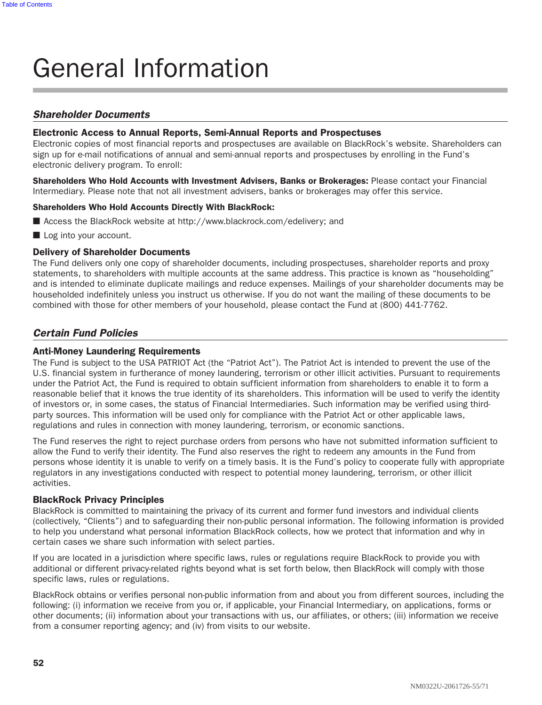# <span id="page-54-0"></span>General Information

# *Shareholder Documents*

#### Electronic Access to Annual Reports, Semi-Annual Reports and Prospectuses

Electronic copies of most financial reports and prospectuses are available on BlackRock's website. Shareholders can sign up for e-mail notifications of annual and semi-annual reports and prospectuses by enrolling in the Fund's electronic delivery program. To enroll:

Shareholders Who Hold Accounts with Investment Advisers, Banks or Brokerages: Please contact your Financial Intermediary. Please note that not all investment advisers, banks or brokerages may offer this service.

#### Shareholders Who Hold Accounts Directly With BlackRock:

- Access the BlackRock website at http://www.blackrock.com/edelivery; and
- Log into your account.

#### Delivery of Shareholder Documents

The Fund delivers only one copy of shareholder documents, including prospectuses, shareholder reports and proxy statements, to shareholders with multiple accounts at the same address. This practice is known as "householding" and is intended to eliminate duplicate mailings and reduce expenses. Mailings of your shareholder documents may be householded indefinitely unless you instruct us otherwise. If you do not want the mailing of these documents to be combined with those for other members of your household, please contact the Fund at (800) 441-7762.

# *Certain Fund Policies*

#### Anti-Money Laundering Requirements

The Fund is subject to the USA PATRIOT Act (the "Patriot Act"). The Patriot Act is intended to prevent the use of the U.S. financial system in furtherance of money laundering, terrorism or other illicit activities. Pursuant to requirements under the Patriot Act, the Fund is required to obtain sufficient information from shareholders to enable it to form a reasonable belief that it knows the true identity of its shareholders. This information will be used to verify the identity of investors or, in some cases, the status of Financial Intermediaries. Such information may be verified using thirdparty sources. This information will be used only for compliance with the Patriot Act or other applicable laws, regulations and rules in connection with money laundering, terrorism, or economic sanctions.

The Fund reserves the right to reject purchase orders from persons who have not submitted information sufficient to allow the Fund to verify their identity. The Fund also reserves the right to redeem any amounts in the Fund from persons whose identity it is unable to verify on a timely basis. It is the Fund's policy to cooperate fully with appropriate regulators in any investigations conducted with respect to potential money laundering, terrorism, or other illicit activities.

#### BlackRock Privacy Principles

BlackRock is committed to maintaining the privacy of its current and former fund investors and individual clients (collectively, "Clients") and to safeguarding their non-public personal information. The following information is provided to help you understand what personal information BlackRock collects, how we protect that information and why in certain cases we share such information with select parties.

If you are located in a jurisdiction where specific laws, rules or regulations require BlackRock to provide you with additional or different privacy-related rights beyond what is set forth below, then BlackRock will comply with those specific laws, rules or regulations.

BlackRock obtains or verifies personal non-public information from and about you from different sources, including the following: (i) information we receive from you or, if applicable, your Financial Intermediary, on applications, forms or other documents; (ii) information about your transactions with us, our affiliates, or others; (iii) information we receive from a consumer reporting agency; and (iv) from visits to our website.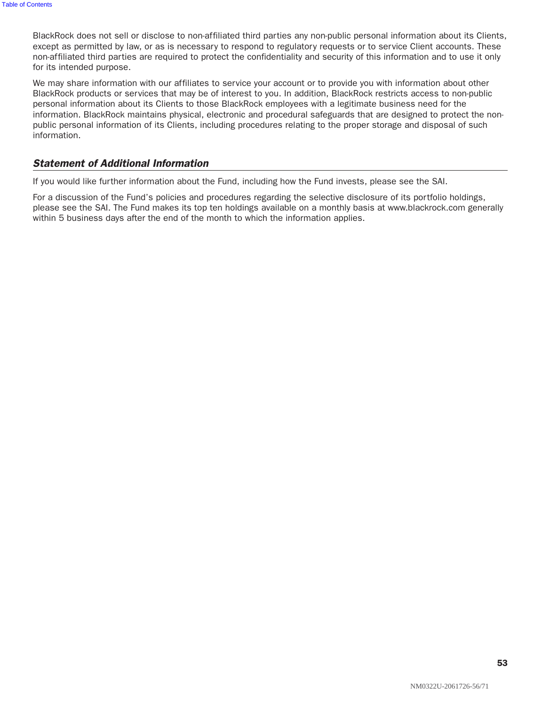<span id="page-55-0"></span>BlackRock does not sell or disclose to non-affiliated third parties any non-public personal information about its Clients, except as permitted by law, or as is necessary to respond to regulatory requests or to service Client accounts. These non-affiliated third parties are required to protect the confidentiality and security of this information and to use it only for its intended purpose.

We may share information with our affiliates to service your account or to provide you with information about other BlackRock products or services that may be of interest to you. In addition, BlackRock restricts access to non-public personal information about its Clients to those BlackRock employees with a legitimate business need for the information. BlackRock maintains physical, electronic and procedural safeguards that are designed to protect the nonpublic personal information of its Clients, including procedures relating to the proper storage and disposal of such information.

# *Statement of Additional Information*

If you would like further information about the Fund, including how the Fund invests, please see the SAI.

For a discussion of the Fund's policies and procedures regarding the selective disclosure of its portfolio holdings, please see the SAI. The Fund makes its top ten holdings available on a monthly basis at www.blackrock.com generally within 5 business days after the end of the month to which the information applies.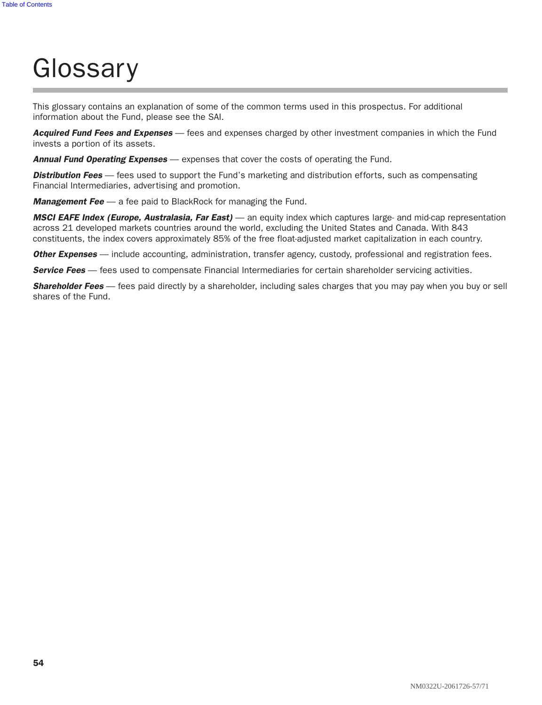# <span id="page-56-0"></span>**Glossary**

This glossary contains an explanation of some of the common terms used in this prospectus. For additional information about the Fund, please see the SAI.

*Acquired Fund Fees and Expenses* — fees and expenses charged by other investment companies in which the Fund invests a portion of its assets.

*Annual Fund Operating Expenses* — expenses that cover the costs of operating the Fund.

*Distribution Fees* — fees used to support the Fund's marketing and distribution efforts, such as compensating Financial Intermediaries, advertising and promotion.

*Management Fee* — a fee paid to BlackRock for managing the Fund.

*MSCI EAFE Index (Europe, Australasia, Far East)* — an equity index which captures large- and mid-cap representation across 21 developed markets countries around the world, excluding the United States and Canada. With 843 constituents, the index covers approximately 85% of the free float-adjusted market capitalization in each country.

*Other Expenses* — include accounting, administration, transfer agency, custody, professional and registration fees.

*Service Fees* — fees used to compensate Financial Intermediaries for certain shareholder servicing activities.

*Shareholder Fees* — fees paid directly by a shareholder, including sales charges that you may pay when you buy or sell shares of the Fund.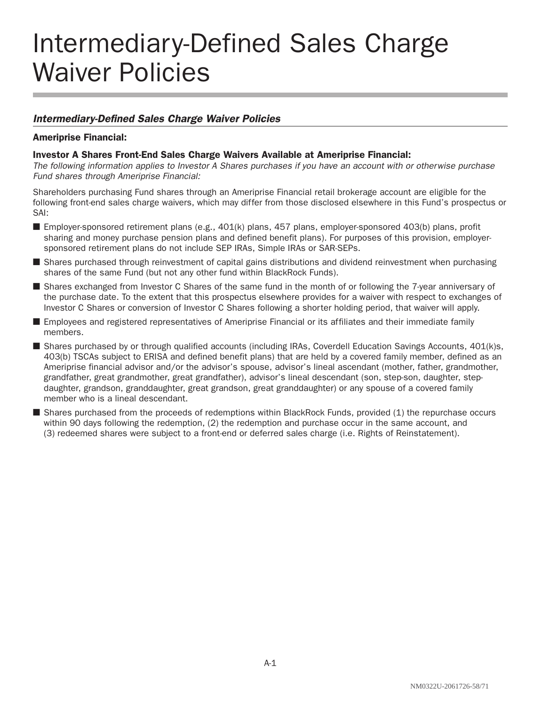# <span id="page-57-0"></span>Intermediary-Defined Sales Charge Waiver Policies

# *Intermediary-Defined Sales Charge Waiver Policies*

## Ameriprise Financial:

# Investor A Shares Front-End Sales Charge Waivers Available at Ameriprise Financial:

*The following information applies to Investor A Shares purchases if you have an account with or otherwise purchase Fund shares through Ameriprise Financial:*

Shareholders purchasing Fund shares through an Ameriprise Financial retail brokerage account are eligible for the following front-end sales charge waivers, which may differ from those disclosed elsewhere in this Fund's prospectus or SAI:

- Employer-sponsored retirement plans (e.g., 401(k) plans, 457 plans, employer-sponsored 403(b) plans, profit sharing and money purchase pension plans and defined benefit plans). For purposes of this provision, employersponsored retirement plans do not include SEP IRAs, Simple IRAs or SAR-SEPs.
- Shares purchased through reinvestment of capital gains distributions and dividend reinvestment when purchasing shares of the same Fund (but not any other fund within BlackRock Funds).
- Shares exchanged from Investor C Shares of the same fund in the month of or following the 7-year anniversary of the purchase date. To the extent that this prospectus elsewhere provides for a waiver with respect to exchanges of Investor C Shares or conversion of Investor C Shares following a shorter holding period, that waiver will apply.
- Employees and registered representatives of Ameriprise Financial or its affiliates and their immediate family members.
- Shares purchased by or through qualified accounts (including IRAs, Coverdell Education Savings Accounts, 401(k)s, 403(b) TSCAs subject to ERISA and defined benefit plans) that are held by a covered family member, defined as an Ameriprise financial advisor and/or the advisor's spouse, advisor's lineal ascendant (mother, father, grandmother, grandfather, great grandmother, great grandfather), advisor's lineal descendant (son, step-son, daughter, stepdaughter, grandson, granddaughter, great grandson, great granddaughter) or any spouse of a covered family member who is a lineal descendant.
- Shares purchased from the proceeds of redemptions within BlackRock Funds, provided (1) the repurchase occurs within 90 days following the redemption, (2) the redemption and purchase occur in the same account, and (3) redeemed shares were subject to a front-end or deferred sales charge (i.e. Rights of Reinstatement).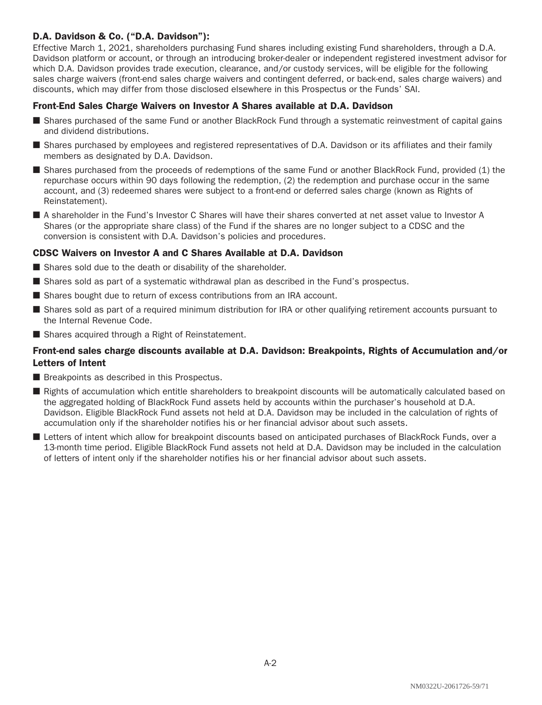# D.A. Davidson & Co. ("D.A. Davidson"):

Effective March 1, 2021, shareholders purchasing Fund shares including existing Fund shareholders, through a D.A. Davidson platform or account, or through an introducing broker-dealer or independent registered investment advisor for which D.A. Davidson provides trade execution, clearance, and/or custody services, will be eligible for the following sales charge waivers (front-end sales charge waivers and contingent deferred, or back-end, sales charge waivers) and discounts, which may differ from those disclosed elsewhere in this Prospectus or the Funds' SAI.

### Front-End Sales Charge Waivers on Investor A Shares available at D.A. Davidson

- Shares purchased of the same Fund or another BlackRock Fund through a systematic reinvestment of capital gains and dividend distributions.
- Shares purchased by employees and registered representatives of D.A. Davidson or its affiliates and their family members as designated by D.A. Davidson.
- Shares purchased from the proceeds of redemptions of the same Fund or another BlackRock Fund, provided (1) the repurchase occurs within 90 days following the redemption, (2) the redemption and purchase occur in the same account, and (3) redeemed shares were subject to a front-end or deferred sales charge (known as Rights of Reinstatement).
- A shareholder in the Fund's Investor C Shares will have their shares converted at net asset value to Investor A Shares (or the appropriate share class) of the Fund if the shares are no longer subject to a CDSC and the conversion is consistent with D.A. Davidson's policies and procedures.

#### CDSC Waivers on Investor A and C Shares Available at D.A. Davidson

- Shares sold due to the death or disability of the shareholder.
- **Shares sold as part of a systematic withdrawal plan as described in the Fund's prospectus.**
- Shares bought due to return of excess contributions from an IRA account.
- Shares sold as part of a required minimum distribution for IRA or other qualifying retirement accounts pursuant to the Internal Revenue Code.
- Shares acquired through a Right of Reinstatement.

## Front-end sales charge discounts available at D.A. Davidson: Breakpoints, Rights of Accumulation and/or Letters of Intent

- **Breakpoints as described in this Prospectus.**
- Rights of accumulation which entitle shareholders to breakpoint discounts will be automatically calculated based on the aggregated holding of BlackRock Fund assets held by accounts within the purchaser's household at D.A. Davidson. Eligible BlackRock Fund assets not held at D.A. Davidson may be included in the calculation of rights of accumulation only if the shareholder notifies his or her financial advisor about such assets.
- Letters of intent which allow for breakpoint discounts based on anticipated purchases of BlackRock Funds, over a 13-month time period. Eligible BlackRock Fund assets not held at D.A. Davidson may be included in the calculation of letters of intent only if the shareholder notifies his or her financial advisor about such assets.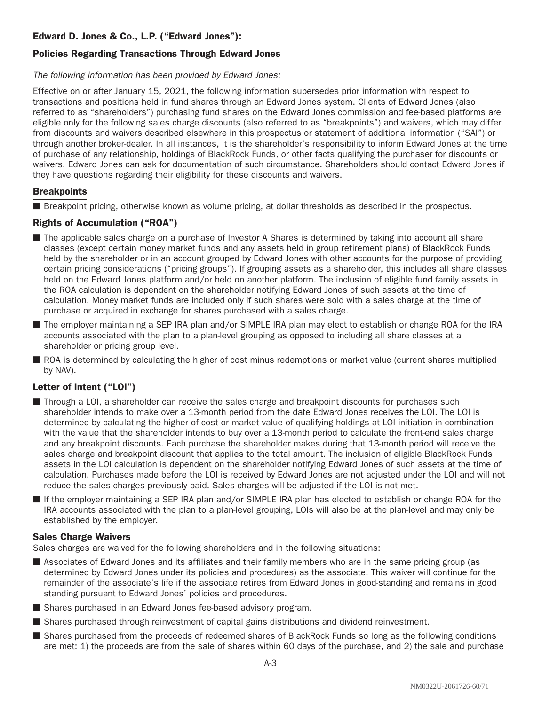# Edward D. Jones & Co., L.P. ("Edward Jones"):

# Policies Regarding Transactions Through Edward Jones

#### *The following information has been provided by Edward Jones:*

Effective on or after January 15, 2021, the following information supersedes prior information with respect to transactions and positions held in fund shares through an Edward Jones system. Clients of Edward Jones (also referred to as "shareholders") purchasing fund shares on the Edward Jones commission and fee-based platforms are eligible only for the following sales charge discounts (also referred to as "breakpoints") and waivers, which may differ from discounts and waivers described elsewhere in this prospectus or statement of additional information ("SAI") or through another broker-dealer. In all instances, it is the shareholder's responsibility to inform Edward Jones at the time of purchase of any relationship, holdings of BlackRock Funds, or other facts qualifying the purchaser for discounts or waivers. Edward Jones can ask for documentation of such circumstance. Shareholders should contact Edward Jones if they have questions regarding their eligibility for these discounts and waivers.

#### **Breakpoints**

**E** Breakpoint pricing, otherwise known as volume pricing, at dollar thresholds as described in the prospectus.

## Rights of Accumulation ("ROA")

- The applicable sales charge on a purchase of Investor A Shares is determined by taking into account all share classes (except certain money market funds and any assets held in group retirement plans) of BlackRock Funds held by the shareholder or in an account grouped by Edward Jones with other accounts for the purpose of providing certain pricing considerations ("pricing groups"). If grouping assets as a shareholder, this includes all share classes held on the Edward Jones platform and/or held on another platform. The inclusion of eligible fund family assets in the ROA calculation is dependent on the shareholder notifying Edward Jones of such assets at the time of calculation. Money market funds are included only if such shares were sold with a sales charge at the time of purchase or acquired in exchange for shares purchased with a sales charge.
- The employer maintaining a SEP IRA plan and/or SIMPLE IRA plan may elect to establish or change ROA for the IRA accounts associated with the plan to a plan-level grouping as opposed to including all share classes at a shareholder or pricing group level.
- ROA is determined by calculating the higher of cost minus redemptions or market value (current shares multiplied by NAV).

# Letter of Intent ("LOI")

- **Through a LOI, a shareholder can receive the sales charge and breakpoint discounts for purchases such** shareholder intends to make over a 13-month period from the date Edward Jones receives the LOI. The LOI is determined by calculating the higher of cost or market value of qualifying holdings at LOI initiation in combination with the value that the shareholder intends to buy over a 13-month period to calculate the front-end sales charge and any breakpoint discounts. Each purchase the shareholder makes during that 13-month period will receive the sales charge and breakpoint discount that applies to the total amount. The inclusion of eligible BlackRock Funds assets in the LOI calculation is dependent on the shareholder notifying Edward Jones of such assets at the time of calculation. Purchases made before the LOI is received by Edward Jones are not adjusted under the LOI and will not reduce the sales charges previously paid. Sales charges will be adjusted if the LOI is not met.
- If the employer maintaining a SEP IRA plan and/or SIMPLE IRA plan has elected to establish or change ROA for the IRA accounts associated with the plan to a plan-level grouping, LOIs will also be at the plan-level and may only be established by the employer.

#### Sales Charge Waivers

Sales charges are waived for the following shareholders and in the following situations:

- Associates of Edward Jones and its affiliates and their family members who are in the same pricing group (as determined by Edward Jones under its policies and procedures) as the associate. This waiver will continue for the remainder of the associate's life if the associate retires from Edward Jones in good-standing and remains in good standing pursuant to Edward Jones' policies and procedures.
- Shares purchased in an Edward Jones fee-based advisory program.
- **Shares purchased through reinvestment of capital gains distributions and dividend reinvestment.**
- Shares purchased from the proceeds of redeemed shares of BlackRock Funds so long as the following conditions are met: 1) the proceeds are from the sale of shares within 60 days of the purchase, and 2) the sale and purchase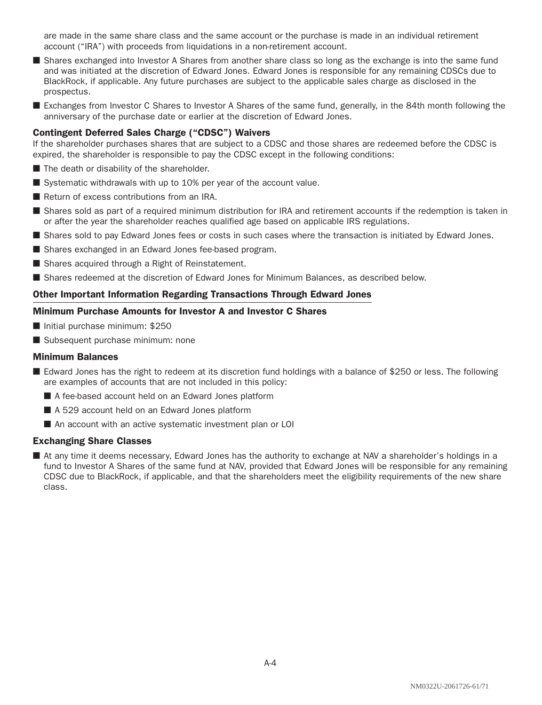are made in the same share class and the same account or the purchase is made in an individual retirement account ("IRA") with proceeds from liquidations in a non-retirement account.

- **Shares exchanged into Investor A Shares from another share class so long as the exchange is into the same fund** and was initiated at the discretion of Edward Jones. Edward Jones is responsible for any remaining CDSCs due to BlackRock, if applicable. Any future purchases are subject to the applicable sales charge as disclosed in the prospectus.
- Exchanges from Investor C Shares to Investor A Shares of the same fund, generally, in the 84th month following the anniversary of the purchase date or earlier at the discretion of Edward Jones.

#### Contingent Deferred Sales Charge ("CDSC") Waivers

If the shareholder purchases shares that are subject to a CDSC and those shares are redeemed before the CDSC is expired, the shareholder is responsible to pay the CDSC except in the following conditions:

- The death or disability of the shareholder.
- Systematic withdrawals with up to 10% per year of the account value.
- Return of excess contributions from an IRA.
- Shares sold as part of a required minimum distribution for IRA and retirement accounts if the redemption is taken in or after the year the shareholder reaches qualified age based on applicable IRS regulations.
- Shares sold to pay Edward Jones fees or costs in such cases where the transaction is initiated by Edward Jones.
- Shares exchanged in an Edward Jones fee-based program.
- Shares acquired through a Right of Reinstatement.
- **Shares redeemed at the discretion of Edward Jones for Minimum Balances, as described below.**

#### Other Important Information Regarding Transactions Through Edward Jones

#### Minimum Purchase Amounts for Investor A and Investor C Shares

- Initial purchase minimum: \$250
- Subsequent purchase minimum: none

#### Minimum Balances

- Edward Jones has the right to redeem at its discretion fund holdings with a balance of \$250 or less. The following are examples of accounts that are not included in this policy:
	- A fee-based account held on an Edward Jones platform
	- A 529 account held on an Edward Jones platform
	- An account with an active systematic investment plan or LOI

#### Exchanging Share Classes

■ At any time it deems necessary, Edward Jones has the authority to exchange at NAV a shareholder's holdings in a fund to Investor A Shares of the same fund at NAV, provided that Edward Jones will be responsible for any remaining CDSC due to BlackRock, if applicable, and that the shareholders meet the eligibility requirements of the new share class.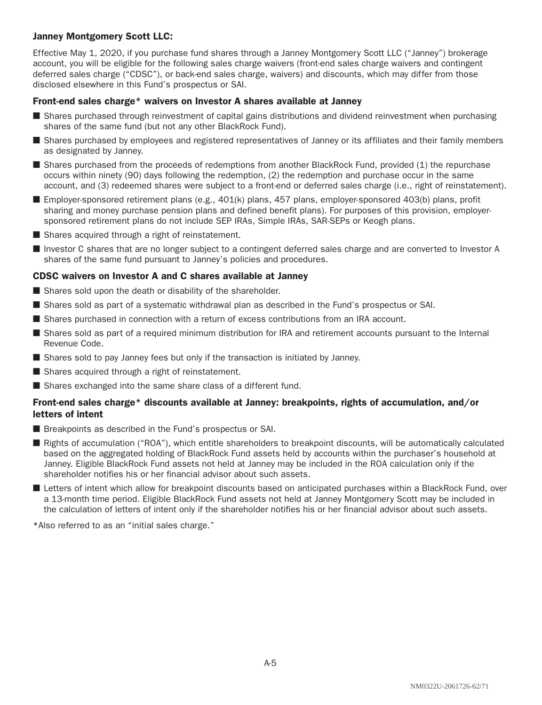## Janney Montgomery Scott LLC:

Effective May 1, 2020, if you purchase fund shares through a Janney Montgomery Scott LLC ("Janney") brokerage account, you will be eligible for the following sales charge waivers (front-end sales charge waivers and contingent deferred sales charge ("CDSC"), or back-end sales charge, waivers) and discounts, which may differ from those disclosed elsewhere in this Fund's prospectus or SAI.

## Front-end sales charge\* waivers on Investor A shares available at Janney

- Shares purchased through reinvestment of capital gains distributions and dividend reinvestment when purchasing shares of the same fund (but not any other BlackRock Fund).
- Shares purchased by employees and registered representatives of Janney or its affiliates and their family members as designated by Janney.
- Shares purchased from the proceeds of redemptions from another BlackRock Fund, provided (1) the repurchase occurs within ninety (90) days following the redemption, (2) the redemption and purchase occur in the same account, and (3) redeemed shares were subject to a front-end or deferred sales charge (i.e., right of reinstatement).
- Employer-sponsored retirement plans (e.g., 401(k) plans, 457 plans, employer-sponsored 403(b) plans, profit sharing and money purchase pension plans and defined benefit plans). For purposes of this provision, employersponsored retirement plans do not include SEP IRAs, Simple IRAs, SAR-SEPs or Keogh plans.
- Shares acquired through a right of reinstatement.
- Investor C shares that are no longer subject to a contingent deferred sales charge and are converted to Investor A shares of the same fund pursuant to Janney's policies and procedures.

#### CDSC waivers on Investor A and C shares available at Janney

- **Shares sold upon the death or disability of the shareholder.**
- **Shares sold as part of a systematic withdrawal plan as described in the Fund's prospectus or SAI.**
- **Shares purchased in connection with a return of excess contributions from an IRA account.**
- Shares sold as part of a required minimum distribution for IRA and retirement accounts pursuant to the Internal Revenue Code.
- Shares sold to pay Janney fees but only if the transaction is initiated by Janney.
- Shares acquired through a right of reinstatement.
- Shares exchanged into the same share class of a different fund.

## Front-end sales charge\* discounts available at Janney: breakpoints, rights of accumulation, and/or letters of intent

- **E** Breakpoints as described in the Fund's prospectus or SAI.
- Rights of accumulation ("ROA"), which entitle shareholders to breakpoint discounts, will be automatically calculated based on the aggregated holding of BlackRock Fund assets held by accounts within the purchaser's household at Janney. Eligible BlackRock Fund assets not held at Janney may be included in the ROA calculation only if the shareholder notifies his or her financial advisor about such assets.
- Letters of intent which allow for breakpoint discounts based on anticipated purchases within a BlackRock Fund, over a 13-month time period. Eligible BlackRock Fund assets not held at Janney Montgomery Scott may be included in the calculation of letters of intent only if the shareholder notifies his or her financial advisor about such assets.

\*Also referred to as an "initial sales charge."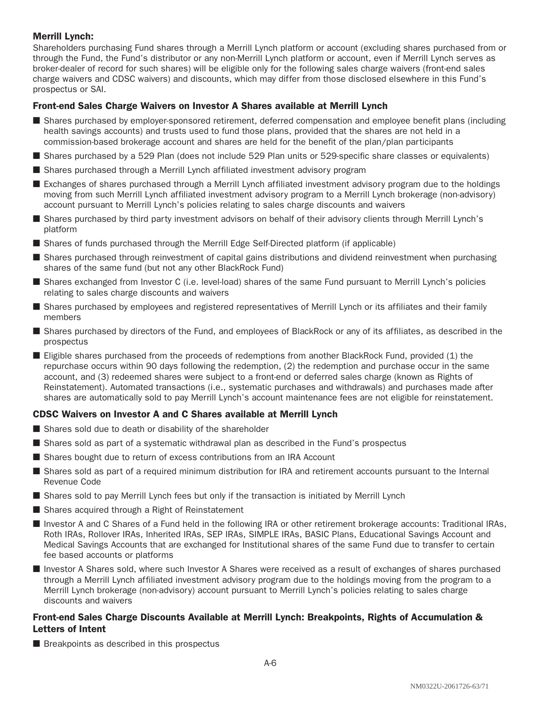# Merrill Lynch:

Shareholders purchasing Fund shares through a Merrill Lynch platform or account (excluding shares purchased from or through the Fund, the Fund's distributor or any non-Merrill Lynch platform or account, even if Merrill Lynch serves as broker-dealer of record for such shares) will be eligible only for the following sales charge waivers (front-end sales charge waivers and CDSC waivers) and discounts, which may differ from those disclosed elsewhere in this Fund's prospectus or SAI.

## Front-end Sales Charge Waivers on Investor A Shares available at Merrill Lynch

- Shares purchased by employer-sponsored retirement, deferred compensation and employee benefit plans (including health savings accounts) and trusts used to fund those plans, provided that the shares are not held in a commission-based brokerage account and shares are held for the benefit of the plan/plan participants
- Shares purchased by a 529 Plan (does not include 529 Plan units or 529-specific share classes or equivalents)
- Shares purchased through a Merrill Lynch affiliated investment advisory program
- Exchanges of shares purchased through a Merrill Lynch affiliated investment advisory program due to the holdings moving from such Merrill Lynch affiliated investment advisory program to a Merrill Lynch brokerage (non-advisory) account pursuant to Merrill Lynch's policies relating to sales charge discounts and waivers
- Shares purchased by third party investment advisors on behalf of their advisory clients through Merrill Lynch's platform
- Shares of funds purchased through the Merrill Edge Self-Directed platform (if applicable)
- Shares purchased through reinvestment of capital gains distributions and dividend reinvestment when purchasing shares of the same fund (but not any other BlackRock Fund)
- Shares exchanged from Investor C (i.e. level-load) shares of the same Fund pursuant to Merrill Lynch's policies relating to sales charge discounts and waivers
- Shares purchased by employees and registered representatives of Merrill Lynch or its affiliates and their family members
- Shares purchased by directors of the Fund, and employees of BlackRock or any of its affiliates, as described in the prospectus
- Eligible shares purchased from the proceeds of redemptions from another BlackRock Fund, provided (1) the repurchase occurs within 90 days following the redemption, (2) the redemption and purchase occur in the same account, and (3) redeemed shares were subject to a front-end or deferred sales charge (known as Rights of Reinstatement). Automated transactions (i.e., systematic purchases and withdrawals) and purchases made after shares are automatically sold to pay Merrill Lynch's account maintenance fees are not eligible for reinstatement.

# CDSC Waivers on Investor A and C Shares available at Merrill Lynch

- Shares sold due to death or disability of the shareholder
- **Shares sold as part of a systematic withdrawal plan as described in the Fund's prospectus**
- Shares bought due to return of excess contributions from an IRA Account
- Shares sold as part of a required minimum distribution for IRA and retirement accounts pursuant to the Internal Revenue Code
- Shares sold to pay Merrill Lynch fees but only if the transaction is initiated by Merrill Lynch
- Shares acquired through a Right of Reinstatement
- Investor A and C Shares of a Fund held in the following IRA or other retirement brokerage accounts: Traditional IRAs, Roth IRAs, Rollover IRAs, Inherited IRAs, SEP IRAs, SIMPLE IRAs, BASIC Plans, Educational Savings Account and Medical Savings Accounts that are exchanged for Institutional shares of the same Fund due to transfer to certain fee based accounts or platforms
- Investor A Shares sold, where such Investor A Shares were received as a result of exchanges of shares purchased through a Merrill Lynch affiliated investment advisory program due to the holdings moving from the program to a Merrill Lynch brokerage (non-advisory) account pursuant to Merrill Lynch's policies relating to sales charge discounts and waivers

## Front-end Sales Charge Discounts Available at Merrill Lynch: Breakpoints, Rights of Accumulation & Letters of Intent

**Breakpoints as described in this prospectus**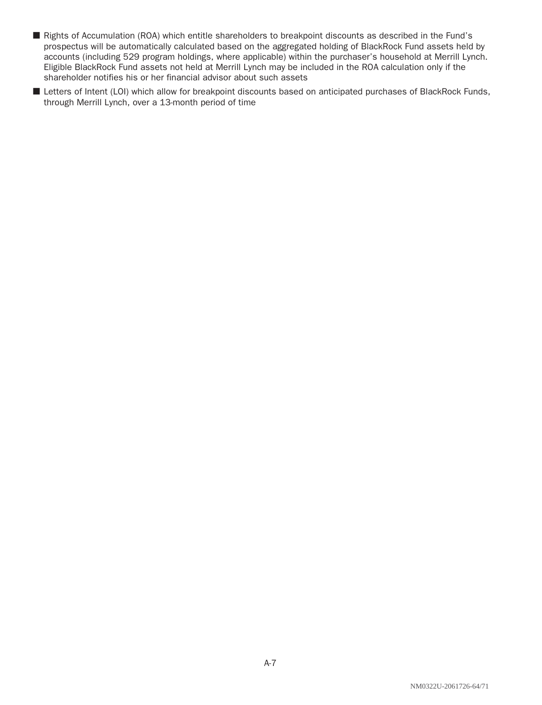- Rights of Accumulation (ROA) which entitle shareholders to breakpoint discounts as described in the Fund's prospectus will be automatically calculated based on the aggregated holding of BlackRock Fund assets held by accounts (including 529 program holdings, where applicable) within the purchaser's household at Merrill Lynch. Eligible BlackRock Fund assets not held at Merrill Lynch may be included in the ROA calculation only if the shareholder notifies his or her financial advisor about such assets
- Letters of Intent (LOI) which allow for breakpoint discounts based on anticipated purchases of BlackRock Funds, through Merrill Lynch, over a 13-month period of time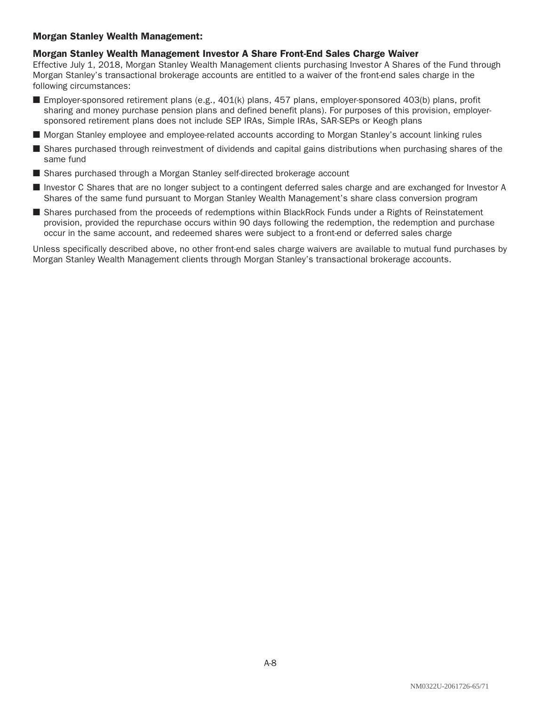#### Morgan Stanley Wealth Management:

### Morgan Stanley Wealth Management Investor A Share Front-End Sales Charge Waiver

Effective July 1, 2018, Morgan Stanley Wealth Management clients purchasing Investor A Shares of the Fund through Morgan Stanley's transactional brokerage accounts are entitled to a waiver of the front-end sales charge in the following circumstances:

- Employer-sponsored retirement plans (e.g., 401(k) plans, 457 plans, employer-sponsored 403(b) plans, profit sharing and money purchase pension plans and defined benefit plans). For purposes of this provision, employersponsored retirement plans does not include SEP IRAs, Simple IRAs, SAR-SEPs or Keogh plans
- Morgan Stanley employee and employee-related accounts according to Morgan Stanley's account linking rules
- Shares purchased through reinvestment of dividends and capital gains distributions when purchasing shares of the same fund
- Shares purchased through a Morgan Stanley self-directed brokerage account
- Investor C Shares that are no longer subject to a contingent deferred sales charge and are exchanged for Investor A Shares of the same fund pursuant to Morgan Stanley Wealth Management's share class conversion program
- Shares purchased from the proceeds of redemptions within BlackRock Funds under a Rights of Reinstatement provision, provided the repurchase occurs within 90 days following the redemption, the redemption and purchase occur in the same account, and redeemed shares were subject to a front-end or deferred sales charge

Unless specifically described above, no other front-end sales charge waivers are available to mutual fund purchases by Morgan Stanley Wealth Management clients through Morgan Stanley's transactional brokerage accounts.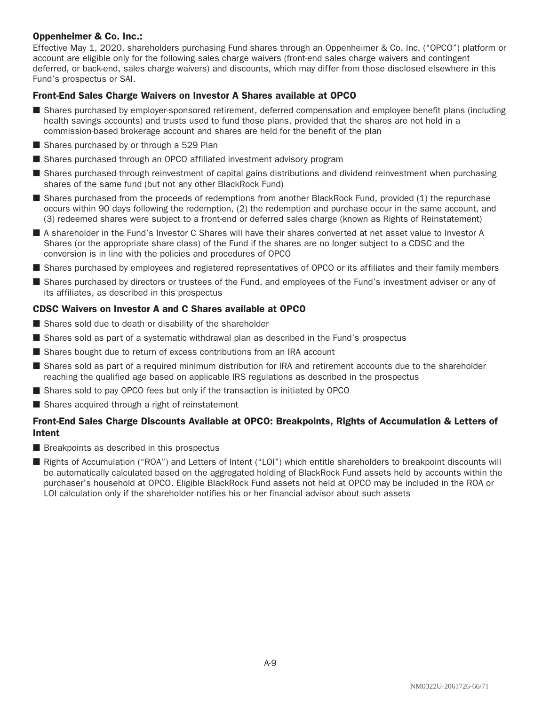## Oppenheimer & Co. Inc.:

Effective May 1, 2020, shareholders purchasing Fund shares through an Oppenheimer & Co. Inc. ("OPCO") platform or account are eligible only for the following sales charge waivers (front-end sales charge waivers and contingent deferred, or back-end, sales charge waivers) and discounts, which may differ from those disclosed elsewhere in this Fund's prospectus or SAI.

## Front-End Sales Charge Waivers on Investor A Shares available at OPCO

- Shares purchased by employer-sponsored retirement, deferred compensation and employee benefit plans (including health savings accounts) and trusts used to fund those plans, provided that the shares are not held in a commission-based brokerage account and shares are held for the benefit of the plan
- Shares purchased by or through a 529 Plan
- Shares purchased through an OPCO affiliated investment advisory program
- Shares purchased through reinvestment of capital gains distributions and dividend reinvestment when purchasing shares of the same fund (but not any other BlackRock Fund)
- Shares purchased from the proceeds of redemptions from another BlackRock Fund, provided (1) the repurchase occurs within 90 days following the redemption, (2) the redemption and purchase occur in the same account, and (3) redeemed shares were subject to a front-end or deferred sales charge (known as Rights of Reinstatement)
- A shareholder in the Fund's Investor C Shares will have their shares converted at net asset value to Investor A Shares (or the appropriate share class) of the Fund if the shares are no longer subject to a CDSC and the conversion is in line with the policies and procedures of OPCO
- Shares purchased by employees and registered representatives of OPCO or its affiliates and their family members
- Shares purchased by directors or trustees of the Fund, and employees of the Fund's investment adviser or any of its affiliates, as described in this prospectus

#### CDSC Waivers on Investor A and C Shares available at OPCO

- Shares sold due to death or disability of the shareholder
- Shares sold as part of a systematic withdrawal plan as described in the Fund's prospectus
- Shares bought due to return of excess contributions from an IRA account
- Shares sold as part of a required minimum distribution for IRA and retirement accounts due to the shareholder reaching the qualified age based on applicable IRS regulations as described in the prospectus
- Shares sold to pay OPCO fees but only if the transaction is initiated by OPCO
- Shares acquired through a right of reinstatement

#### Front-End Sales Charge Discounts Available at OPCO: Breakpoints, Rights of Accumulation & Letters of Intent

- **E** Breakpoints as described in this prospectus
- Rights of Accumulation ("ROA") and Letters of Intent ("LOI") which entitle shareholders to breakpoint discounts will be automatically calculated based on the aggregated holding of BlackRock Fund assets held by accounts within the purchaser's household at OPCO. Eligible BlackRock Fund assets not held at OPCO may be included in the ROA or LOI calculation only if the shareholder notifies his or her financial advisor about such assets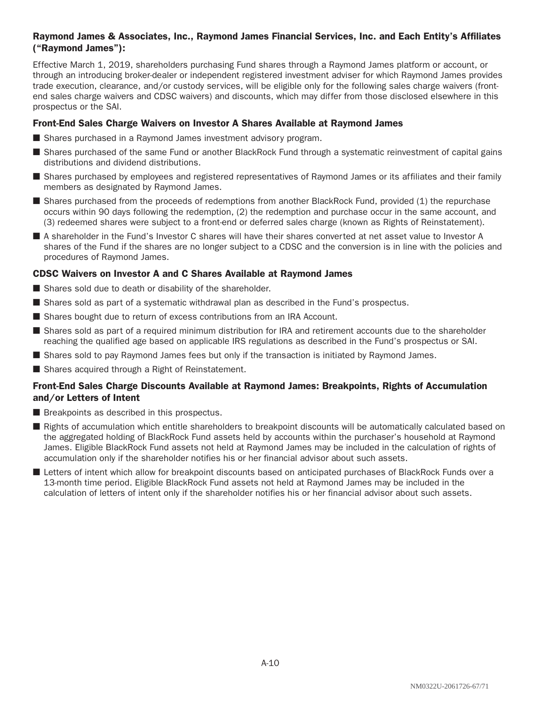# Raymond James & Associates, Inc., Raymond James Financial Services, Inc. and Each Entity's Affiliates ("Raymond James"):

Effective March 1, 2019, shareholders purchasing Fund shares through a Raymond James platform or account, or through an introducing broker-dealer or independent registered investment adviser for which Raymond James provides trade execution, clearance, and/or custody services, will be eligible only for the following sales charge waivers (frontend sales charge waivers and CDSC waivers) and discounts, which may differ from those disclosed elsewhere in this prospectus or the SAI.

## Front-End Sales Charge Waivers on Investor A Shares Available at Raymond James

- Shares purchased in a Raymond James investment advisory program.
- Shares purchased of the same Fund or another BlackRock Fund through a systematic reinvestment of capital gains distributions and dividend distributions.
- Shares purchased by employees and registered representatives of Raymond James or its affiliates and their family members as designated by Raymond James.
- Shares purchased from the proceeds of redemptions from another BlackRock Fund, provided (1) the repurchase occurs within 90 days following the redemption, (2) the redemption and purchase occur in the same account, and (3) redeemed shares were subject to a front-end or deferred sales charge (known as Rights of Reinstatement).
- A shareholder in the Fund's Investor C shares will have their shares converted at net asset value to Investor A shares of the Fund if the shares are no longer subject to a CDSC and the conversion is in line with the policies and procedures of Raymond James.

#### CDSC Waivers on Investor A and C Shares Available at Raymond James

- Shares sold due to death or disability of the shareholder.
- **Shares sold as part of a systematic withdrawal plan as described in the Fund's prospectus.**
- Shares bought due to return of excess contributions from an IRA Account.
- Shares sold as part of a required minimum distribution for IRA and retirement accounts due to the shareholder reaching the qualified age based on applicable IRS regulations as described in the Fund's prospectus or SAI.
- Shares sold to pay Raymond James fees but only if the transaction is initiated by Raymond James.
- Shares acquired through a Right of Reinstatement.

#### Front-End Sales Charge Discounts Available at Raymond James: Breakpoints, Rights of Accumulation and/or Letters of Intent

- **Breakpoints as described in this prospectus.**
- Rights of accumulation which entitle shareholders to breakpoint discounts will be automatically calculated based on the aggregated holding of BlackRock Fund assets held by accounts within the purchaser's household at Raymond James. Eligible BlackRock Fund assets not held at Raymond James may be included in the calculation of rights of accumulation only if the shareholder notifies his or her financial advisor about such assets.
- Letters of intent which allow for breakpoint discounts based on anticipated purchases of BlackRock Funds over a 13-month time period. Eligible BlackRock Fund assets not held at Raymond James may be included in the calculation of letters of intent only if the shareholder notifies his or her financial advisor about such assets.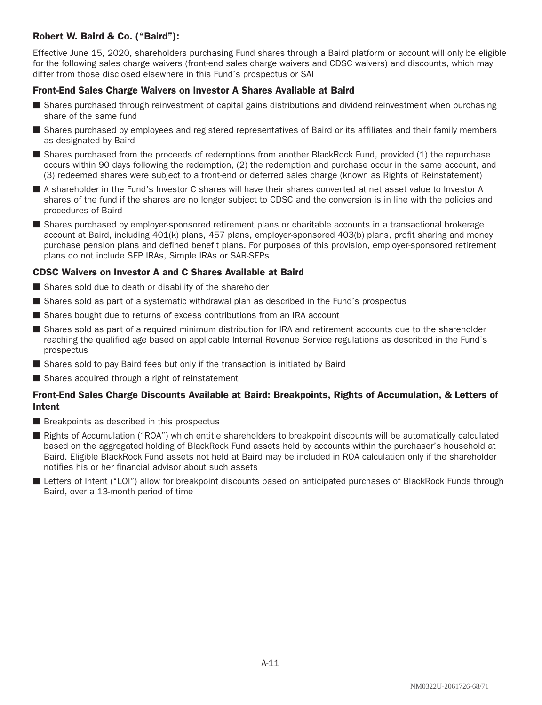# Robert W. Baird & Co. ("Baird"):

Effective June 15, 2020, shareholders purchasing Fund shares through a Baird platform or account will only be eligible for the following sales charge waivers (front-end sales charge waivers and CDSC waivers) and discounts, which may differ from those disclosed elsewhere in this Fund's prospectus or SAI

## Front-End Sales Charge Waivers on Investor A Shares Available at Baird

- Shares purchased through reinvestment of capital gains distributions and dividend reinvestment when purchasing share of the same fund
- Shares purchased by employees and registered representatives of Baird or its affiliates and their family members as designated by Baird
- Shares purchased from the proceeds of redemptions from another BlackRock Fund, provided (1) the repurchase occurs within 90 days following the redemption, (2) the redemption and purchase occur in the same account, and (3) redeemed shares were subject to a front-end or deferred sales charge (known as Rights of Reinstatement)
- A shareholder in the Fund's Investor C shares will have their shares converted at net asset value to Investor A shares of the fund if the shares are no longer subject to CDSC and the conversion is in line with the policies and procedures of Baird
- Shares purchased by employer-sponsored retirement plans or charitable accounts in a transactional brokerage account at Baird, including 401(k) plans, 457 plans, employer-sponsored 403(b) plans, profit sharing and money purchase pension plans and defined benefit plans. For purposes of this provision, employer-sponsored retirement plans do not include SEP IRAs, Simple IRAs or SAR-SEPs

#### CDSC Waivers on Investor A and C Shares Available at Baird

- Shares sold due to death or disability of the shareholder
- **Shares sold as part of a systematic withdrawal plan as described in the Fund's prospectus**
- Shares bought due to returns of excess contributions from an IRA account
- Shares sold as part of a required minimum distribution for IRA and retirement accounts due to the shareholder reaching the qualified age based on applicable Internal Revenue Service regulations as described in the Fund's prospectus
- Shares sold to pay Baird fees but only if the transaction is initiated by Baird
- Shares acquired through a right of reinstatement

## Front-End Sales Charge Discounts Available at Baird: Breakpoints, Rights of Accumulation, & Letters of Intent

- **E** Breakpoints as described in this prospectus
- Rights of Accumulation ("ROA") which entitle shareholders to breakpoint discounts will be automatically calculated based on the aggregated holding of BlackRock Fund assets held by accounts within the purchaser's household at Baird. Eligible BlackRock Fund assets not held at Baird may be included in ROA calculation only if the shareholder notifies his or her financial advisor about such assets
- Letters of Intent ("LOI") allow for breakpoint discounts based on anticipated purchases of BlackRock Funds through Baird, over a 13-month period of time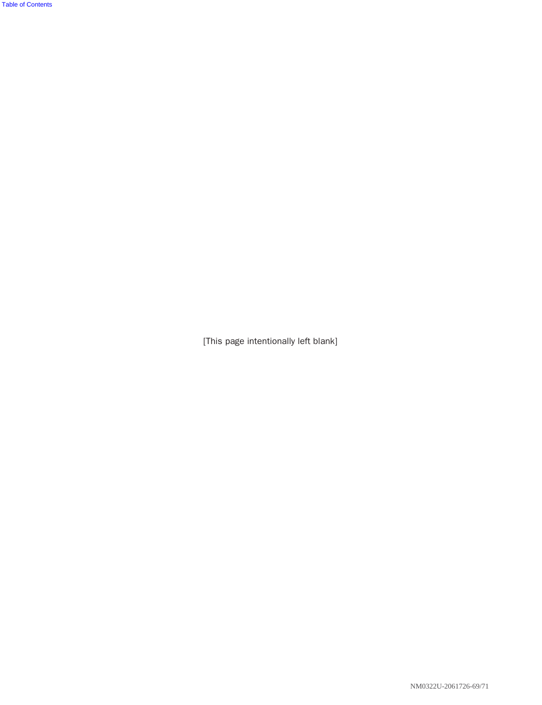[This page intentionally left blank]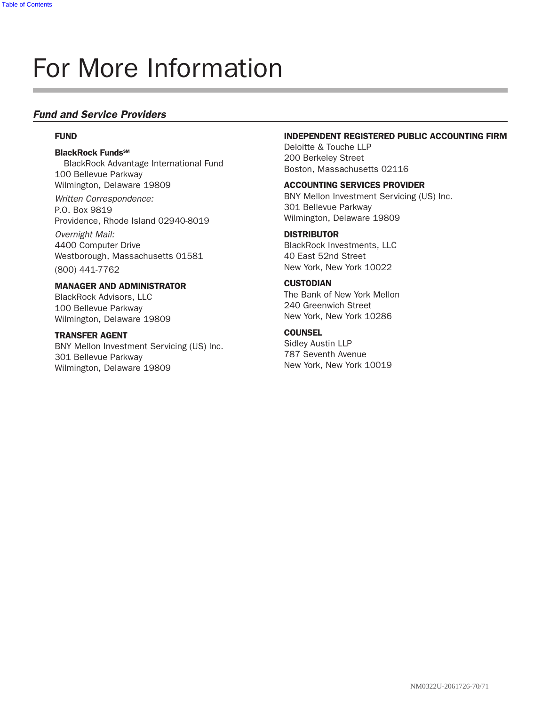# <span id="page-69-0"></span>For More Information

# *Fund and Service Providers*

### FUND

#### **BlackRock Funds**<sup>SM</sup>

BlackRock Advantage International Fund 100 Bellevue Parkway Wilmington, Delaware 19809

*Written Correspondence:* P.O. Box 9819 Providence, Rhode Island 02940-8019

*Overnight Mail:* 4400 Computer Drive Westborough, Massachusetts 01581 (800) 441-7762

## MANAGER AND ADMINISTRATOR

BlackRock Advisors, LLC 100 Bellevue Parkway Wilmington, Delaware 19809

#### TRANSFER AGENT

BNY Mellon Investment Servicing (US) Inc. 301 Bellevue Parkway Wilmington, Delaware 19809

### INDEPENDENT REGISTERED PUBLIC ACCOUNTING FIRM

Deloitte & Touche LLP 200 Berkeley Street Boston, Massachusetts 02116

#### ACCOUNTING SERVICES PROVIDER

BNY Mellon Investment Servicing (US) Inc. 301 Bellevue Parkway Wilmington, Delaware 19809

## DISTRIBUTOR

BlackRock Investments, LLC 40 East 52nd Street New York, New York 10022

## **CUSTODIAN**

The Bank of New York Mellon 240 Greenwich Street New York, New York 10286

## **COUNSEL**

Sidley Austin LLP 787 Seventh Avenue New York, New York 10019